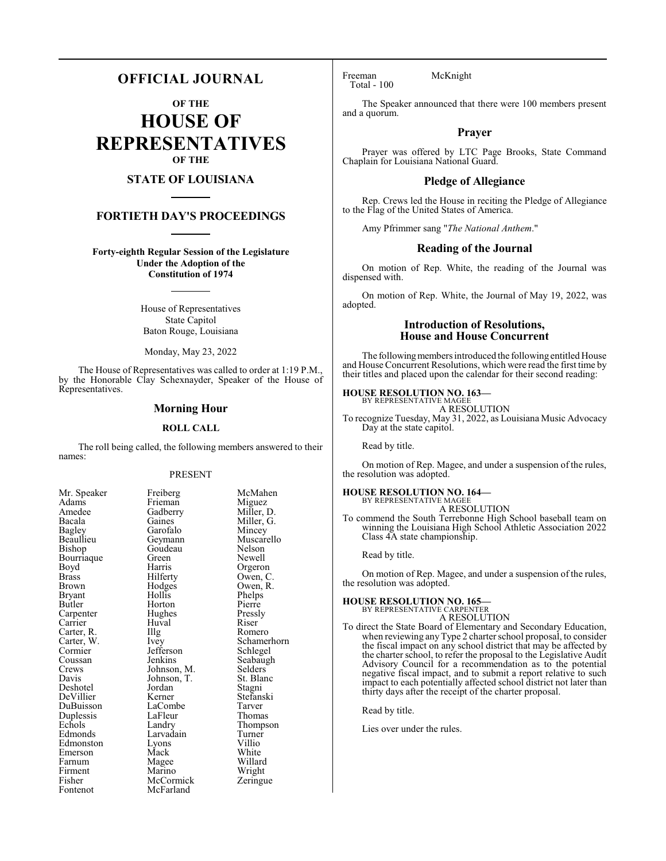# **OFFICIAL JOURNAL**

**OF THE**

**HOUSE OF REPRESENTATIVES OF THE**

# **STATE OF LOUISIANA**

# **FORTIETH DAY'S PROCEEDINGS**

**Forty-eighth Regular Session of the Legislature Under the Adoption of the Constitution of 1974**

> House of Representatives State Capitol Baton Rouge, Louisiana

Monday, May 23, 2022

The House of Representatives was called to order at 1:19 P.M., by the Honorable Clay Schexnayder, Speaker of the House of Representatives.

### **Morning Hour**

#### **ROLL CALL**

The roll being called, the following members answered to their names:

#### PRESENT

Miller, G.<br>Mincey

Muscarello<br>Nelson

Pierre<br>Pressly

Schamerhorn<br>Schlegel

Seabaugh<br>Selders

Stefanski<br>Tarver

Thompson<br>Turner

| Mr. Speaker                         |
|-------------------------------------|
| Adams                               |
| Amedee                              |
| Bacala                              |
| Bagley                              |
| Beaullieu                           |
| Bishop                              |
| Bourriaque                          |
| Boyd                                |
| <b>Brass</b>                        |
| Brown                               |
| <b>Bryant</b>                       |
| Butler                              |
| Carpenter                           |
|                                     |
|                                     |
| Carrier<br>Carter, R.<br>Carter, W. |
| Cormier                             |
| Coussan<br>Crews                    |
|                                     |
| Davis                               |
| Deshotel                            |
| DeVillier<br>DuBuisson              |
|                                     |
| Duplessis                           |
| Echols                              |
| Edmonds                             |
| Edmonston                           |
| Emerson                             |
| Farnum                              |
| Firment                             |
| Fisher                              |
| Fontenot                            |

Freiberg McMahen<br>Frieman Miguez Frieman Miguez<br>Gadberry Miller, D. Gadberry<br>Gaines Garofalo<br>Geymann Goudeau Green Newell<br>Harris Orgero Harris Orgeron<br>Hilferty Owen, C Hilferty Owen, C.<br>Hodges Owen, R. Hodges Owen, R.<br>Hollis Phelps Hollis Phelps<br>
Horton Pierre Hughes Pressl<br>Huval Riser The Romero<br>
Ivey Schamer Jefferson<br>Jenkins Johnson, M. Selders Johnson, T. St. Blanc  $Johnson, T.$  Iordan Jordan Stagni<br>Kerner Stefans LaCombe Tarver<br>LaFleur Thomas LaFleur<br>Landry Larvadain Turner<br>Lyons Villio Eyons Villio<br>
Mack White Magee Willard<br>
Marino Wright Marino Wright<br>
McCormick Zeringue McCormick McFarland

Huval<br>Illg

Mack

Freeman McKnight Total - 100

The Speaker announced that there were 100 members present and a quorum.

# **Prayer**

Prayer was offered by LTC Page Brooks, State Command Chaplain for Louisiana National Guard.

### **Pledge of Allegiance**

Rep. Crews led the House in reciting the Pledge of Allegiance to the Flag of the United States of America.

Amy Pfrimmer sang "*The National Anthem*."

#### **Reading of the Journal**

On motion of Rep. White, the reading of the Journal was dispensed with.

On motion of Rep. White, the Journal of May 19, 2022, was adopted.

# **Introduction of Resolutions, House and House Concurrent**

The following members introduced the following entitled House and House Concurrent Resolutions, which were read the first time by their titles and placed upon the calendar for their second reading:

# **HOUSE RESOLUTION NO. 163—** BY REPRESENTATIVE MAGEE

A RESOLUTION

To recognize Tuesday, May 31, 2022, as Louisiana Music Advocacy Day at the state capitol.

Read by title.

On motion of Rep. Magee, and under a suspension of the rules, the resolution was adopted.

#### **HOUSE RESOLUTION NO. 164—** BY REPRESENTATIVE MAGEE

A RESOLUTION

To commend the South Terrebonne High School baseball team on winning the Louisiana High School Athletic Association 2022 Class 4A state championship.

Read by title.

On motion of Rep. Magee, and under a suspension of the rules, the resolution was adopted.

#### **HOUSE RESOLUTION NO. 165—**

BY REPRESENTATIVE CARPENTER A RESOLUTION

To direct the State Board of Elementary and Secondary Education, when reviewing any Type 2 charter school proposal, to consider the fiscal impact on any school district that may be affected by the charter school, to refer the proposal to the Legislative Audit Advisory Council for a recommendation as to the potential negative fiscal impact, and to submit a report relative to such impact to each potentially affected school district not later than thirty days after the receipt of the charter proposal.

Read by title.

Lies over under the rules.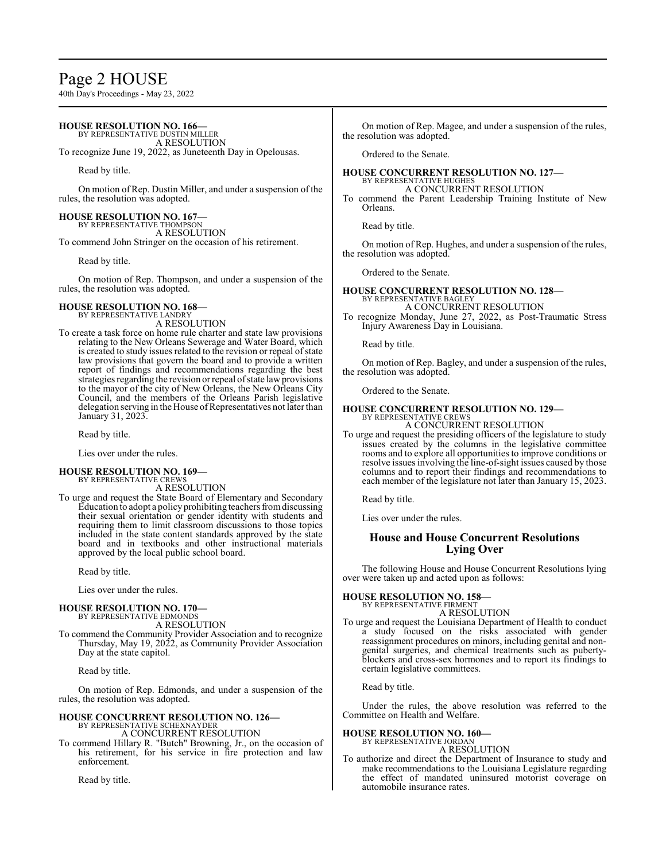# Page 2 HOUSE

40th Day's Proceedings - May 23, 2022

# **HOUSE RESOLUTION NO. 166—**

BY REPRESENTATIVE DUSTIN MILLER A RESOLUTION

To recognize June 19, 2022, as Juneteenth Day in Opelousas.

Read by title.

On motion of Rep. Dustin Miller, and under a suspension of the rules, the resolution was adopted.

**HOUSE RESOLUTION NO. 167—** BY REPRESENTATIVE THOMPSON A RESOLUTION To commend John Stringer on the occasion of his retirement.

Read by title.

On motion of Rep. Thompson, and under a suspension of the rules, the resolution was adopted.

# **HOUSE RESOLUTION NO. 168—** BY REPRESENTATIVE LANDRY

A RESOLUTION

To create a task force on home rule charter and state law provisions relating to the New Orleans Sewerage and Water Board, which is created to study issues related to the revision or repeal of state law provisions that govern the board and to provide a written report of findings and recommendations regarding the best strategies regarding the revision or repeal of state law provisions to the mayor of the city of New Orleans, the New Orleans City Council, and the members of the Orleans Parish legislative delegation serving in the House of Representatives not later than January 31, 2023.

Read by title.

Lies over under the rules.

# **HOUSE RESOLUTION NO. 169—** BY REPRESENTATIVE CREWS

A RESOLUTION

To urge and request the State Board of Elementary and Secondary Education to adopt a policy prohibiting teachers fromdiscussing their sexual orientation or gender identity with students and requiring them to limit classroom discussions to those topics included in the state content standards approved by the state board and in textbooks and other instructional materials approved by the local public school board.

Read by title.

Lies over under the rules.

#### **HOUSE RESOLUTION NO. 170—** BY REPRESENTATIVE EDMONDS

A RESOLUTION

To commend the Community Provider Association and to recognize Thursday, May 19, 2022, as Community Provider Association Day at the state capitol.

Read by title.

On motion of Rep. Edmonds, and under a suspension of the rules, the resolution was adopted.

# **HOUSE CONCURRENT RESOLUTION NO. 126—** BY REPRESENTATIVE SCHEXNAYDER

A CONCURRENT RESOLUTION

To commend Hillary R. "Butch" Browning, Jr., on the occasion of his retirement, for his service in fire protection and law enforcement.

Read by title.

On motion of Rep. Magee, and under a suspension of the rules, the resolution was adopted.

Ordered to the Senate.

#### **HOUSE CONCURRENT RESOLUTION NO. 127—** BY REPRESENTATIVE HUGHES

A CONCURRENT RESOLUTION

To commend the Parent Leadership Training Institute of New Orleans.

Read by title.

On motion of Rep. Hughes, and under a suspension of the rules, the resolution was adopted.

Ordered to the Senate.

# **HOUSE CONCURRENT RESOLUTION NO. 128—** BY REPRESENTATIVE BAGLEY A CONCURRENT RESOLUTION

To recognize Monday, June 27, 2022, as Post-Traumatic Stress Injury Awareness Day in Louisiana.

Read by title.

On motion of Rep. Bagley, and under a suspension of the rules, the resolution was adopted.

Ordered to the Senate.

#### **HOUSE CONCURRENT RESOLUTION NO. 129—** BY REPRESENTATIVE CREWS A CONCURRENT RESOLUTION

To urge and request the presiding officers of the legislature to study issues created by the columns in the legislative committee rooms and to explore all opportunities to improve conditions or resolve issues involving the line-of-sight issues caused by those columns and to report their findings and recommendations to each member of the legislature not later than January 15, 2023.

Read by title.

Lies over under the rules.

# **House and House Concurrent Resolutions Lying Over**

The following House and House Concurrent Resolutions lying over were taken up and acted upon as follows:

#### **HOUSE RESOLUTION NO. 158—** BY REPRESENTATIVE FIRMENT

A RESOLUTION

To urge and request the Louisiana Department of Health to conduct a study focused on the risks associated with gender reassignment procedures on minors, including genital and nongenital surgeries, and chemical treatments such as pubertyblockers and cross-sex hormones and to report its findings to certain legislative committees.

Read by title.

Under the rules, the above resolution was referred to the Committee on Health and Welfare.

# **HOUSE RESOLUTION NO. 160—**

BY REPRESENTATIVE JORDAN A RESOLUTION

To authorize and direct the Department of Insurance to study and make recommendations to the Louisiana Legislature regarding the effect of mandated uninsured motorist coverage on automobile insurance rates.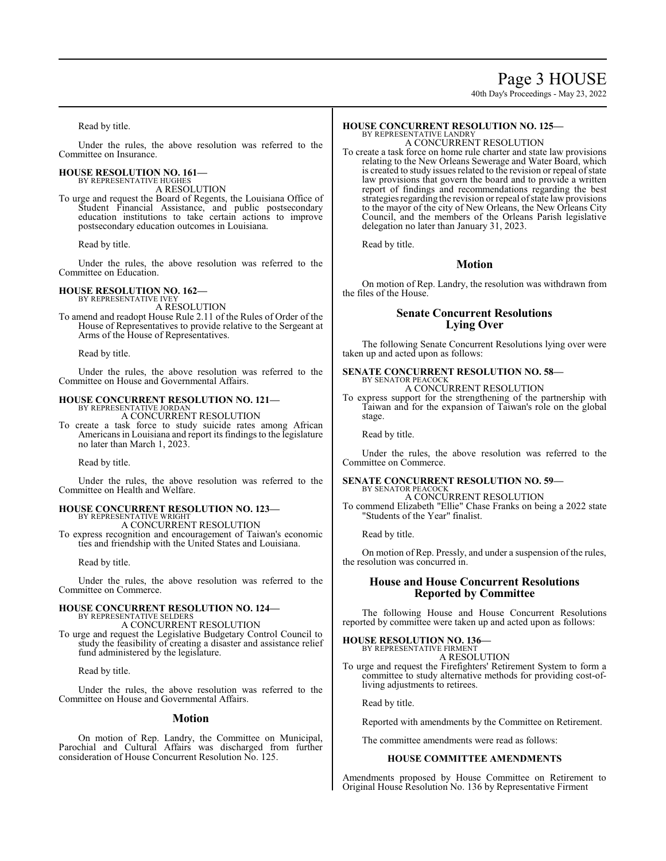# Page 3 HOUSE

40th Day's Proceedings - May 23, 2022

Read by title.

Under the rules, the above resolution was referred to the Committee on Insurance.

#### **HOUSE RESOLUTION NO. 161—** BY REPRESENTATIVE HUGHES

A RESOLUTION

To urge and request the Board of Regents, the Louisiana Office of Student Financial Assistance, and public postsecondary education institutions to take certain actions to improve postsecondary education outcomes in Louisiana.

Read by title.

Under the rules, the above resolution was referred to the Committee on Education.

# **HOUSE RESOLUTION NO. 162—** BY REPRESENTATIVE IVEY

A RESOLUTION

To amend and readopt House Rule 2.11 of the Rules of Order of the House of Representatives to provide relative to the Sergeant at Arms of the House of Representatives.

Read by title.

Under the rules, the above resolution was referred to the Committee on House and Governmental Affairs.

#### **HOUSE CONCURRENT RESOLUTION NO. 121—** BY REPRESENTATIVE JORDAN

A CONCURRENT RESOLUTION

To create a task force to study suicide rates among African Americans in Louisiana and report its findings to the legislature no later than March 1, 2023.

Read by title.

Under the rules, the above resolution was referred to the Committee on Health and Welfare.

# **HOUSE CONCURRENT RESOLUTION NO. 123—** BY REPRESENTATIVE WRIGHT

A CONCURRENT RESOLUTION To express recognition and encouragement of Taiwan's economic ties and friendship with the United States and Louisiana.

Read by title.

Under the rules, the above resolution was referred to the Committee on Commerce.

#### **HOUSE CONCURRENT RESOLUTION NO. 124—** BY REPRESENTATIVE SELDERS

A CONCURRENT RESOLUTION

To urge and request the Legislative Budgetary Control Council to study the feasibility of creating a disaster and assistance relief fund administered by the legislature.

Read by title.

Under the rules, the above resolution was referred to the Committee on House and Governmental Affairs.

# **Motion**

On motion of Rep. Landry, the Committee on Municipal, Parochial and Cultural Affairs was discharged from further consideration of House Concurrent Resolution No. 125.

#### **HOUSE CONCURRENT RESOLUTION NO. 125—** BY REPRESENTATIVE LANDRY

A CONCURRENT RESOLUTION

To create a task force on home rule charter and state law provisions relating to the New Orleans Sewerage and Water Board, which is created to study issues related to the revision or repeal of state law provisions that govern the board and to provide a written report of findings and recommendations regarding the best strategies regarding the revision or repeal of state law provisions to the mayor of the city of New Orleans, the New Orleans City Council, and the members of the Orleans Parish legislative delegation no later than January 31, 2023.

Read by title.

# **Motion**

On motion of Rep. Landry, the resolution was withdrawn from the files of the House.

# **Senate Concurrent Resolutions Lying Over**

The following Senate Concurrent Resolutions lying over were taken up and acted upon as follows:

#### **SENATE CONCURRENT RESOLUTION NO. 58—** BY SENATOR PEACOCK A CONCURRENT RESOLUTION

To express support for the strengthening of the partnership with Taiwan and for the expansion of Taiwan's role on the global stage.

Read by title.

Under the rules, the above resolution was referred to the Committee on Commerce.

#### **SENATE CONCURRENT RESOLUTION NO. 59—** BY SENATOR PEACOCK

A CONCURRENT RESOLUTION To commend Elizabeth "Ellie" Chase Franks on being a 2022 state "Students of the Year" finalist.

Read by title.

On motion of Rep. Pressly, and under a suspension of the rules, the resolution was concurred in.

# **House and House Concurrent Resolutions Reported by Committee**

The following House and House Concurrent Resolutions reported by committee were taken up and acted upon as follows:

#### **HOUSE RESOLUTION NO. 136—** BY REPRESENTATIVE FIRMENT

A RESOLUTION

To urge and request the Firefighters' Retirement System to form a committee to study alternative methods for providing cost-ofliving adjustments to retirees.

Read by title.

Reported with amendments by the Committee on Retirement.

The committee amendments were read as follows:

# **HOUSE COMMITTEE AMENDMENTS**

Amendments proposed by House Committee on Retirement to Original House Resolution No. 136 by Representative Firment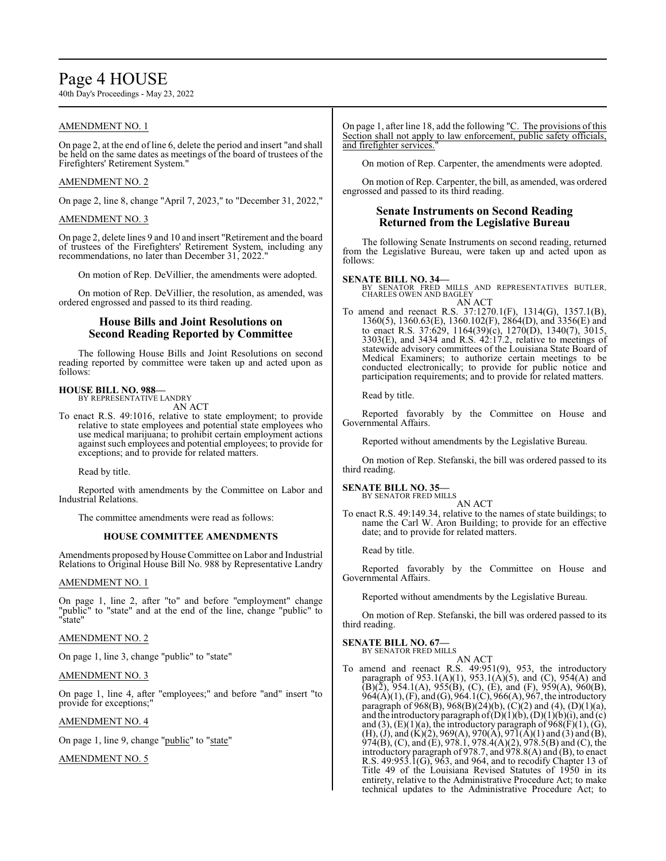# Page 4 HOUSE

40th Day's Proceedings - May 23, 2022

# AMENDMENT NO. 1

On page 2, at the end of line 6, delete the period and insert "and shall be held on the same dates as meetings of the board of trustees of the Firefighters' Retirement System."

# AMENDMENT NO. 2

On page 2, line 8, change "April 7, 2023," to "December 31, 2022,"

## AMENDMENT NO. 3

On page 2, delete lines 9 and 10 and insert "Retirement and the board of trustees of the Firefighters' Retirement System, including any recommendations, no later than December 31, 2022."

On motion of Rep. DeVillier, the amendments were adopted.

On motion of Rep. DeVillier, the resolution, as amended, was ordered engrossed and passed to its third reading.

# **House Bills and Joint Resolutions on Second Reading Reported by Committee**

The following House Bills and Joint Resolutions on second reading reported by committee were taken up and acted upon as follows:

#### **HOUSE BILL NO. 988—** BY REPRESENTATIVE LANDRY

AN ACT

To enact R.S. 49:1016, relative to state employment; to provide relative to state employees and potential state employees who use medical marijuana; to prohibit certain employment actions against such employees and potential employees; to provide for exceptions; and to provide for related matters.

Read by title.

Reported with amendments by the Committee on Labor and Industrial Relations.

The committee amendments were read as follows:

# **HOUSE COMMITTEE AMENDMENTS**

Amendments proposed by House Committee on Labor and Industrial Relations to Original House Bill No. 988 by Representative Landry

#### AMENDMENT NO. 1

On page 1, line 2, after "to" and before "employment" change "public" to "state" and at the end of the line, change "public" to "state"

# AMENDMENT NO. 2

On page 1, line 3, change "public" to "state"

# AMENDMENT NO. 3

On page 1, line 4, after "employees;" and before "and" insert "to provide for exceptions;"

# AMENDMENT NO. 4

On page 1, line 9, change "public" to "state"

AMENDMENT NO. 5

On page 1, after line 18, add the following "C. The provisions of this Section shall not apply to law enforcement, public safety officials, and firefighter services.

On motion of Rep. Carpenter, the amendments were adopted.

On motion of Rep. Carpenter, the bill, as amended, was ordered engrossed and passed to its third reading.

# **Senate Instruments on Second Reading Returned from the Legislative Bureau**

The following Senate Instruments on second reading, returned from the Legislative Bureau, were taken up and acted upon as follows:

#### **SENATE BILL NO. 34—**

BY SENATOR FRED MILLS AND REPRESENTATIVES BUTLER, CHARLES OWEN AND BAGLEY AN ACT

To amend and reenact R.S. 37:1270.1(F), 1314(G), 1357.1(B), 1360(5), 1360.63(E), 1360.102(F), 2864(D), and 3356(E) and to enact R.S. 37:629, 1164(39)(c), 1270(D), 1340(7), 3015, 3303(E), and 3434 and R.S. 42:17.2, relative to meetings of statewide advisory committees of the Louisiana State Board of Medical Examiners; to authorize certain meetings to be conducted electronically; to provide for public notice and participation requirements; and to provide for related matters.

Read by title.

Reported favorably by the Committee on House and Governmental Affairs.

Reported without amendments by the Legislative Bureau.

On motion of Rep. Stefanski, the bill was ordered passed to its third reading.

#### **SENATE BILL NO. 35—** BY SENATOR FRED MILLS

AN ACT

To enact R.S. 49:149.34, relative to the names of state buildings; to name the Carl W. Aron Building; to provide for an effective date; and to provide for related matters.

Read by title.

Reported favorably by the Committee on House and Governmental Affairs.

Reported without amendments by the Legislative Bureau.

On motion of Rep. Stefanski, the bill was ordered passed to its third reading.

# **SENATE BILL NO. 67—**

BY SENATOR FRED MILLS AN ACT

To amend and reenact R.S. 49:951(9), 953, the introductory paragraph of 953.1(A)(1), 953.1(A)(5), and (C), 954(A) and  $(B)(\overline{2})$ , 954.1(A), 955(B), (C), (E), and (F), 959(A), 960(B), 964(A)(1), (F), and (G), 964.1(C), 966(A), 967, the introductory paragraph of  $968(B)$ ,  $968(B)(24)(b)$ ,  $(C)(2)$  and  $(4)$ ,  $(D)(1)(a)$ , and the introductory paragraph of  $(D)(1)(b)$ ,  $(D)(1)(b)(i)$ , and  $(c)$ and (3),  $(E)(1)(a)$ , the introductory paragraph of  $968(F)(1)$ ,  $(G)$ , (H), (J), and (K)(2), 969(A), 970(A), 971(A)(1) and (3) and (B), 974(B), (C), and (E), 978.1, 978.4(A)(2), 978.5(B) and (C), the introductory paragraph of 978.7, and 978.8(A) and (B), to enact R.S. 49:953.1(G), 963, and 964, and to recodify Chapter 13 of Title 49 of the Louisiana Revised Statutes of 1950 in its entirety, relative to the Administrative Procedure Act; to make technical updates to the Administrative Procedure Act; to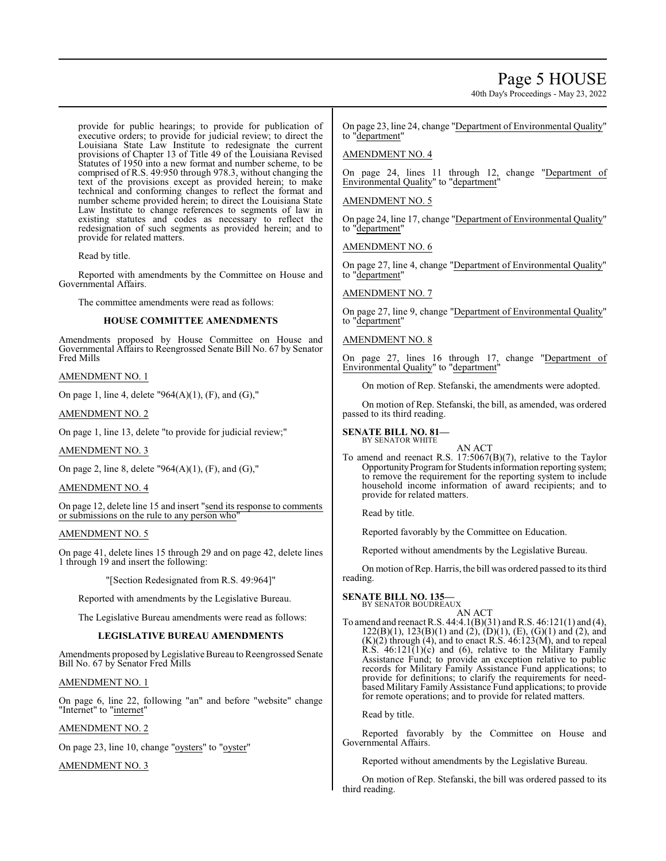# Page 5 HOUSE

40th Day's Proceedings - May 23, 2022

provide for public hearings; to provide for publication of executive orders; to provide for judicial review; to direct the Louisiana State Law Institute to redesignate the current provisions of Chapter 13 of Title 49 of the Louisiana Revised Statutes of 1950 into a new format and number scheme, to be comprised of R.S. 49:950 through 978.3, without changing the text of the provisions except as provided herein; to make technical and conforming changes to reflect the format and number scheme provided herein; to direct the Louisiana State Law Institute to change references to segments of law in existing statutes and codes as necessary to reflect the redesignation of such segments as provided herein; and to provide for related matters.

Read by title.

Reported with amendments by the Committee on House and Governmental Affairs.

The committee amendments were read as follows:

### **HOUSE COMMITTEE AMENDMENTS**

Amendments proposed by House Committee on House and Governmental Affairs to Reengrossed Senate Bill No. 67 by Senator Fred Mills

AMENDMENT NO. 1

On page 1, line 4, delete  $"964(A)(1)$ , (F), and (G),"

AMENDMENT NO. 2

On page 1, line 13, delete "to provide for judicial review;"

AMENDMENT NO. 3

On page 2, line 8, delete "964(A)(1), (F), and (G),"

#### AMENDMENT NO. 4

On page 12, delete line 15 and insert "send its response to comments or submissions on the rule to any person who"

### AMENDMENT NO. 5

On page 41, delete lines 15 through 29 and on page 42, delete lines 1 through 19 and insert the following:

"[Section Redesignated from R.S. 49:964]"

Reported with amendments by the Legislative Bureau.

The Legislative Bureau amendments were read as follows:

#### **LEGISLATIVE BUREAU AMENDMENTS**

Amendments proposed by Legislative Bureau to Reengrossed Senate Bill No. 67 by Senator Fred Mills

AMENDMENT NO. 1

On page 6, line 22, following "an" and before "website" change "Internet" to "internet"

AMENDMENT NO. 2

On page 23, line 10, change "oysters" to "oyster"

AMENDMENT NO. 3

On page 23, line 24, change "Department of Environmental Quality" to "department"

### AMENDMENT NO. 4

On page 24, lines 11 through 12, change "Department of Environmental Quality" to "department"

### AMENDMENT NO. 5

On page 24, line 17, change "Department of Environmental Quality" to "department"

AMENDMENT NO. 6

On page 27, line 4, change "Department of Environmental Quality" to "department"

AMENDMENT NO. 7

On page 27, line 9, change "Department of Environmental Quality" to "department"

# AMENDMENT NO. 8

On page 27, lines 16 through 17, change "Department of Environmental Quality" to "department"

On motion of Rep. Stefanski, the amendments were adopted.

On motion of Rep. Stefanski, the bill, as amended, was ordered passed to its third reading.

**SENATE BILL NO. 81—** BY SENATOR WHITE



To amend and reenact R.S. 17:5067(B)(7), relative to the Taylor Opportunity Program for Students information reporting system; to remove the requirement for the reporting system to include household income information of award recipients; and to provide for related matters.

Read by title.

Reported favorably by the Committee on Education.

Reported without amendments by the Legislative Bureau.

On motion ofRep. Harris, the bill was ordered passed to its third reading.

# **SENATE BILL NO. 135—**

BY SENATOR BOUDREAUX

AN ACT To amend and reenact R.S. 44:4.1(B)(31) and R.S. 46:121(1) and (4),  $122(B)(1)$ ,  $123(B)(1)$  and  $(2)$ ,  $(D)(1)$ ,  $(E)$ ,  $(G)(1)$  and  $(2)$ , and  $(K)(2)$  through  $(4)$ , and to enact R.S.  $46:123(M)$ , and to repeal R.S.  $46:121(1)(c)$  and  $(6)$ , relative to the Military Family Assistance Fund; to provide an exception relative to public records for Military Family Assistance Fund applications; to provide for definitions; to clarify the requirements for needbased Military Family Assistance Fund applications; to provide for remote operations; and to provide for related matters.

Read by title.

Reported favorably by the Committee on House and Governmental Affairs.

Reported without amendments by the Legislative Bureau.

On motion of Rep. Stefanski, the bill was ordered passed to its third reading.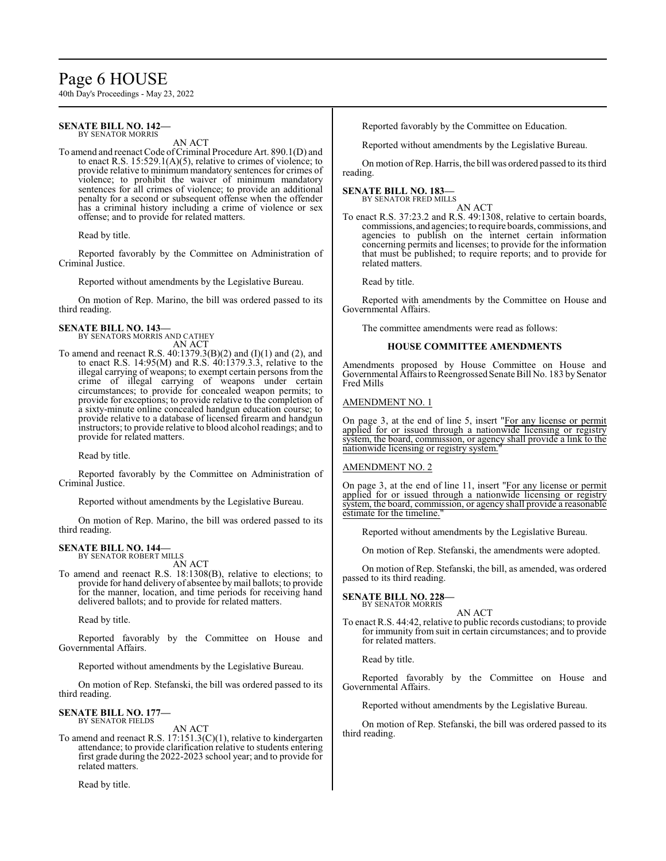# Page 6 HOUSE

40th Day's Proceedings - May 23, 2022

#### **SENATE BILL NO. 142—** BY SENATOR MORRIS

AN ACT

To amend and reenact Code of Criminal Procedure Art. 890.1(D) and to enact R.S.  $15:529.1(A)(5)$ , relative to crimes of violence; to provide relative to minimum mandatory sentences for crimes of violence; to prohibit the waiver of minimum mandatory sentences for all crimes of violence; to provide an additional penalty for a second or subsequent offense when the offender has a criminal history including a crime of violence or sex offense; and to provide for related matters.

Read by title.

Reported favorably by the Committee on Administration of Criminal Justice.

Reported without amendments by the Legislative Bureau.

On motion of Rep. Marino, the bill was ordered passed to its third reading.

**SENATE BILL NO. 143—** BY SENATORS MORRIS AND CATHEY AN ACT

To amend and reenact R.S. 40:1379.3(B)(2) and (I)(1) and (2), and to enact R.S. 14:95(M) and R.S. 40:1379.3.3, relative to the illegal carrying of weapons; to exempt certain persons from the crime of illegal carrying of weapons under certain circumstances; to provide for concealed weapon permits; to provide for exceptions; to provide relative to the completion of a sixty-minute online concealed handgun education course; to provide relative to a database of licensed firearm and handgun instructors; to provide relative to blood alcohol readings; and to provide for related matters.

Read by title.

Reported favorably by the Committee on Administration of Criminal Justice.

Reported without amendments by the Legislative Bureau.

On motion of Rep. Marino, the bill was ordered passed to its third reading.

#### **SENATE BILL NO. 144—** BY SENATOR ROBERT MILLS

AN ACT

To amend and reenact R.S. 18:1308(B), relative to elections; to provide for hand delivery of absentee bymail ballots; to provide for the manner, location, and time periods for receiving hand delivered ballots; and to provide for related matters.

Read by title.

Reported favorably by the Committee on House and Governmental Affairs.

Reported without amendments by the Legislative Bureau.

On motion of Rep. Stefanski, the bill was ordered passed to its third reading.

#### **SENATE BILL NO. 177—** BY SENATOR FIELDS

AN ACT

To amend and reenact R.S. 17:151.3(C)(1), relative to kindergarten attendance; to provide clarification relative to students entering first grade during the 2022-2023 school year; and to provide for related matters.

Read by title.

Reported favorably by the Committee on Education.

Reported without amendments by the Legislative Bureau.

On motion of Rep. Harris, the bill was ordered passed to its third reading.

# **SENATE BILL NO. 183—**

BY SENATOR FRED MILLS AN ACT

To enact R.S. 37:23.2 and R.S. 49:1308, relative to certain boards, commissions, and agencies; to require boards, commissions, and agencies to publish on the internet certain information concerning permits and licenses; to provide for the information that must be published; to require reports; and to provide for related matters.

Read by title.

Reported with amendments by the Committee on House and Governmental Affairs.

The committee amendments were read as follows:

# **HOUSE COMMITTEE AMENDMENTS**

Amendments proposed by House Committee on House and Governmental Affairs to Reengrossed Senate Bill No. 183 by Senator Fred Mills

# AMENDMENT NO. 1

On page 3, at the end of line 5, insert "For any license or permit applied for or issued through a nationwide licensing or registry system, the board, commission, or agency shall provide a link to the nationwide licensing or registry system.

# AMENDMENT NO. 2

On page 3, at the end of line 11, insert "For any license or permit applied for or issued through a nationwide licensing or registry system, the board, commission, or agency shall provide a reasonable estimate for the timeline."

Reported without amendments by the Legislative Bureau.

On motion of Rep. Stefanski, the amendments were adopted.

On motion of Rep. Stefanski, the bill, as amended, was ordered passed to its third reading.

**SENATE BILL NO. 228—** BY SENATOR MORRIS

AN ACT

To enact R.S. 44:42, relative to public records custodians; to provide for immunity from suit in certain circumstances; and to provide for related matters.

Read by title.

Reported favorably by the Committee on House and Governmental Affairs.

Reported without amendments by the Legislative Bureau.

On motion of Rep. Stefanski, the bill was ordered passed to its third reading.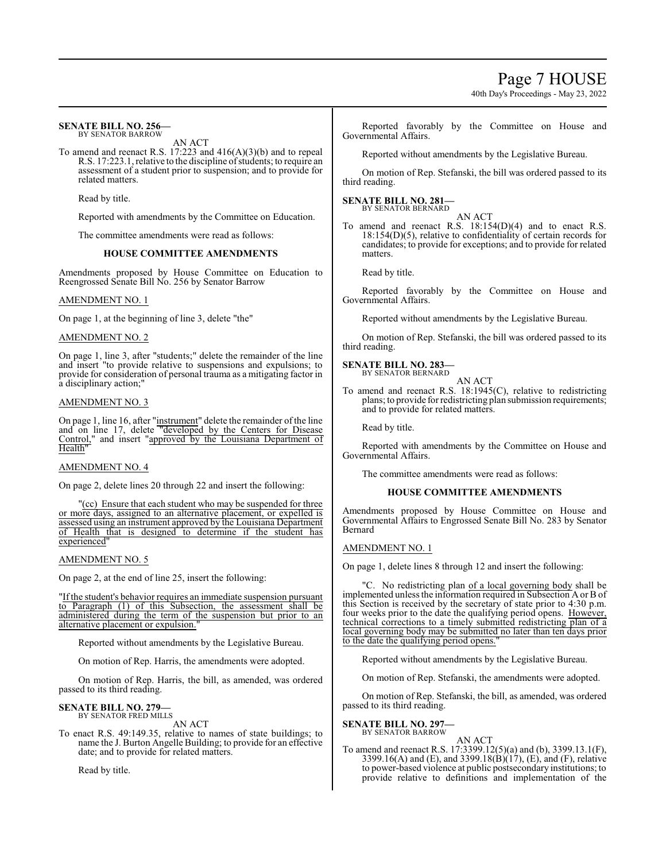40th Day's Proceedings - May 23, 2022

#### **SENATE BILL NO. 256—** BY SENATOR BARROW

AN ACT

To amend and reenact R.S. 17:223 and 416(A)(3)(b) and to repeal R.S. 17:223.1, relative to the discipline of students; to require an assessment of a student prior to suspension; and to provide for related matters.

Read by title.

Reported with amendments by the Committee on Education.

The committee amendments were read as follows:

### **HOUSE COMMITTEE AMENDMENTS**

Amendments proposed by House Committee on Education to Reengrossed Senate Bill No. 256 by Senator Barrow

### AMENDMENT NO. 1

On page 1, at the beginning of line 3, delete "the"

### AMENDMENT NO. 2

On page 1, line 3, after "students;" delete the remainder of the line and insert "to provide relative to suspensions and expulsions; to provide for consideration of personal trauma as a mitigating factor in a disciplinary action;"

### AMENDMENT NO. 3

On page 1, line 16, after "instrument" delete the remainder of the line and on line 17, delete "developed by the Centers for Disease Control," and insert "approved by the Louisiana Department of Health"

### AMENDMENT NO. 4

On page 2, delete lines 20 through 22 and insert the following:

"(cc) Ensure that each student who may be suspended for three or more days, assigned to an alternative placement, or expelled is assessed using an instrument approved by the Louisiana Department of Health that is designed to determine if the student has experienced"

#### AMENDMENT NO. 5

On page 2, at the end of line 25, insert the following:

"If the student's behavior requires an immediate suspension pursuant to Paragraph (1) of this Subsection, the assessment shall be administered during the term of the suspension but prior to an alternative placement or expulsion.

Reported without amendments by the Legislative Bureau.

On motion of Rep. Harris, the amendments were adopted.

On motion of Rep. Harris, the bill, as amended, was ordered passed to its third reading.

#### **SENATE BILL NO. 279—** BY SENATOR FRED MILLS

AN ACT

To enact R.S. 49:149.35, relative to names of state buildings; to name the J. Burton Angelle Building; to provide for an effective date; and to provide for related matters.

Read by title.

Reported favorably by the Committee on House and Governmental Affairs.

Reported without amendments by the Legislative Bureau.

On motion of Rep. Stefanski, the bill was ordered passed to its third reading.

#### **SENATE BILL NO. 281—** BY SENATOR BERNARD

AN ACT

To amend and reenact R.S. 18:154(D)(4) and to enact R.S. 18:154(D)(5), relative to confidentiality of certain records for candidates; to provide for exceptions; and to provide for related matters.

Read by title.

Reported favorably by the Committee on House and Governmental Affairs.

Reported without amendments by the Legislative Bureau.

On motion of Rep. Stefanski, the bill was ordered passed to its third reading.

# **SENATE BILL NO. 283—**

BY SENATOR BERNARD

AN ACT To amend and reenact R.S. 18:1945(C), relative to redistricting plans; to provide for redistricting plan submission requirements; and to provide for related matters.

Read by title.

Reported with amendments by the Committee on House and Governmental Affairs.

The committee amendments were read as follows:

#### **HOUSE COMMITTEE AMENDMENTS**

Amendments proposed by House Committee on House and Governmental Affairs to Engrossed Senate Bill No. 283 by Senator Bernard

### AMENDMENT NO. 1

On page 1, delete lines 8 through 12 and insert the following:

"C. No redistricting plan of a local governing body shall be implemented unless the information required in Subsection A or B of this Section is received by the secretary of state prior to 4:30 p.m. four weeks prior to the date the qualifying period opens. However, technical corrections to a timely submitted redistricting plan of a local governing body may be submitted no later than ten days prior to the date the qualifying period opens.

Reported without amendments by the Legislative Bureau.

On motion of Rep. Stefanski, the amendments were adopted.

On motion of Rep. Stefanski, the bill, as amended, was ordered passed to its third reading.

**SENATE BILL NO. 297—** BY SENATOR BARROW

AN ACT To amend and reenact R.S. 17:3399.12(5)(a) and (b), 3399.13.1(F), 3399.16(A) and (E), and 3399.18(B)(17), (E), and (F), relative to power-based violence at public postsecondary institutions; to provide relative to definitions and implementation of the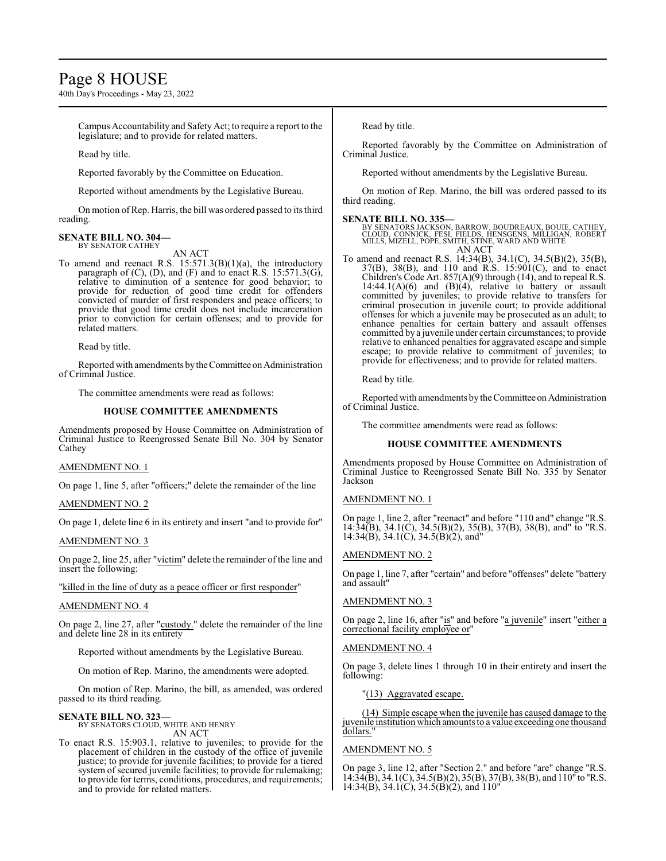# Page 8 HOUSE

40th Day's Proceedings - May 23, 2022

Campus Accountability and Safety Act; to require a report to the legislature; and to provide for related matters.

Read by title.

Reported favorably by the Committee on Education.

Reported without amendments by the Legislative Bureau.

On motion ofRep. Harris, the bill was ordered passed to its third reading.

#### **SENATE BILL NO. 304—** BY SENATOR CATHEY

AN ACT

To amend and reenact R.S. 15:571.3(B)(1)(a), the introductory paragraph of (C), (D), and (F) and to enact R.S. 15:571.3(G), relative to diminution of a sentence for good behavior; to provide for reduction of good time credit for offenders convicted of murder of first responders and peace officers; to provide that good time credit does not include incarceration prior to conviction for certain offenses; and to provide for related matters.

Read by title.

Reported with amendments by the Committee on Administration of Criminal Justice.

The committee amendments were read as follows:

### **HOUSE COMMITTEE AMENDMENTS**

Amendments proposed by House Committee on Administration of Criminal Justice to Reengrossed Senate Bill No. 304 by Senator Cathey

# AMENDMENT NO. 1

On page 1, line 5, after "officers;" delete the remainder of the line

#### AMENDMENT NO. 2

On page 1, delete line 6 in its entirety and insert "and to provide for"

#### AMENDMENT NO. 3

On page 2, line 25, after "victim" delete the remainder of the line and insert the following:

"killed in the line of duty as a peace officer or first responder"

#### AMENDMENT NO. 4

On page 2, line 27, after "custody." delete the remainder of the line and delete line 28 in its entirety

Reported without amendments by the Legislative Bureau.

On motion of Rep. Marino, the amendments were adopted.

On motion of Rep. Marino, the bill, as amended, was ordered passed to its third reading.

#### **SENATE BILL NO. 323—** BY SENATORS CLOUD, WHITE AND HENRY

AN ACT

To enact R.S. 15:903.1, relative to juveniles; to provide for the placement of children in the custody of the office of juvenile justice; to provide for juvenile facilities; to provide for a tiered system of secured juvenile facilities; to provide for rulemaking; to provide for terms, conditions, procedures, and requirements; and to provide for related matters.

Read by title.

Reported favorably by the Committee on Administration of Criminal Justice.

Reported without amendments by the Legislative Bureau.

On motion of Rep. Marino, the bill was ordered passed to its third reading.

**SENATE BILL NO. 335—**<br>BY SENATORS JACKSON, BARROW, BOUDREAUX, BOUIE, CATHEY,<br>CLOUD, CONNICK, FESI, FIELDS, HENSGENS, MILLIGAN, ROBERT<br>MILLS, MIZELL, POPE, SMITH, STINE, WARD AND WHITE AN ACT

To amend and reenact R.S. 14:34(B), 34.1(C), 34.5(B)(2), 35(B), 37(B), 38(B), and 110 and R.S. 15:901(C), and to enact Children's Code Art. 857(A)(9) through (14), and to repeal R.S. 14:44.1(A)(6) and (B)(4), relative to battery or assault committed by juveniles; to provide relative to transfers for criminal prosecution in juvenile court; to provide additional offenses for which a juvenile may be prosecuted as an adult; to enhance penalties for certain battery and assault offenses committed by a juvenile under certain circumstances; to provide relative to enhanced penalties for aggravated escape and simple escape; to provide relative to commitment of juveniles; to provide for effectiveness; and to provide for related matters.

Read by title.

Reported with amendments by the Committee on Administration of Criminal Justice.

The committee amendments were read as follows:

#### **HOUSE COMMITTEE AMENDMENTS**

Amendments proposed by House Committee on Administration of Criminal Justice to Reengrossed Senate Bill No. 335 by Senator Jackson

#### AMENDMENT NO. 1

On page 1, line 2, after "reenact" and before "110 and" change "R.S. 14:34(B), 34.1(C), 34.5(B)(2), 35(B), 37(B), 38(B), and" to "R.S. 14:34(B), 34.1(C), 34.5(B)(2), and"

#### AMENDMENT NO. 2

On page 1, line 7, after "certain" and before "offenses" delete "battery and assault"

### AMENDMENT NO. 3

On page 2, line 16, after "is" and before "a juvenile" insert "either a correctional facility employee or"

#### AMENDMENT NO. 4

On page 3, delete lines 1 through 10 in their entirety and insert the following:

"(13) Aggravated escape.

(14) Simple escape when the juvenile has caused damage to the juvenile institution which amounts to a value exceeding one thousand dollars.

#### AMENDMENT NO. 5

On page 3, line 12, after "Section 2." and before "are" change "R.S. 14:34(B), 34.1(C), 34.5(B)(2), 35(B), 37(B), 38(B), and 110" to "R.S. 14:34(B), 34.1(C), 34.5(B)(2), and 110"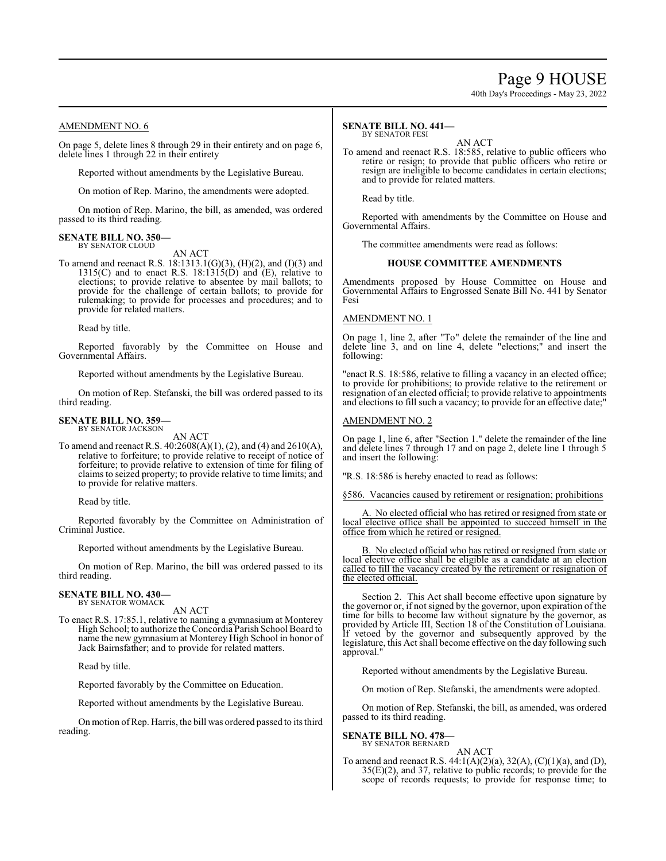# Page 9 HOUSE

40th Day's Proceedings - May 23, 2022

# AMENDMENT NO. 6

On page 5, delete lines 8 through 29 in their entirety and on page 6, delete lines 1 through 22 in their entirety

Reported without amendments by the Legislative Bureau.

On motion of Rep. Marino, the amendments were adopted.

On motion of Rep. Marino, the bill, as amended, was ordered passed to its third reading.

#### **SENATE BILL NO. 350—** BY SENATOR CLOUD

AN ACT

To amend and reenact R.S. 18:1313.1(G)(3), (H)(2), and (I)(3) and  $1315(C)$  and to enact R.S.  $18:1315(D)$  and  $(E)$ , relative to elections; to provide relative to absentee by mail ballots; to provide for the challenge of certain ballots; to provide for rulemaking; to provide for processes and procedures; and to provide for related matters.

Read by title.

Reported favorably by the Committee on House and Governmental Affairs.

Reported without amendments by the Legislative Bureau.

On motion of Rep. Stefanski, the bill was ordered passed to its third reading.

#### **SENATE BILL NO. 359—** BY SENATOR JACKSON

AN ACT

To amend and reenact R.S. 40:2608(A)(1), (2), and (4) and 2610(A), relative to forfeiture; to provide relative to receipt of notice of forfeiture; to provide relative to extension of time for filing of claims to seized property; to provide relative to time limits; and to provide for relative matters.

Read by title.

Reported favorably by the Committee on Administration of Criminal Justice.

Reported without amendments by the Legislative Bureau.

On motion of Rep. Marino, the bill was ordered passed to its third reading.

#### **SENATE BILL NO. 430—** BY SENATOR WOMACK

AN ACT

To enact R.S. 17:85.1, relative to naming a gymnasium at Monterey High School; to authorize the Concordia Parish School Board to name the new gymnasium at Monterey High School in honor of Jack Bairnsfather; and to provide for related matters.

Read by title.

Reported favorably by the Committee on Education.

Reported without amendments by the Legislative Bureau.

On motion ofRep. Harris, the bill was ordered passed to its third reading.

#### **SENATE BILL NO. 441—** BY SENATOR FESI

AN ACT

To amend and reenact R.S. 18:585, relative to public officers who retire or resign; to provide that public officers who retire or resign are ineligible to become candidates in certain elections; and to provide for related matters.

Read by title.

Reported with amendments by the Committee on House and Governmental Affairs.

The committee amendments were read as follows:

#### **HOUSE COMMITTEE AMENDMENTS**

Amendments proposed by House Committee on House and Governmental Affairs to Engrossed Senate Bill No. 441 by Senator Fesi

#### AMENDMENT NO. 1

On page 1, line 2, after "To" delete the remainder of the line and delete line 3, and on line 4, delete "elections;" and insert the following:

"enact R.S. 18:586, relative to filling a vacancy in an elected office; to provide for prohibitions; to provide relative to the retirement or resignation of an elected official; to provide relative to appointments and elections to fill such a vacancy; to provide for an effective date;

#### AMENDMENT NO. 2

On page 1, line 6, after "Section 1." delete the remainder of the line and delete lines 7 through 17 and on page 2, delete line 1 through 5 and insert the following:

"R.S. 18:586 is hereby enacted to read as follows:

§586. Vacancies caused by retirement or resignation; prohibitions

A. No elected official who has retired or resigned from state or local elective office shall be appointed to succeed himself in the office from which he retired or resigned.

B. No elected official who has retired or resigned from state or local elective office shall be eligible as a candidate at an election called to fill the vacancy created by the retirement or resignation of the elected official.

Section 2. This Act shall become effective upon signature by the governor or, if not signed by the governor, upon expiration of the time for bills to become law without signature by the governor, as provided by Article III, Section 18 of the Constitution of Louisiana. If vetoed by the governor and subsequently approved by the legislature, this Act shall become effective on the day following such approval."

Reported without amendments by the Legislative Bureau.

On motion of Rep. Stefanski, the amendments were adopted.

On motion of Rep. Stefanski, the bill, as amended, was ordered passed to its third reading.

**SENATE BILL NO. 478—** BY SENATOR BERNARD

AN ACT

To amend and reenact R.S. 44:1(A)(2)(a), 32(A), (C)(1)(a), and (D), 35(E)(2), and 37, relative to public records; to provide for the scope of records requests; to provide for response time; to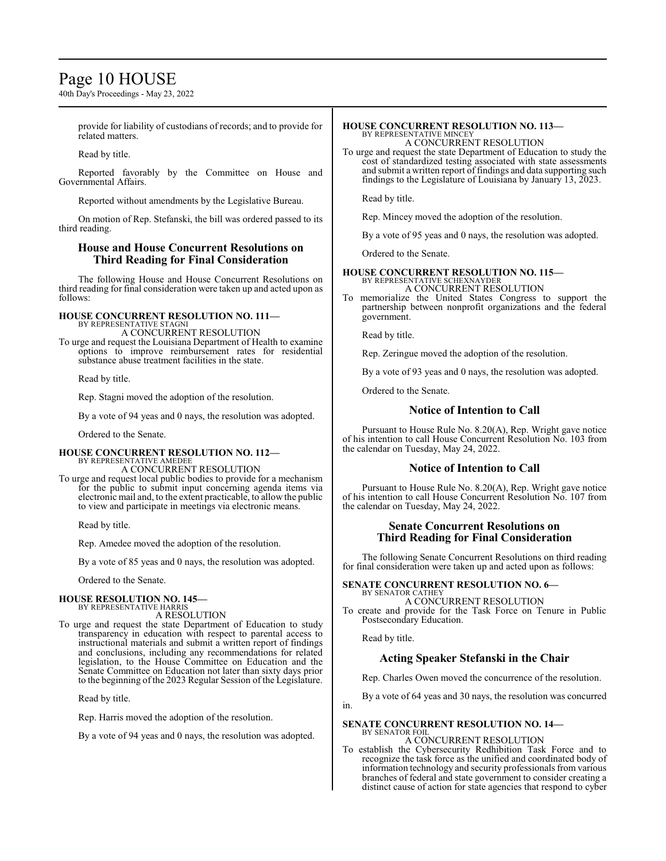# Page 10 HOUSE

40th Day's Proceedings - May 23, 2022

provide for liability of custodians of records; and to provide for related matters.

Read by title.

Reported favorably by the Committee on House and Governmental Affairs.

Reported without amendments by the Legislative Bureau.

On motion of Rep. Stefanski, the bill was ordered passed to its third reading.

# **House and House Concurrent Resolutions on Third Reading for Final Consideration**

The following House and House Concurrent Resolutions on third reading for final consideration were taken up and acted upon as follows:

#### **HOUSE CONCURRENT RESOLUTION NO. 111—** BY REPRESENTATIVE STAGNI

A CONCURRENT RESOLUTION

To urge and request the Louisiana Department of Health to examine options to improve reimbursement rates for residential substance abuse treatment facilities in the state.

Read by title.

Rep. Stagni moved the adoption of the resolution.

By a vote of 94 yeas and 0 nays, the resolution was adopted.

Ordered to the Senate.

#### **HOUSE CONCURRENT RESOLUTION NO. 112—** BY REPRESENTATIVE AMEDEE A CONCURRENT RESOLUTION

To urge and request local public bodies to provide for a mechanism for the public to submit input concerning agenda items via electronic mail and, to the extent practicable, to allow the public to view and participate in meetings via electronic means.

Read by title.

Rep. Amedee moved the adoption of the resolution.

By a vote of 85 yeas and 0 nays, the resolution was adopted.

Ordered to the Senate.

#### **HOUSE RESOLUTION NO. 145—** BY REPRESENTATIVE HARRIS

A RESOLUTION

To urge and request the state Department of Education to study transparency in education with respect to parental access to instructional materials and submit a written report of findings and conclusions, including any recommendations for related legislation, to the House Committee on Education and the Senate Committee on Education not later than sixty days prior to the beginning of the 2023 Regular Session of the Legislature.

Read by title.

Rep. Harris moved the adoption of the resolution.

By a vote of 94 yeas and 0 nays, the resolution was adopted.

#### **HOUSE CONCURRENT RESOLUTION NO. 113—** BY REPRESENTATIVE MINCEY

A CONCURRENT RESOLUTION

To urge and request the state Department of Education to study the cost of standardized testing associated with state assessments and submit a written report of findings and data supporting such findings to the Legislature of Louisiana by January 13, 2023.

Read by title.

Rep. Mincey moved the adoption of the resolution.

By a vote of 95 yeas and 0 nays, the resolution was adopted.

Ordered to the Senate.

# **HOUSE CONCURRENT RESOLUTION NO. 115—**

BY REPRESENTATIVE SCHEXNAYDER A CONCURRENT RESOLUTION

To memorialize the United States Congress to support the partnership between nonprofit organizations and the federal government.

Read by title.

Rep. Zeringue moved the adoption of the resolution.

By a vote of 93 yeas and 0 nays, the resolution was adopted.

Ordered to the Senate.

# **Notice of Intention to Call**

Pursuant to House Rule No. 8.20(A), Rep. Wright gave notice of his intention to call House Concurrent Resolution No. 103 from the calendar on Tuesday, May 24, 2022.

# **Notice of Intention to Call**

Pursuant to House Rule No. 8.20(A), Rep. Wright gave notice of his intention to call House Concurrent Resolution No. 107 from the calendar on Tuesday, May 24, 2022.

# **Senate Concurrent Resolutions on Third Reading for Final Consideration**

The following Senate Concurrent Resolutions on third reading for final consideration were taken up and acted upon as follows:

**SENATE CONCURRENT RESOLUTION NO. 6—** BY SENATOR CATHEY

A CONCURRENT RESOLUTION To create and provide for the Task Force on Tenure in Public Postsecondary Education.

Read by title.

# **Acting Speaker Stefanski in the Chair**

Rep. Charles Owen moved the concurrence of the resolution.

By a vote of 64 yeas and 30 nays, the resolution was concurred in.

#### **SENATE CONCURRENT RESOLUTION NO. 14—** BY SENATOR FOIL

A CONCURRENT RESOLUTION

To establish the Cybersecurity Redhibition Task Force and to recognize the task force as the unified and coordinated body of information technology and security professionals from various branches of federal and state government to consider creating a distinct cause of action for state agencies that respond to cyber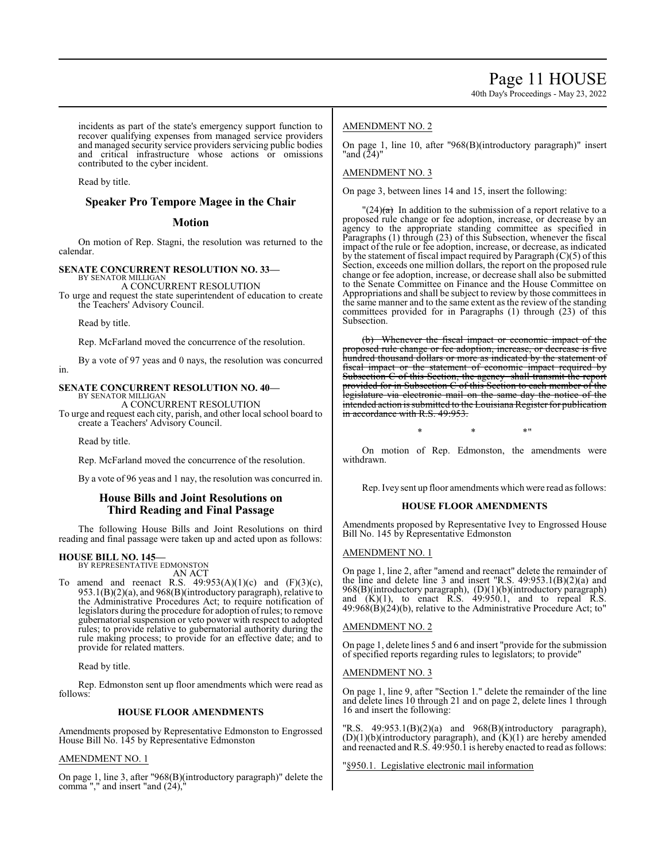incidents as part of the state's emergency support function to recover qualifying expenses from managed service providers and managed security service providers servicing public bodies and critical infrastructure whose actions or omissions contributed to the cyber incident.

Read by title.

# **Speaker Pro Tempore Magee in the Chair**

# **Motion**

On motion of Rep. Stagni, the resolution was returned to the calendar.

#### **SENATE CONCURRENT RESOLUTION NO. 33—** BY SENATOR MILLIGAN

A CONCURRENT RESOLUTION

To urge and request the state superintendent of education to create the Teachers' Advisory Council.

Read by title.

Rep. McFarland moved the concurrence of the resolution.

By a vote of 97 yeas and 0 nays, the resolution was concurred in.

# **SENATE CONCURRENT RESOLUTION NO. 40—**

BY SENATOR MILLIGAN A CONCURRENT RESOLUTION

To urge and request each city, parish, and other local school board to create a Teachers' Advisory Council.

Read by title.

Rep. McFarland moved the concurrence of the resolution.

By a vote of 96 yeas and 1 nay, the resolution was concurred in.

# **House Bills and Joint Resolutions on Third Reading and Final Passage**

The following House Bills and Joint Resolutions on third reading and final passage were taken up and acted upon as follows:

# **HOUSE BILL NO. 145—**

BY REPRESENTATIVE EDMONSTON AN ACT

To amend and reenact R.S.  $49:953(A)(1)(c)$  and  $(F)(3)(c)$ , 953.1(B)(2)(a), and 968(B)(introductory paragraph), relative to the Administrative Procedures Act; to require notification of legislators during the procedure for adoption ofrules; to remove gubernatorial suspension or veto power with respect to adopted rules; to provide relative to gubernatorial authority during the rule making process; to provide for an effective date; and to provide for related matters.

Read by title.

Rep. Edmonston sent up floor amendments which were read as follows:

# **HOUSE FLOOR AMENDMENTS**

Amendments proposed by Representative Edmonston to Engrossed House Bill No. 145 by Representative Edmonston

# AMENDMENT NO. 1

On page 1, line 3, after "968(B)(introductory paragraph)" delete the comma "," and insert "and  $(24)$ ,"

# AMENDMENT NO. 2

On page 1, line 10, after "968(B)(introductory paragraph)" insert "and (24)"

# AMENDMENT NO. 3

On page 3, between lines 14 and 15, insert the following:

 $\frac{1}{24}$  In addition to the submission of a report relative to a proposed rule change or fee adoption, increase, or decrease by an agency to the appropriate standing committee as specified in Paragraphs (1) through (23) of this Subsection, whenever the fiscal impact of the rule or fee adoption, increase, or decrease, as indicated by the statement of fiscal impact required by Paragraph (C)(5) of this Section, exceeds one million dollars, the report on the proposed rule change or fee adoption, increase, or decrease shall also be submitted to the Senate Committee on Finance and the House Committee on Appropriations and shall be subject to review by those committees in the same manner and to the same extent as the review of the standing committees provided for in Paragraphs (1) through (23) of this Subsection.

(b) Whenever the fiscal impact or economic impact of the proposed rule change or fee adoption, increase, or decrease is five hundred thousand dollars or more as indicated by the statement of fiscal impact or the statement of economic impact required by Subsection C of this Section, the agency shall transmit the report Subsection C of this Section, the agency provided for in Subsection C of this Section to each member of the legislature via electronic mail on the same day the notice of the intended action is submitted to the Louisiana Register for publication in accordance with R.S. 49:953.

 $*$  \*  $*$  \*

On motion of Rep. Edmonston, the amendments were withdrawn.

Rep. Ivey sent up floor amendments which were read as follows:

# **HOUSE FLOOR AMENDMENTS**

Amendments proposed by Representative Ivey to Engrossed House Bill No. 145 by Representative Edmonston

# AMENDMENT NO. 1

On page 1, line 2, after "amend and reenact" delete the remainder of the line and delete line 3 and insert "R.S. 49:953.1(B)(2)(a) and 968(B)(introductory paragraph), (D)(1)(b)(introductory paragraph) and  $(K)(1)$ , to enact R.S. 49:950.1, and to repeal R.S.  $49:968(B)(24)(b)$ , relative to the Administrative Procedure Act; to"

# AMENDMENT NO. 2

On page 1, delete lines 5 and 6 and insert "provide for the submission of specified reports regarding rules to legislators; to provide"

# AMENDMENT NO. 3

On page 1, line 9, after "Section 1." delete the remainder of the line and delete lines 10 through 21 and on page 2, delete lines 1 through 16 and insert the following:

 $'R.S.$  49:953.1 $(B)(2)(a)$  and 968 $(B)(introduction$  paragraph),  $(D)(1)(b)$ (introductory paragraph), and  $(K)(1)$  are hereby amended and reenacted and R.S. 49:950.1 is hereby enacted to read as follows:

"§950.1. Legislative electronic mail information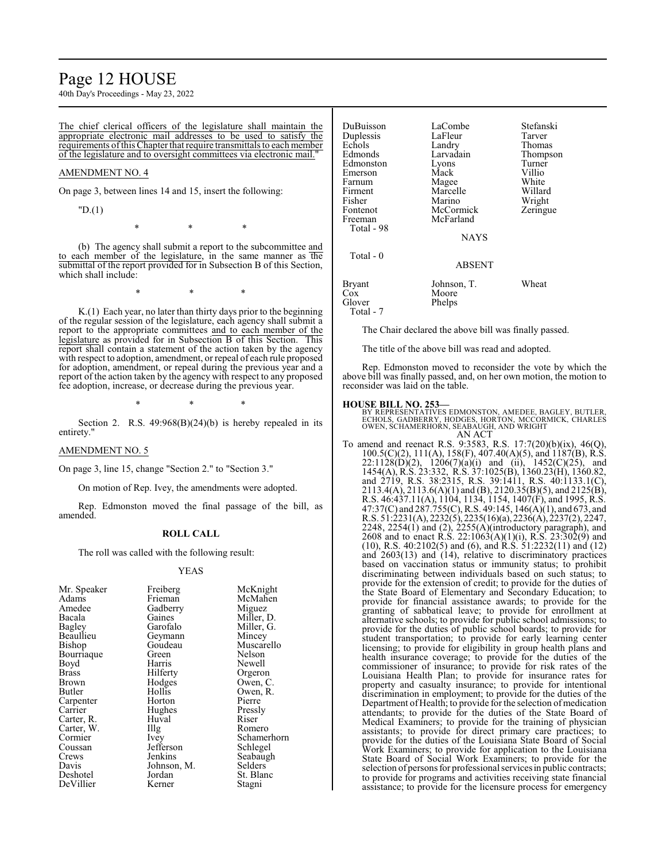# Page 12 HOUSE

40th Day's Proceedings - May 23, 2022

The chief clerical officers of the legislature shall maintain the appropriate electronic mail addresses to be used to satisfy the requirements ofthis Chapter that require transmittals to each member of the legislature and to oversight committees via electronic mail."

# AMENDMENT NO. 4

On page 3, between lines 14 and 15, insert the following:

"D.(1)

\* \* \*

(b) The agency shall submit a report to the subcommittee and to each member of the legislature, in the same manner as the submittal of the report provided for in Subsection B of this Section, which shall include:

\* \* \*

K.(1) Each year, no later than thirty days prior to the beginning of the regular session of the legislature, each agency shall submit a report to the appropriate committees and to each member of the legislature as provided for in Subsection B of this Section. This report shall contain a statement of the action taken by the agency with respect to adoption, amendment, or repeal of each rule proposed for adoption, amendment, or repeal during the previous year and a report of the action taken by the agency with respect to any proposed fee adoption, increase, or decrease during the previous year.

\* \* \*

Section 2. R.S.  $49:968(B)(24)(b)$  is hereby repealed in its entirety."

#### AMENDMENT NO. 5

On page 3, line 15, change "Section 2." to "Section 3."

On motion of Rep. Ivey, the amendments were adopted.

Rep. Edmonston moved the final passage of the bill, as amended.

#### **ROLL CALL**

The roll was called with the following result:

#### YEAS

| DuBuisson<br>Duplessis<br>Echols<br>Edmonds<br>Edmonston<br>Emerson<br>Farnum<br>Firment<br>Fisher<br>Fontenot<br>Freeman<br>Total - 98<br>$Total - 0$ | LaCombe<br>LaFleur<br>Landry<br>Larvadain<br>Lyons<br>Mack<br>Magee<br>Marcelle<br>Marino<br>McCormick<br>McFarland<br><b>NAYS</b><br><b>ABSENT</b> | Stefanski<br>Tarver<br>Thomas<br>Thompson<br>Turner<br>Villio<br>White<br>Willard<br>Wright<br>Zeringue |
|--------------------------------------------------------------------------------------------------------------------------------------------------------|-----------------------------------------------------------------------------------------------------------------------------------------------------|---------------------------------------------------------------------------------------------------------|
|                                                                                                                                                        |                                                                                                                                                     |                                                                                                         |
| <b>Bryant</b><br>Cox<br>Glover<br>Total - 7                                                                                                            | Johnson, T.<br>Moore<br>Phelps                                                                                                                      | Wheat                                                                                                   |

The Chair declared the above bill was finally passed.

The title of the above bill was read and adopted.

Rep. Edmonston moved to reconsider the vote by which the above bill was finally passed, and, on her own motion, the motion to reconsider was laid on the table.

#### **HOUSE BILL NO. 253—**

BY REPRESENTATIVES EDMONSTON, AMEDEE, BAGLEY, BUTLER,<br>ECHOLS, GADBERRY, HODGES, HORTON, MCCORMICK, CHARLES<br>OWEN, SCHAMERHORN, SEABAUGH, AND WRIGHT

AN ACT To amend and reenact R.S. 9:3583, R.S. 17:7(20)(b)(ix), 46(Q), 100.5(C)(2), 111(A), 158(F), 407.40(A)(5), and 1187(B), R.S.  $22:1128(D)(2)$ ,  $1206(7)(a)(i)$  and (ii),  $1452(C)(25)$ , and 1454(A), R.S. 23:332, R.S. 37:1025(B), 1360.23(H), 1360.82, and 2719, R.S. 38:2315, R.S. 39:1411, R.S. 40:1133.1(C),  $2113.4(A)$ ,  $2113.6(A)(1)$  and  $(B)$ ,  $2120.35(B)(5)$ , and  $2125(B)$ , R.S. 46:437.11(A), 1104, 1134, 1154, 1407(F), and 1995, R.S. 47:37(C) and 287.755(C), R.S. 49:145, 146(A)(1), and 673, and R.S. 51:2231(A), 2232(5), 2235(16)(a), 2236(A), 2237(2), 2247, 2248, 2254(1) and (2), 2255(A)(introductory paragraph), and 2608 and to enact R.S. 22:1063(A)(1)(i), R.S. 23:302(9) and (10), R.S. 40:2102(5) and (6), and R.S. 51:2232(11) and (12) and 2603(13) and (14), relative to discriminatory practices based on vaccination status or immunity status; to prohibit discriminating between individuals based on such status; to provide for the extension of credit; to provide for the duties of the State Board of Elementary and Secondary Education; to provide for financial assistance awards; to provide for the granting of sabbatical leave; to provide for enrollment at alternative schools; to provide for public school admissions; to provide for the duties of public school boards; to provide for student transportation; to provide for early learning center licensing; to provide for eligibility in group health plans and health insurance coverage; to provide for the duties of the commissioner of insurance; to provide for risk rates of the Louisiana Health Plan; to provide for insurance rates for property and casualty insurance; to provide for intentional discrimination in employment; to provide for the duties of the Department of Health; to provide for the selection of medication attendants; to provide for the duties of the State Board of Medical Examiners; to provide for the training of physician assistants; to provide for direct primary care practices; to provide for the duties of the Louisiana State Board of Social Work Examiners; to provide for application to the Louisiana State Board of Social Work Examiners; to provide for the selection of persons for professional servicesin public contracts; to provide for programs and activities receiving state financial assistance; to provide for the licensure process for emergency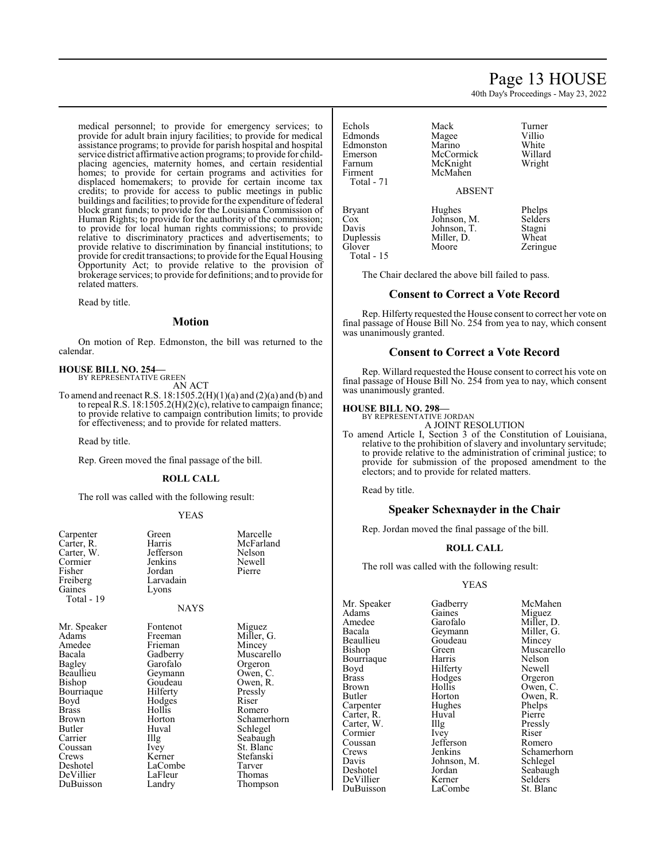#### medical personnel; to provide for emergency services; to provide for adult brain injury facilities; to provide for medical assistance programs; to provide for parish hospital and hospital service district affirmative action programs; to provide for childplacing agencies, maternity homes, and certain residential homes; to provide for certain programs and activities for displaced homemakers; to provide for certain income tax credits; to provide for access to public meetings in public buildings and facilities; to provide for the expenditure of federal block grant funds; to provide for the Louisiana Commission of Human Rights; to provide for the authority of the commission; to provide for local human rights commissions; to provide relative to discriminatory practices and advertisements; to provide relative to discrimination by financial institutions; to provide for credit transactions; to provide for the Equal Housing Opportunity Act; to provide relative to the provision of brokerage services; to provide for definitions; and to provide for related matters.

Read by title.

#### **Motion**

On motion of Rep. Edmonston, the bill was returned to the calendar.

#### **HOUSE BILL NO. 254—** BY REPRESENTATIVE GREEN

AN ACT

To amend and reenact R.S. 18:1505.2(H)(1)(a) and (2)(a) and (b) and to repeal R.S. 18:1505.2(H)(2)(c), relative to campaign finance; to provide relative to campaign contribution limits; to provide for effectiveness; and to provide for related matters.

Read by title.

Rep. Green moved the final passage of the bill.

#### **ROLL CALL**

The roll was called with the following result:

#### YEAS

| Carpenter<br>Carter, R.<br>Carter, W.<br>Cormier<br>Fisher<br>Freiberg<br>Gaines<br>Total - 19 | Green<br>Harris<br>Jefferson<br>Jenkins<br>Jordan<br>Larvadain<br>Lyons<br><b>NAYS</b> | Marcelle<br>McFarland<br>Nelson<br>Newell<br>Pierre |
|------------------------------------------------------------------------------------------------|----------------------------------------------------------------------------------------|-----------------------------------------------------|
| Mr. Speaker                                                                                    | Fontenot                                                                               | Miguez                                              |
| Adams                                                                                          | Freeman                                                                                | Miller, G.                                          |
| Amedee                                                                                         | Frieman                                                                                | Mincey                                              |
| Bacala                                                                                         | Gadberry                                                                               | Muscarello                                          |
| Bagley                                                                                         | Garofalo                                                                               | Orgeron                                             |
| Beaullieu                                                                                      | Geymann                                                                                | Owen, C.                                            |
| Bishop                                                                                         | Goudeau                                                                                | Owen, R.                                            |
| Bourriaque                                                                                     | Hilferty                                                                               | Pressly                                             |
| Boyd                                                                                           | Hodges                                                                                 | Riser                                               |
| Brass                                                                                          | Hollis                                                                                 | Romero                                              |
| Brown                                                                                          | Horton                                                                                 | Schamerhorn                                         |
| Butler                                                                                         | Huval                                                                                  | Schlegel                                            |
| Carrier                                                                                        | Illg                                                                                   | Seabaugh                                            |
| Coussan                                                                                        | Ivey                                                                                   | St. Blanc                                           |
| Crews                                                                                          | Kerner                                                                                 | Stefanski                                           |
| Deshotel                                                                                       | LaCombe                                                                                | Tarver                                              |
| DeVillier                                                                                      | LaFleur                                                                                | Thomas                                              |
| DuBuisson                                                                                      | Landry                                                                                 | Thompson                                            |

# Page 13 HOUSE

40th Day's Proceedings - May 23, 2022

| Echols        | Mack          | Turner  |
|---------------|---------------|---------|
| Edmonds       | Magee         | Villio  |
| Edmonston     | Marino        | White   |
| Emerson       | McCormick     | Willard |
| Farnum        | McKnight      | Wright  |
| Firment       | McMahen       |         |
| Total - 71    |               |         |
|               | <b>ABSENT</b> |         |
| <b>Bryant</b> | Hughes        | Phelps  |
| Cox           | Johnson, M.   | Selders |
| Davis         | Johnson, T.   | Stagni  |
| Duplessis     | Miller, D.    | Wheat   |
| Glover        | Moore         | Zeringu |

Total - 15

Phelps<br>M. Selders Selders Stagni Zeringue

The Chair declared the above bill failed to pass.

#### **Consent to Correct a Vote Record**

Rep. Hilferty requested the House consent to correct her vote on final passage of House Bill No. 254 from yea to nay, which consent was unanimously granted.

## **Consent to Correct a Vote Record**

Rep. Willard requested the House consent to correct his vote on final passage of House Bill No. 254 from yea to nay, which consent was unanimously granted.

# **HOUSE BILL NO. 298—**

BY REPRESENTATIVE JORDAN A JOINT RESOLUTION

To amend Article I, Section 3 of the Constitution of Louisiana, relative to the prohibition of slavery and involuntary servitude; to provide relative to the administration of criminal justice; to provide for submission of the proposed amendment to the electors; and to provide for related matters.

Read by title.

# **Speaker Schexnayder in the Chair**

Rep. Jordan moved the final passage of the bill.

#### **ROLL CALL**

The roll was called with the following result:

#### YEAS

Adams Gaines Miguez Amedee Garofalo Miller, D.<br>Bacala Geymann Miller, G. Bacala Geymann<br>Beaullieu Goudeau Beaullieu Goudeau Mincey<br>Bishop Green Muscare Bourriaque Harris Nelson<br>Boyd Hilferty Newell Boyd Hilferty<br>Brass Hodges Brass Hodges Orgeron<br>Brown Hollis Owen Brown Hollis Owen, C.<br>Butler Horton Owen, R. Carpenter Hughes Phelps<br>Carter, R. Huval Pierre Carter, R. Huval Pierre<br>Carter, W. Illg Pressly Carter, W. Illg Pressl<br>Cormier Ivev Riser Cormier Ivey Riser<br>
Coussan Jefferson Romero Coussan Jefferson<br>Crews Jenkins Davis Johnson, M.<br>Deshotel Jordan DeVillier Kerner Selders<br>DuBuisson LaCombe St. Blanc DuBuisson

Mr. Speaker Gadberry McMahen<br>Adams Gaines Miguez Green Muscarello<br>Harris Nelson Horton Owen, R.<br>Hughes Phelps Crews Jenkins Schamerhorn<br>
Davis Johnson, M. Schlegel Jordan Seabaugh<br>Kerner Selders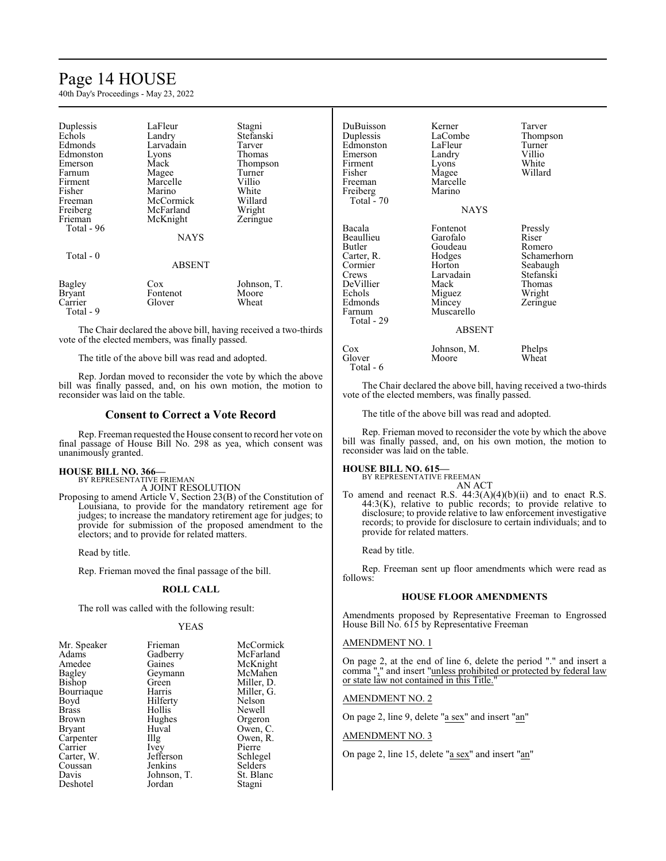# Page 14 HOUSE

40th Day's Proceedings - May 23, 2022

| Duplessis<br>Echols<br>Edmonds<br>Edmonston<br>Emerson<br>Farnum<br>Firment<br>Fisher<br>Freeman<br>Freiberg<br>Frieman<br>Total - 96 | LaFleur<br>Landry<br>Larvadain<br>Lyons<br>Mack<br>Magee<br>Marcelle<br>Marino<br>McCormick<br>McFarland<br>McKnight<br><b>NAYS</b> | Stagni<br>Stefanski<br>Tarver<br>Thomas<br>Thompson<br>Turner<br>Villio<br>White<br>Willard<br>Wright<br>Zeringue |
|---------------------------------------------------------------------------------------------------------------------------------------|-------------------------------------------------------------------------------------------------------------------------------------|-------------------------------------------------------------------------------------------------------------------|
| Total - 0                                                                                                                             | <b>ABSENT</b>                                                                                                                       |                                                                                                                   |
| <b>Bagley</b><br><b>Bryant</b><br>Carrier<br>Total - 9                                                                                | Cox<br>Fontenot<br>Glover                                                                                                           | Johnson, T.<br>Moore<br>Wheat                                                                                     |

The Chair declared the above bill, having received a two-thirds vote of the elected members, was finally passed.

The title of the above bill was read and adopted.

Rep. Jordan moved to reconsider the vote by which the above bill was finally passed, and, on his own motion, the motion to reconsider was laid on the table.

#### **Consent to Correct a Vote Record**

Rep. Freeman requested the House consent to record her vote on final passage of House Bill No. 298 as yea, which consent was unanimously granted.

#### **HOUSE BILL NO. 366—** BY REPRESENTATIVE FRIEMAN

A JOINT RESOLUTION

Proposing to amend Article V, Section 23(B) of the Constitution of Louisiana, to provide for the mandatory retirement age for judges; to increase the mandatory retirement age for judges; to provide for submission of the proposed amendment to the electors; and to provide for related matters.

Read by title.

Rep. Frieman moved the final passage of the bill.

### **ROLL CALL**

The roll was called with the following result:

#### YEAS

| Mr. Speaker   | Frieman     | McCormick  |
|---------------|-------------|------------|
| Adams         | Gadberry    | McFarland  |
| Amedee        | Gaines      | McKnight   |
| Bagley        | Geymann     | McMahen    |
| Bishop        | Green       | Miller, D. |
| Bourriaque    | Harris      | Miller, G. |
| Boyd          | Hilferty    | Nelson     |
| <b>Brass</b>  | Hollis      | Newell     |
| Brown         | Hughes      | Orgeron    |
| <b>Bryant</b> | Huval       | Owen, C.   |
| Carpenter     | Illg        | Owen, R.   |
| Carrier       | Ivey        | Pierre     |
| Carter, W.    | Jefferson   | Schlegel   |
| Coussan       | Jenkins     | Selders    |
| Davis         | Johnson, T. | St. Blanc  |
| Deshotel      | Jordan      | Stagni     |

| DuBuisson<br>Duplessis<br>Edmonston<br>Emerson<br>Firment<br>Fisher<br>Freeman<br>Freiberg<br>Total - $70$                | Kerner<br>LaCombe<br>LaFleur<br>Landry<br>Lyons<br>Magee<br>Marcelle<br>Marino                                              | Tarver<br>Thompson<br>Turner<br>Villio<br>White<br>Willard                                         |
|---------------------------------------------------------------------------------------------------------------------------|-----------------------------------------------------------------------------------------------------------------------------|----------------------------------------------------------------------------------------------------|
|                                                                                                                           | NAYS                                                                                                                        |                                                                                                    |
| Bacala<br>Beaullieu<br>Butler<br>Carter, R.<br>Cormier<br>Crews<br>DeVillier<br>Echols<br>Edmonds<br>Farnum<br>Total - 29 | Fontenot<br>Garofalo<br>Goudeau<br>Hodges<br>Horton<br>Larvadain<br>Mack<br>Miguez<br>Mincey<br>Muscarello<br><b>ABSENT</b> | Pressly<br>Riser<br>Romero<br>Schamerhorn<br>Seabaugh<br>Stefanski<br>Thomas<br>Wright<br>Zeringue |
| Cox<br>Glover                                                                                                             | Johnson, M.<br>Moore                                                                                                        | Phelps<br>Wheat                                                                                    |

The Chair declared the above bill, having received a two-thirds vote of the elected members, was finally passed.

The title of the above bill was read and adopted.

Rep. Frieman moved to reconsider the vote by which the above bill was finally passed, and, on his own motion, the motion to reconsider was laid on the table.

Total - 6

**HOUSE BILL NO. 615—** BY REPRESENTATIVE FREEMAN AN ACT

To amend and reenact R.S. 44:3(A)(4)(b)(ii) and to enact R.S.  $44:3(K)$ , relative to public records; to provide relative to disclosure; to provide relative to law enforcement investigative records; to provide for disclosure to certain individuals; and to provide for related matters.

Read by title.

Rep. Freeman sent up floor amendments which were read as follows:

# **HOUSE FLOOR AMENDMENTS**

Amendments proposed by Representative Freeman to Engrossed House Bill No. 615 by Representative Freeman

# AMENDMENT NO. 1

On page 2, at the end of line 6, delete the period "." and insert a comma "," and insert "unless prohibited or protected by federal law or state law not contained in this Title."

#### AMENDMENT NO. 2

On page 2, line 9, delete "a sex" and insert "an"

AMENDMENT NO. 3

On page 2, line 15, delete "a sex" and insert "an"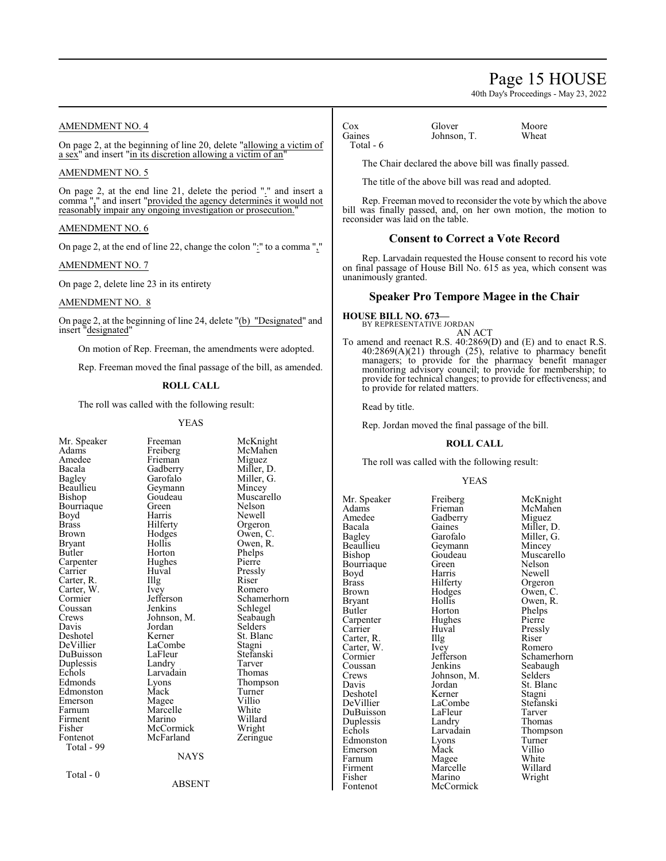# Page 15 HOUSE

40th Day's Proceedings - May 23, 2022

# AMENDMENT NO. 4

On page 2, at the beginning of line 20, delete "allowing a victim of a sex" and insert "in its discretion allowing a victim of an"

### AMENDMENT NO. 5

On page 2, at the end line 21, delete the period "." and insert a comma "," and insert "provided the agency determines it would not reasonably impair any ongoing investigation or prosecution."

#### AMENDMENT NO. 6

On page 2, at the end of line 22, change the colon ":" to a comma ","

AMENDMENT NO. 7

On page 2, delete line 23 in its entirety

# AMENDMENT NO. 8

On page 2, at the beginning of line 24, delete "(b) "Designated" and insert "designated"

On motion of Rep. Freeman, the amendments were adopted.

Rep. Freeman moved the final passage of the bill, as amended.

#### **ROLL CALL**

The roll was called with the following result:

#### YEAS

| Mr. Speaker | Freeman     | McKnig    |
|-------------|-------------|-----------|
| Adams       | Freiberg    | McMah     |
| Amedee      | Frieman     | Miguez    |
| Bacala      | Gadberry    | Miller, l |
| Bagley      | Garofalo    | Miller,   |
| Beaullieu   | Geymann     | Mincey    |
| Bishop      | Goudeau     | Muscare   |
| Bourriaque  | Green       | Nelson    |
| Boyd        | Harris      | Newell    |
| Brass       | Hilferty    | Orgeror   |
| Brown       | Hodges      | Owen, 0   |
| Bryant      | Hollis      | Owen, I   |
| Butler      | Horton      | Phelps    |
| Carpenter   | Hughes      | Pierre    |
| Carrier     | Huval       | Pressly   |
| Carter, R.  | Illg        | Riser     |
| Carter, W.  | Ivey        | Romero    |
| Cormier     | Jefferson   | Schame    |
| Coussan     | Jenkins     | Schlege   |
| Crews       | Johnson, M. | Seabaug   |
| Davis       | Jordan      | Selders   |
| Deshotel    | Kerner      | St. Blan  |
| DeVillier   | LaCombe     | Stagni    |
| DuBuisson   | LaFleur     | Stefansl  |
| Duplessis   | Landry      | Tarver    |
| Echols      | Larvadain   | Thomas    |
| Edmonds     | Lyons       | Thomps    |
| Edmonston   | Mack        | Turner    |
| Emerson     | Magee       | Villio    |
| Farnum      | Marcelle    | White     |
| Firment     | Marino      | Willard   |
| Fisher      | McCormick   | Wright    |
| Fontenot    | McFarland   | Zeringu   |
| Total - 99  |             |           |
|             | <b>NAYS</b> |           |
| Total - 0   |             |           |
|             | ABSENT      |           |
|             |             |           |

McKnight McMahen<br>Miguez Miller, D. Miller, G. Mincey Muscarello<br>Nelson Newell Orgeron Owen, C. Owen, R. Phelps Pierre Pressly<br>Riser Romero Schamerhorn Schlegel Seabaugh Selders<sup>®</sup> St. Blanc Stagni Stefanski<br>Tarver Thompson Turner<br>Villio White Willard Wright Zeringue

Total - 6

Cox Glover Moore<br>
Gaines Johnson T. Wheat Johnson, T.

The Chair declared the above bill was finally passed.

The title of the above bill was read and adopted.

Rep. Freeman moved to reconsider the vote by which the above bill was finally passed, and, on her own motion, the motion to reconsider was laid on the table.

# **Consent to Correct a Vote Record**

Rep. Larvadain requested the House consent to record his vote on final passage of House Bill No. 615 as yea, which consent was unanimously granted.

# **Speaker Pro Tempore Magee in the Chair**

# **HOUSE BILL NO. 673—** BY REPRESENTATIVE JORDAN

AN ACT

To amend and reenact R.S. 40:2869(D) and (E) and to enact R.S. 40:2869(A)(21) through (25), relative to pharmacy benefit managers; to provide for the pharmacy benefit manager monitoring advisory council; to provide for membership; to provide for technical changes; to provide for effectiveness; and to provide for related matters.

Read by title.

Rep. Jordan moved the final passage of the bill.

#### **ROLL CALL**

The roll was called with the following result:

#### YEAS

Mr. Speaker Freiberg McKnight<br>
Adams Frieman McMahen Adams Frieman McMahen Amedee Gadberry<br>Bacala Gaines Bacala Gaines Miller, D.<br>Bagley Garofalo Miller, G. Bagley Garofalo Miller, G.<br>Beaullieu Geymann Mincey Beaullieu Geymann<br>Bishop Goudeau Bourriaque Green<br>Boyd Harris Boyd Harris Newell<br>Brass Hilferty Orgeron Brass Hilferty Orgeron<br>Brown Hodges Owen, C Brown Hodges Owen, C.<br>Bryant Hollis Owen. R. Bryant Hollis Owen, R.<br>Butler Horton Phelps Carpenter Hughe<br>Carrier Huval Carter, R. Illg. Riser<br>Carter, W. Ivey Romero Carter, W. Ivey<br>Cormier Jefferson Coussan Jenkins Seabaugh<br>Crews Johnson M. Selders Crews Johnson, M.<br>Davis Jordan Deshotel Kerner Stagni<br>
DeVillier LaCombe Stefanski DuBuisson LaFleur Tarver Duplessis Landry<br>Echols Larvadain Edmonston Lyons Turner<br>Emerson Mack Villio Emerson Mack Villio<br>
Farnum Magee White Farnum Magee White<br>
Firment Marcelle Willard Firment Marcelle<br>Fisher Marino Fisher Marino Wright

Horton Phelps<br>Hughes Pierre Huval Pressly<br>Illg Riser Jordan St. Blanc<br>Kerner Stagni LaCombe Stefans<br>LaFleur Tarver McCormick

Goudeau Muscarello<br>Green Nelson Cormier Jefferson Schamerhorn<br>
Coussan Jenkins Seabaugh Larvadain Thompson<br>Lyons Turner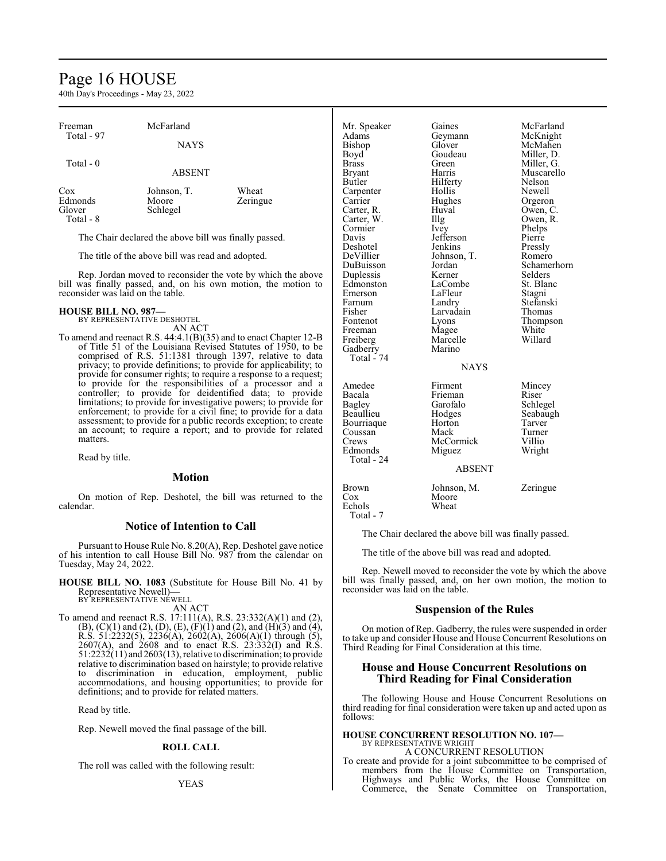# Page 16 HOUSE

40th Day's Proceedings - May 23, 2022

| Freeman                               | McFarland                        |                   |
|---------------------------------------|----------------------------------|-------------------|
| Total - 97                            | <b>NAYS</b>                      |                   |
| Total - 0                             | <b>ABSENT</b>                    |                   |
| Cox<br>Edmonds<br>Glover<br>Total - 8 | Johnson, T.<br>Moore<br>Schlegel | Wheat<br>Zeringue |

The Chair declared the above bill was finally passed.

The title of the above bill was read and adopted.

Rep. Jordan moved to reconsider the vote by which the above bill was finally passed, and, on his own motion, the motion to reconsider was laid on the table.

# **HOUSE BILL NO. 987—** BY REPRESENTATIVE DESHOTEL

AN ACT

To amend and reenact R.S. 44:4.1(B)(35) and to enact Chapter 12-B of Title 51 of the Louisiana Revised Statutes of 1950, to be comprised of R.S. 51:1381 through 1397, relative to data privacy; to provide definitions; to provide for applicability; to provide for consumer rights; to require a response to a request; to provide for the responsibilities of a processor and a controller; to provide for deidentified data; to provide limitations; to provide for investigative powers; to provide for enforcement; to provide for a civil fine; to provide for a data assessment; to provide for a public records exception; to create an account; to require a report; and to provide for related matters.

Read by title.

# **Motion**

On motion of Rep. Deshotel, the bill was returned to the calendar.

# **Notice of Intention to Call**

Pursuant to House Rule No. 8.20(A), Rep. Deshotel gave notice of his intention to call House Bill No. 987 from the calendar on Tuesday, May 24, 2022.

**HOUSE BILL NO. 1083** (Substitute for House Bill No. 41 by Representative Newell)**—** BY REPRESENTATIVE NEWELL

AN ACT

To amend and reenact R.S. 17:111(A), R.S. 23:332(A)(1) and (2),  $(B)$ ,  $(C)(1)$  and  $(2)$ ,  $(D)$ ,  $(E)$ ,  $(F)(1)$  and  $(2)$ , and  $(H)(3)$  and  $(4)$ , R.S. 51:2232(5), 2236(A), 2602(A), 2606(A)(1) through (5), 2607(A), and 2608 and to enact R.S. 23:332(I) and R.S. 51:2232(11) and 2603(13), relative to discrimination; to provide relative to discrimination based on hairstyle; to provide relative to discrimination in education, employment, public accommodations, and housing opportunities; to provide for definitions; and to provide for related matters.

Read by title.

Rep. Newell moved the final passage of the bill.

#### **ROLL CALL**

The roll was called with the following result:

| Mr. Speaker   | Gaines            | McFarland   |
|---------------|-------------------|-------------|
| Adams         | Geymann           | McKnight    |
| Bishop        | Glover            | McMahen     |
| Boyd          | Goudeau           | Miller, D.  |
| <b>Brass</b>  | Green             | Miller, G.  |
| <b>Bryant</b> | Harris            | Muscarello  |
| Butler        | Hilferty          | Nelson      |
| Carpenter     | Hollis            | Newell      |
| Carrier       | Hughes            | Orgeron     |
| Carter, R.    | Huval             | Owen, C.    |
| Carter, W.    | $\prod_{i=1}^{n}$ | Owen, R.    |
| Cormier       | Ivey              | Phelps      |
| Davis         | Jefferson         | Pierre      |
| Deshotel      | Jenkins           | Pressly     |
| DeVillier     | Johnson, T.       | Romero      |
| DuBuisson     | Jordan            | Schamerhorn |
| Duplessis     | Kerner            | Selders     |
| Edmonston     | LaCombe           | St. Blanc   |
| Emerson       | LaFleur           | Stagni      |
| Farnum        | Landry            | Stefanski   |
| Fisher        | Larvadain         | Thomas      |
| Fontenot      | Lyons             | Thompson    |
| Freeman       | Magee             | White       |
| Freiberg      | Marcelle          | Willard     |
| Gadberry      | Marino            |             |
| Total - 74    |                   |             |
|               | <b>NAYS</b>       |             |
|               |                   |             |
| Amedee        | Firment           | Mincey      |
| Bacala        | Frieman           | Riser       |
| Bagley        | Garofalo          | Schlegel    |
| Beaullieu     | Hodges            | Seabaugh    |
| Bourriaque    | Horton            | Tarver      |
| Coussan       | Mack              | Turner      |
| Crews         | McCormick         | Villio      |
| Edmonds       | Miguez            | Wright      |
| Total - 24    |                   |             |
|               | <b>ABSENT</b>     |             |
| <b>Brown</b>  | Johnson, M.       | Zeringue    |
| Cox           | Moore             |             |
| Echols        | Wheat             |             |
| Total - 7     |                   |             |

The Chair declared the above bill was finally passed.

The title of the above bill was read and adopted.

Rep. Newell moved to reconsider the vote by which the above bill was finally passed, and, on her own motion, the motion to reconsider was laid on the table.

### **Suspension of the Rules**

On motion of Rep. Gadberry, the rules were suspended in order to take up and consider House and House Concurrent Resolutions on Third Reading for Final Consideration at this time.

# **House and House Concurrent Resolutions on Third Reading for Final Consideration**

The following House and House Concurrent Resolutions on third reading for final consideration were taken up and acted upon as follows:

#### **HOUSE CONCURRENT RESOLUTION NO. 107—** BY REPRESENTATIVE WRIGHT

A CONCURRENT RESOLUTION

To create and provide for a joint subcommittee to be comprised of members from the House Committee on Transportation, Highways and Public Works, the House Committee on Commerce, the Senate Committee on Transportation,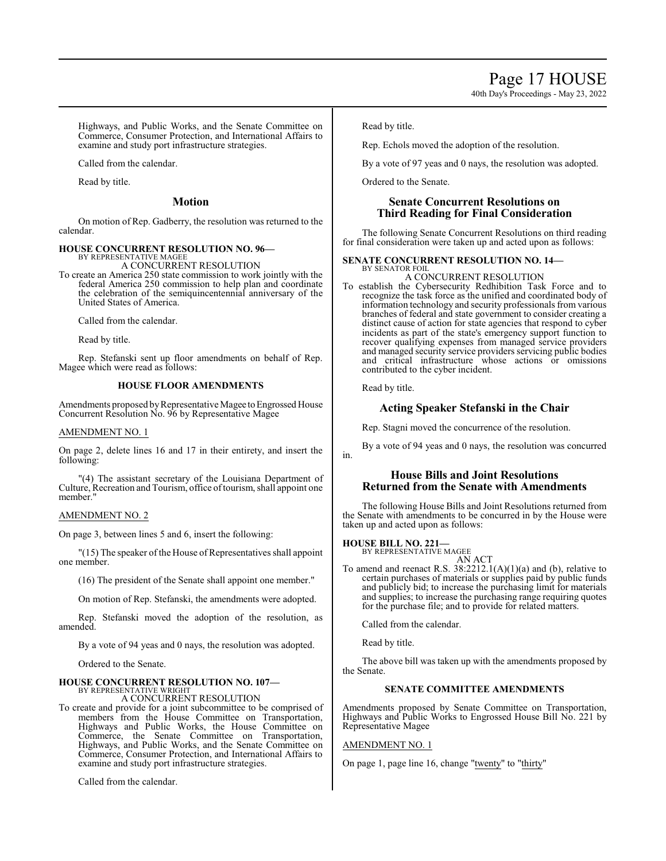40th Day's Proceedings - May 23, 2022

Highways, and Public Works, and the Senate Committee on Commerce, Consumer Protection, and International Affairs to examine and study port infrastructure strategies.

Called from the calendar.

Read by title.

# **Motion**

On motion of Rep. Gadberry, the resolution was returned to the calendar.

#### **HOUSE CONCURRENT RESOLUTION NO. 96—** BY REPRESENTATIVE MAGEE

A CONCURRENT RESOLUTION

To create an America 250 state commission to work jointly with the federal America 250 commission to help plan and coordinate the celebration of the semiquincentennial anniversary of the United States of America.

Called from the calendar.

Read by title.

Rep. Stefanski sent up floor amendments on behalf of Rep. Magee which were read as follows:

### **HOUSE FLOOR AMENDMENTS**

Amendments proposed by Representative Magee to Engrossed House Concurrent Resolution No. 96 by Representative Magee

#### AMENDMENT NO. 1

On page 2, delete lines 16 and 17 in their entirety, and insert the following:

"(4) The assistant secretary of the Louisiana Department of Culture, Recreation and Tourism, office oftourism, shall appoint one member."

# AMENDMENT NO. 2

On page 3, between lines 5 and 6, insert the following:

"(15) The speaker of the House of Representatives shall appoint one member.

(16) The president of the Senate shall appoint one member."

On motion of Rep. Stefanski, the amendments were adopted.

Rep. Stefanski moved the adoption of the resolution, as amended.

By a vote of 94 yeas and 0 nays, the resolution was adopted.

Ordered to the Senate.

# **HOUSE CONCURRENT RESOLUTION NO. 107—**

BY REPRESENTATIVE WRIGHT A CONCURRENT RESOLUTION

To create and provide for a joint subcommittee to be comprised of members from the House Committee on Transportation, Highways and Public Works, the House Committee on Commerce, the Senate Committee on Transportation, Highways, and Public Works, and the Senate Committee on Commerce, Consumer Protection, and International Affairs to examine and study port infrastructure strategies.

Called from the calendar.

Read by title.

Rep. Echols moved the adoption of the resolution.

By a vote of 97 yeas and 0 nays, the resolution was adopted.

Ordered to the Senate.

# **Senate Concurrent Resolutions on Third Reading for Final Consideration**

The following Senate Concurrent Resolutions on third reading for final consideration were taken up and acted upon as follows:

#### **SENATE CONCURRENT RESOLUTION NO. 14—** BY SENATOR FOIL

A CONCURRENT RESOLUTION

To establish the Cybersecurity Redhibition Task Force and to recognize the task force as the unified and coordinated body of information technology and security professionals from various branches of federal and state government to consider creating a distinct cause of action for state agencies that respond to cyber incidents as part of the state's emergency support function to recover qualifying expenses from managed service providers and managed security service providers servicing public bodies and critical infrastructure whose actions or omissions contributed to the cyber incident.

Read by title.

# **Acting Speaker Stefanski in the Chair**

Rep. Stagni moved the concurrence of the resolution.

By a vote of 94 yeas and 0 nays, the resolution was concurred in.

# **House Bills and Joint Resolutions Returned from the Senate with Amendments**

The following House Bills and Joint Resolutions returned from the Senate with amendments to be concurred in by the House were taken up and acted upon as follows:

**HOUSE BILL NO. 221—** BY REPRESENTATIVE MAGEE

AN ACT

To amend and reenact R.S. 38:2212.1(A)(1)(a) and (b), relative to certain purchases of materials or supplies paid by public funds and publicly bid; to increase the purchasing limit for materials and supplies; to increase the purchasing range requiring quotes for the purchase file; and to provide for related matters.

Called from the calendar.

Read by title.

The above bill was taken up with the amendments proposed by the Senate.

# **SENATE COMMITTEE AMENDMENTS**

Amendments proposed by Senate Committee on Transportation, Highways and Public Works to Engrossed House Bill No. 221 by Representative Magee

# AMENDMENT NO. 1

On page 1, page line 16, change "twenty" to "thirty"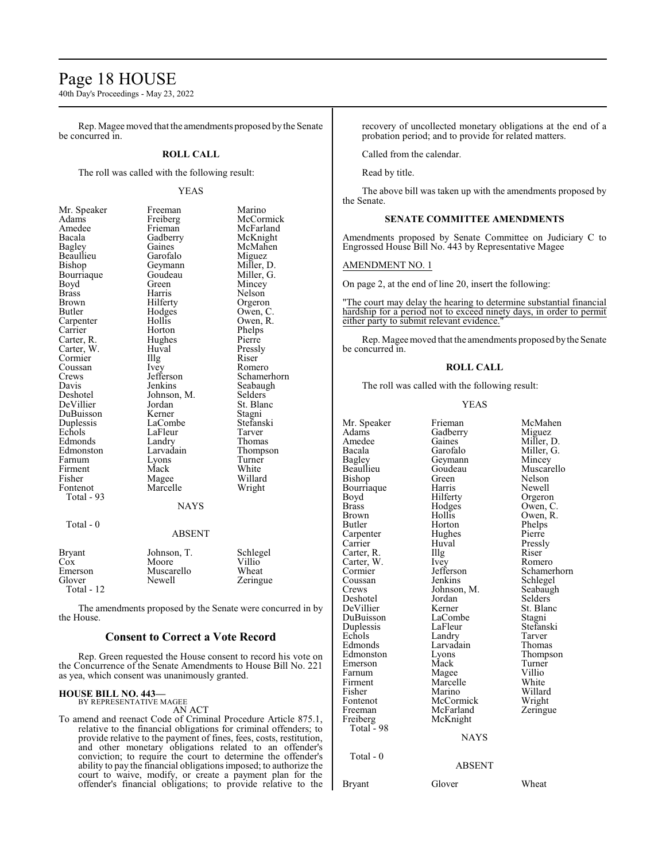# Page 18 HOUSE

40th Day's Proceedings - May 23, 2022

Rep. Magee moved that the amendments proposed by the Senate be concurred in.

# **ROLL CALL**

The roll was called with the following result:

#### YEAS

| Mr. Speaker   | Freeman       | Marino      |
|---------------|---------------|-------------|
| Adams         | Freiberg      | McCormick   |
| Amedee        | Frieman       | McFarland   |
| Bacala        | Gadberry      | McKnight    |
| Bagley        | Gaines        | McMahen     |
| Beaullieu     | Garofalo      | Miguez      |
| Bishop        | Geymann       | Miller, D.  |
| Bourriaque    | Goudeau       | Miller, G.  |
| Boyd          | Green         | Mincey      |
| <b>Brass</b>  | Harris        | Nelson      |
| Brown         | Hilferty      | Orgeron     |
| Butler        | Hodges        | Owen, C.    |
| Carpenter     | Hollis        | Owen, R.    |
| Carrier       | Horton        | Phelps      |
| Carter, R.    | Hughes        | Pierre      |
| Carter, W.    | Huval         | Pressly     |
| Cormier       | Illg          | Riser       |
| Coussan       | Ivey          | Romero      |
| Crews         | Jefferson     | Schamerhorn |
| Davis         | Jenkins       | Seabaugh    |
| Deshotel      | Johnson, M.   | Selders     |
| DeVillier     | Jordan        | St. Blanc   |
| DuBuisson     | Kerner        | Stagni      |
| Duplessis     | LaCombe       | Stefanski   |
| Echols        | LaFleur       | Tarver      |
| Edmonds       | Landry        | Thomas      |
| Edmonston     | Larvadain     | Thompson    |
| Farnum        | Lyons         | Turner      |
| Firment       | Mack          | White       |
| Fisher        | Magee         | Willard     |
| Fontenot      | Marcelle      | Wright      |
| Total - 93    |               |             |
|               | NAYS          |             |
| Total - 0     |               |             |
|               | <b>ABSENT</b> |             |
| <b>Bryant</b> | Johnson, T.   | Schlegel    |

| $\cos$       | Moore      | Villio <sup>1</sup> |
|--------------|------------|---------------------|
| Emerson      | Muscarello | Wheat               |
| Glover       | Newell     | Zeringue            |
| Total - $12$ |            |                     |

The amendments proposed by the Senate were concurred in by the House.

### **Consent to Correct a Vote Record**

Rep. Green requested the House consent to record his vote on the Concurrence of the Senate Amendments to House Bill No. 221 as yea, which consent was unanimously granted.

# **HOUSE BILL NO. 443—** BY REPRESENTATIVE MAGEE

AN ACT

To amend and reenact Code of Criminal Procedure Article 875.1, relative to the financial obligations for criminal offenders; to provide relative to the payment of fines, fees, costs, restitution, and other monetary obligations related to an offender's conviction; to require the court to determine the offender's ability to pay the financial obligations imposed; to authorize the court to waive, modify, or create a payment plan for the offender's financial obligations; to provide relative to the recovery of uncollected monetary obligations at the end of a probation period; and to provide for related matters.

Called from the calendar.

Read by title.

The above bill was taken up with the amendments proposed by the Senate.

# **SENATE COMMITTEE AMENDMENTS**

Amendments proposed by Senate Committee on Judiciary C to Engrossed House Bill No. 443 by Representative Magee

### AMENDMENT NO. 1

On page 2, at the end of line 20, insert the following:

"The court may delay the hearing to determine substantial financial hardship for a period not to exceed ninety days, in order to permit either party to submit relevant evidence."

Rep. Magee moved that the amendments proposed bythe Senate be concurred in.

#### **ROLL CALL**

The roll was called with the following result:

#### YEAS

| Mr. Speaker<br>Adams<br>Amedee<br>Bacala<br>Bagley<br>Beaullieu<br>Bishop<br>Bourriaque<br>Boyd<br><b>Brass</b><br>Brown<br>Butler<br>Carpenter<br>Carrier<br>Carter, R.<br>Carter, W.<br>Cormier<br>Coussan<br>Crews<br>Deshotel<br>DeVillier<br>DuBuisson<br>Duplessis<br>Echols<br>Edmonds<br>Edmonston<br>Emerson<br>Farnum<br>Firment | Frieman<br>Gadberry<br>Gaines<br>Garofalo<br>Geymann<br>Goudeau<br>Green<br>Harris<br>Hilferty<br>Hodges<br>Hollis<br>Horton<br>Hughes<br>Huval<br>Illg<br>Ivey<br>Jefferson<br>Jenkins<br>Johnson, M.<br>Jordan<br>Kerner<br>LaCombe<br>LaFleur<br>Landry<br>Larvadain<br>Lyons<br>Mack<br>Magee<br>Marcelle | McMahen<br>Miguez<br>Miller, D.<br>Miller, G.<br>Mincey<br>Muscarello<br>Nelson<br>Newell<br>Orgeron<br>Owen, C.<br>Owen, R.<br>Phelps<br>Pierre<br>Pressly<br>Riser<br>Romero<br>Schamerhorn<br>Schlegel<br>Seabaugh<br>Selders<br>St. Blanc<br>Stagni<br>Stefanski<br>Tarver<br>Thomas<br>Thompson<br>Turner<br>Villio<br>White |
|--------------------------------------------------------------------------------------------------------------------------------------------------------------------------------------------------------------------------------------------------------------------------------------------------------------------------------------------|---------------------------------------------------------------------------------------------------------------------------------------------------------------------------------------------------------------------------------------------------------------------------------------------------------------|-----------------------------------------------------------------------------------------------------------------------------------------------------------------------------------------------------------------------------------------------------------------------------------------------------------------------------------|
| Fisher                                                                                                                                                                                                                                                                                                                                     | Marino                                                                                                                                                                                                                                                                                                        | Willard                                                                                                                                                                                                                                                                                                                           |
| Fontenot                                                                                                                                                                                                                                                                                                                                   | McCormick                                                                                                                                                                                                                                                                                                     | Wright                                                                                                                                                                                                                                                                                                                            |
| Freeman<br>Freiberg                                                                                                                                                                                                                                                                                                                        | McFarland<br>McKnight                                                                                                                                                                                                                                                                                         | Zeringue                                                                                                                                                                                                                                                                                                                          |
| Total - 98                                                                                                                                                                                                                                                                                                                                 |                                                                                                                                                                                                                                                                                                               |                                                                                                                                                                                                                                                                                                                                   |
|                                                                                                                                                                                                                                                                                                                                            | <b>NAYS</b>                                                                                                                                                                                                                                                                                                   |                                                                                                                                                                                                                                                                                                                                   |
| Total - 0                                                                                                                                                                                                                                                                                                                                  | <b>ABSENT</b>                                                                                                                                                                                                                                                                                                 |                                                                                                                                                                                                                                                                                                                                   |
| <b>Bryant</b>                                                                                                                                                                                                                                                                                                                              | Glover                                                                                                                                                                                                                                                                                                        | Wheat                                                                                                                                                                                                                                                                                                                             |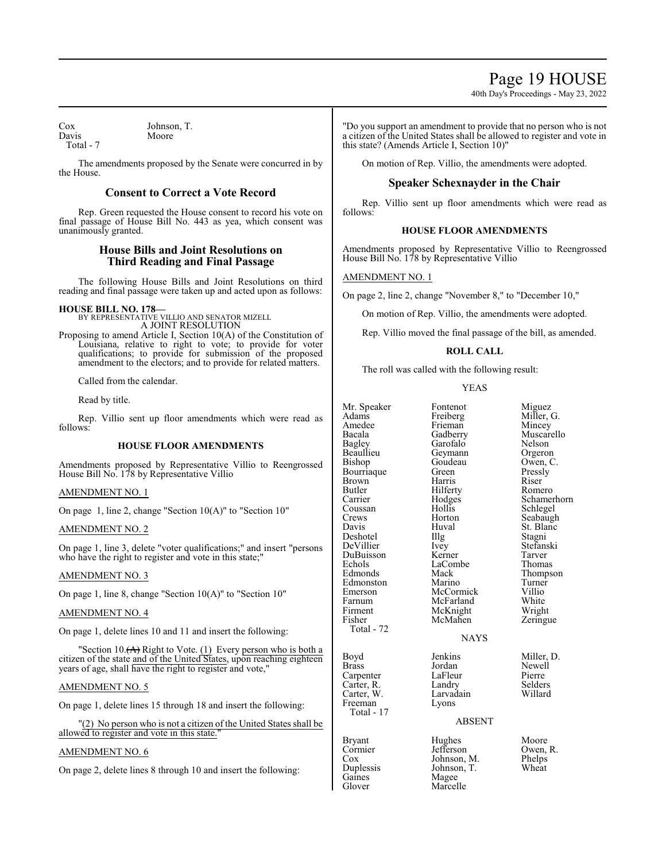# Page 19 HOUSE

40th Day's Proceedings - May 23, 2022

Cox Johnson, T.<br>Davis Moore Davis Total - 7

The amendments proposed by the Senate were concurred in by the House.

# **Consent to Correct a Vote Record**

Rep. Green requested the House consent to record his vote on final passage of House Bill No. 443 as yea, which consent was unanimously granted.

# **House Bills and Joint Resolutions on Third Reading and Final Passage**

The following House Bills and Joint Resolutions on third reading and final passage were taken up and acted upon as follows:

**HOUSE BILL NO. 178—** BY REPRESENTATIVE VILLIO AND SENATOR MIZELL A JOINT RESOLUTION

Proposing to amend Article I, Section 10(A) of the Constitution of Louisiana, relative to right to vote; to provide for voter qualifications; to provide for submission of the proposed amendment to the electors; and to provide for related matters.

Called from the calendar.

Read by title.

Rep. Villio sent up floor amendments which were read as follows:

# **HOUSE FLOOR AMENDMENTS**

Amendments proposed by Representative Villio to Reengrossed House Bill No. 178 by Representative Villio

# AMENDMENT NO. 1

On page 1, line 2, change "Section 10(A)" to "Section 10"

# AMENDMENT NO. 2

On page 1, line 3, delete "voter qualifications;" and insert "persons who have the right to register and vote in this state;"

# AMENDMENT NO. 3

On page 1, line 8, change "Section 10(A)" to "Section 10"

#### AMENDMENT NO. 4

On page 1, delete lines 10 and 11 and insert the following:

"Section 10. $(A)$  Right to Vote.  $(1)$  Every person who is both a citizen of the state and of the United States, upon reaching eighteen years of age, shall have the right to register and vote,"

#### AMENDMENT NO. 5

On page 1, delete lines 15 through 18 and insert the following:

"(2) No person who is not a citizen of the United States shall be allowed to register and vote in this state.

# AMENDMENT NO. 6

On page 2, delete lines 8 through 10 and insert the following:

"Do you support an amendment to provide that no person who is not a citizen of the United States shall be allowed to register and vote in this state? (Amends Article I, Section 10)"

On motion of Rep. Villio, the amendments were adopted.

# **Speaker Schexnayder in the Chair**

Rep. Villio sent up floor amendments which were read as follows:

# **HOUSE FLOOR AMENDMENTS**

Amendments proposed by Representative Villio to Reengrossed House Bill No. 178 by Representative Villio

# AMENDMENT NO. 1

On page 2, line 2, change "November 8," to "December 10,"

On motion of Rep. Villio, the amendments were adopted.

Rep. Villio moved the final passage of the bill, as amended.

# **ROLL CALL**

The roll was called with the following result:

#### YEAS

| Mr. Speaker   | Fontenot      | Miguez      |
|---------------|---------------|-------------|
| Adams         | Freiberg      | Miller, G.  |
| Amedee        | Frieman       | Mincey      |
| Bacala        | Gadberry      | Muscarello  |
| <b>Bagley</b> | Garofalo      | Nelson      |
| Beaullieu     | Geymann       | Orgeron     |
| Bishop        | Goudeau       | Owen, C.    |
| Bourriaque    | Green         | Pressly     |
| Brown         | Harris        | Riser       |
| Butler        | Hilferty      | Romero      |
| Carrier       | Hodges        | Schamerhorn |
| Coussan       | Hollis        | Schlegel    |
| Crews         | Horton        | Seabaugh    |
| Davis         | Huval         | St. Blanc   |
| Deshotel      | Illg          | Stagni      |
| DeVillier     | Ivey          | Stefanski   |
| DuBuisson     | Kerner        | Tarver      |
| Echols        | LaCombe       | Thomas      |
| Edmonds       | Mack          | Thompson    |
| Edmonston     | Marino        | Turner      |
| Emerson       | McCormick     | Villio      |
| Farnum        | McFarland     | White       |
| Firment       | McKnight      | Wright      |
| Fisher        | McMahen       |             |
| Total - 72    |               | Zeringue    |
|               | <b>NAYS</b>   |             |
|               |               |             |
| Boyd          | Jenkins       | Miller, D.  |
| <b>Brass</b>  | Jordan        | Newell      |
| Carpenter     | LaFleur       | Pierre      |
| Carter, R.    | Landry        | Selders     |
| Carter, W.    | Larvadain     | Willard     |
| Freeman       | Lyons         |             |
| Total - 17    |               |             |
|               | <b>ABSENT</b> |             |
|               |               |             |
| Bryant        | Hughes        | Moore       |
| Cormier       | Jefferson     | Owen, R.    |
|               |               |             |

Cox Johnson, M. Phelps<br>Duplessis Johnson, T. Wheat Duplessis Johnson, T.<br>Gaines Magee Gaines Magee<br>Glover Marcel Marcelle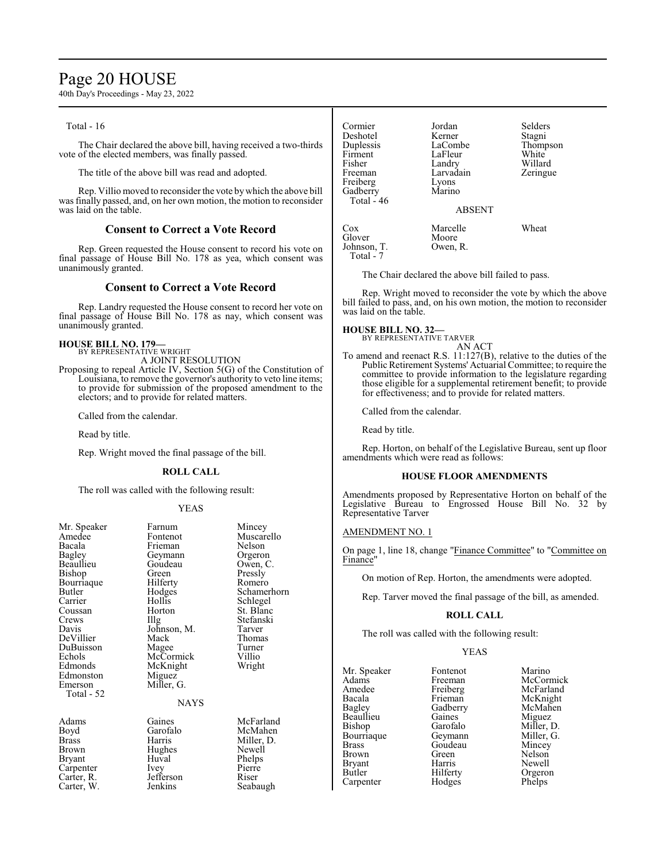# Page 20 HOUSE

40th Day's Proceedings - May 23, 2022

Total - 16

The Chair declared the above bill, having received a two-thirds vote of the elected members, was finally passed.

The title of the above bill was read and adopted.

Rep. Villio moved to reconsider the vote by which the above bill was finally passed, and, on her own motion, the motion to reconsider was laid on the table.

# **Consent to Correct a Vote Record**

Rep. Green requested the House consent to record his vote on final passage of House Bill No. 178 as yea, which consent was unanimously granted.

### **Consent to Correct a Vote Record**

Rep. Landry requested the House consent to record her vote on final passage of House Bill No. 178 as nay, which consent was unanimously granted.

### **HOUSE BILL NO. 179—**

BY REPRESENTATIVE WRIGHT

A JOINT RESOLUTION

Proposing to repeal Article IV, Section 5(G) of the Constitution of Louisiana, to remove the governor's authority to veto line items; to provide for submission of the proposed amendment to the electors; and to provide for related matters.

Called from the calendar.

Read by title.

Rep. Wright moved the final passage of the bill.

### **ROLL CALL**

The roll was called with the following result:

#### YEAS

| Mr. Speaker   | Farnum      | Mincey      |
|---------------|-------------|-------------|
| Amedee        | Fontenot    | Muscarello  |
| Bacala        | Frieman     | Nelson      |
| <b>Bagley</b> | Geymann     | Orgeron     |
| Beaullieu     | Goudeau     | Owen, C.    |
| Bishop        | Green)      | Pressly     |
| Bourriaque    | Hilferty    | Romero      |
| Butler        | Hodges      | Schamerhorn |
| Carrier       | Hollis      | Schlegel    |
| Coussan       | Horton      | St. Blanc   |
| Crews         | Illg        | Stefanski   |
| Davis         | Johnson, M. | Tarver      |
| DeVillier     | Mack        | Thomas      |
| DuBuisson     | Magee       | Turner      |
| Echols        | McCormick   | Villio      |
| Edmonds       | McKnight    | Wright      |
| Edmonston     | Miguez      |             |
| Emerson       | Miller, G.  |             |
| Total - 52    |             |             |
|               | <b>NAYS</b> |             |
| Adams         | Gaines      | McFarland   |
| Boyd          | Garofalo    | McMahen     |
| Brass         | Harris      | Miller, D.  |
| Brown         | Hughes      | Newell      |
| Bryant        | Huval       | Phelps      |
| Carpenter     | <i>lvey</i> | Pierre      |
| Carter, R.    | Jefferson   | Riser       |
| Carter, W.    | Jenkins     | Seabaugh    |
|               |             |             |

LaCombe Thompson<br>LaFleur White Firment LaFleur<br>Fisher Landry Fisher Landry Willard<br>Freeman Larvadain Zeringu Zeringue Freiberg Lyons<br>Gadberry Marino Gadberry Total - 46 ABSENT Cox Marcelle Wheat<br>
Glover Moore Moore<br>Owen, R. Johnson, T.

Deshotel Kerner<br>Duplessis LaCombe

Cormier Jordan Selders

The Chair declared the above bill failed to pass.

Rep. Wright moved to reconsider the vote by which the above bill failed to pass, and, on his own motion, the motion to reconsider was laid on the table.

#### **HOUSE BILL NO. 32—** BY REPRESENTATIVE TARVER

Total  $-7$ 

AN ACT To amend and reenact R.S. 11:127(B), relative to the duties of the Public Retirement Systems' Actuarial Committee; to require the committee to provide information to the legislature regarding those eligible for a supplemental retirement benefit; to provide for effectiveness; and to provide for related matters.

Called from the calendar.

Read by title.

Rep. Horton, on behalf of the Legislative Bureau, sent up floor amendments which were read as follows:

#### **HOUSE FLOOR AMENDMENTS**

Amendments proposed by Representative Horton on behalf of the Legislative Bureau to Engrossed House Bill No. 32 by Representative Tarver

# AMENDMENT NO. 1

On page 1, line 18, change "Finance Committee" to "Committee on Finance"

On motion of Rep. Horton, the amendments were adopted.

Rep. Tarver moved the final passage of the bill, as amended.

### **ROLL CALL**

The roll was called with the following result:

#### YEAS

Mr. Speaker Fontenot Marino<br>Adams Freeman McCori Adams Freeman McCormick<br>Amedee Freiberg McFarland Amedee Freiberg McFarland<br>Bacala Frieman McKnight Bacala Frieman McKnight<br>Bagley Gadberry McMahen Beaullieu Gaines<br>Bishop Garofalo Bishop Garofalo Miller, D.<br>Bourriaque Geymann Miller, G. Bourriaque Geymann Miller, G.<br>Brass Goudeau Mincey Brass Goudeau Mincey<br>Brown Green Nelson Brown Green Nelson<br>Bryant Harris Newell Bryant Harris Newell<br>Butler Hilferty Orgeron Carpenter

Gadberry McMahen<br>Gaines Miguez Hilferty<br>
Hodges<br>
Phelps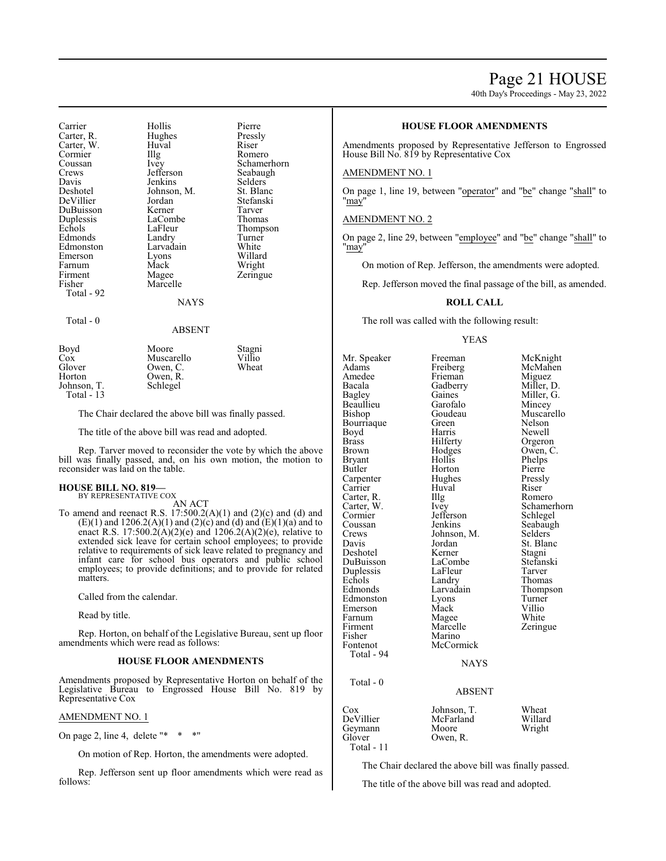# Page 21 HOUSE

40th Day's Proceedings - May 23, 2022

| Carrier<br>Carter, R.<br>Carter, W.<br>Cormier<br>Coussan<br>Crews<br>Davis<br>Deshotel<br>DeVillier<br>DuBuisson<br>Duplessis<br>Echols<br>Edmonds<br>Edmonston<br>Emerson | Hollis<br>Hughes<br>Huval<br>Illg<br>Ivey<br>Jefferson<br>Jenkins<br>Johnson, M.<br>Jordan<br>Kerner<br>LaCombe<br>LaFleur<br>Landry<br>Larvadain<br>Lyons | Pierre<br>Pressly<br>Riser<br>Romero<br>Schamerhorn<br>Seabaugh<br>Selders<br>St. Blanc<br>Stefanski<br>Tarver<br>Thomas<br>Thompson<br>Turner<br>White<br>Willard |
|-----------------------------------------------------------------------------------------------------------------------------------------------------------------------------|------------------------------------------------------------------------------------------------------------------------------------------------------------|--------------------------------------------------------------------------------------------------------------------------------------------------------------------|
| Farnum                                                                                                                                                                      | Mack                                                                                                                                                       | Wright                                                                                                                                                             |
| Firment<br>Fisher<br>Total - 92                                                                                                                                             | Magee<br>Marcelle                                                                                                                                          | Zeringue                                                                                                                                                           |
|                                                                                                                                                                             | NAYS                                                                                                                                                       |                                                                                                                                                                    |
| Total - 0                                                                                                                                                                   |                                                                                                                                                            |                                                                                                                                                                    |
|                                                                                                                                                                             | ABSENT                                                                                                                                                     |                                                                                                                                                                    |

| Boyd<br>Cox           | Moore<br>Muscarello  | Stagni<br>Villio |
|-----------------------|----------------------|------------------|
| Glover                | Owen, C.             | Wheat            |
| Horton<br>Johnson, T. | Owen, R.<br>Schlegel |                  |
| Total $-13$           |                      |                  |

The Chair declared the above bill was finally passed.

The title of the above bill was read and adopted.

Rep. Tarver moved to reconsider the vote by which the above bill was finally passed, and, on his own motion, the motion to reconsider was laid on the table.

#### **HOUSE BILL NO. 819—** BY REPRESENTATIVE COX

AN ACT

To amend and reenact R.S.  $17:500.2(A)(1)$  and  $(2)(c)$  and  $(d)$  and  $(E)(1)$  and  $1206.2(A)(1)$  and  $(2)(c)$  and  $(d)$  and  $(E)(1)(a)$  and to enact R.S. 17:500.2(A)(2)(e) and 1206.2(A)(2)(e), relative to extended sick leave for certain school employees; to provide relative to requirements of sick leave related to pregnancy and infant care for school bus operators and public school employees; to provide definitions; and to provide for related matters.

Called from the calendar.

Read by title.

Rep. Horton, on behalf of the Legislative Bureau, sent up floor amendments which were read as follows:

### **HOUSE FLOOR AMENDMENTS**

Amendments proposed by Representative Horton on behalf of the Legislative Bureau to Engrossed House Bill No. 819 by Representative Cox

### AMENDMENT NO. 1

On page 2, line 4, delete "\* \* \*'

On motion of Rep. Horton, the amendments were adopted.

Rep. Jefferson sent up floor amendments which were read as follows:

# **HOUSE FLOOR AMENDMENTS**

Amendments proposed by Representative Jefferson to Engrossed House Bill No. 819 by Representative Cox

### AMENDMENT NO. 1

On page 1, line 19, between "operator" and "be" change "shall" to "may"

### AMENDMENT NO. 2

On page 2, line 29, between "employee" and "be" change "shall" to "may"

On motion of Rep. Jefferson, the amendments were adopted.

Rep. Jefferson moved the final passage of the bill, as amended.

#### **ROLL CALL**

The roll was called with the following result:

#### YEAS

Mr. Speaker Freeman McKnight<br>
Adams Freiberg McMahen Freiberg McMahen<br>Frieman Miguez Amedee Frieman Miguez<br>Bacala Gadberry Miller. D. Bacala Gadberry<br>Bagley Gaines Beaullieu Garofalo<br>Bishop Goudeau Bourriaque Green<br>Boyd Harris Boyd Harris Newell<br>Brass Hilferty Orgerol Brass Hilferty Orgeron<br>Brown Hodges Owen, C **Bryant** Butler Horton Pierre Carpenter Hughes Pressly<br>Carrier Huval Riser Carrier Huval Riser Carter, R. Illg Romero<br>Carter, W. Ivey Schamerhorn Carter, W. Ivey Schamer<br>
Cormier Jefferson Schlegel Cormier Jefferson<br>Coussan Jenkins Coussan Jenkins Seabaugh<br>Crews Johnson, M. Selders Crews Johnson, M.<br>Davis Jordan Deshotel Kerner Stagni<br>DuBuisson LaCombe Stefanski DuBuisson LaCombe Stefans<br>Duplessis LaFleur Tarver Duplessis LaFleu<br>Echols Landrv Echols Landry Thomas<br>
Edmonds Larvadain Thomps Edmonston Lyons Turner<br>Emerson Mack Villio Emerson Mack Villio<br>
Farnum Magee White Farnum Magee<br>Firment Marcelle Firment Marcelle Zeringue<br>Fisher Marino Fisher Marino<br>Fontenot McCorr McCormick Total - 94 Total - 0

Gaines Miller, G.<br>Garofalo Mincey Goudeau Muscarello<br>Green Nelson Hodges Owen, C.<br>Hollis Phelps Jordan St. Blanc<br>Kerner Stagni Larvadain Thompson<br>Lyons Turner

#### **NAYS**

# ABSENT

| Cox<br>DeVillier<br>Geymann<br>Glover<br>Total - $11$ | Johnson, T.<br>McFarland<br>Moore<br>Owen, R. | Wheat<br>Willard<br>Wright |
|-------------------------------------------------------|-----------------------------------------------|----------------------------|
|                                                       |                                               |                            |

The Chair declared the above bill was finally passed.

The title of the above bill was read and adopted.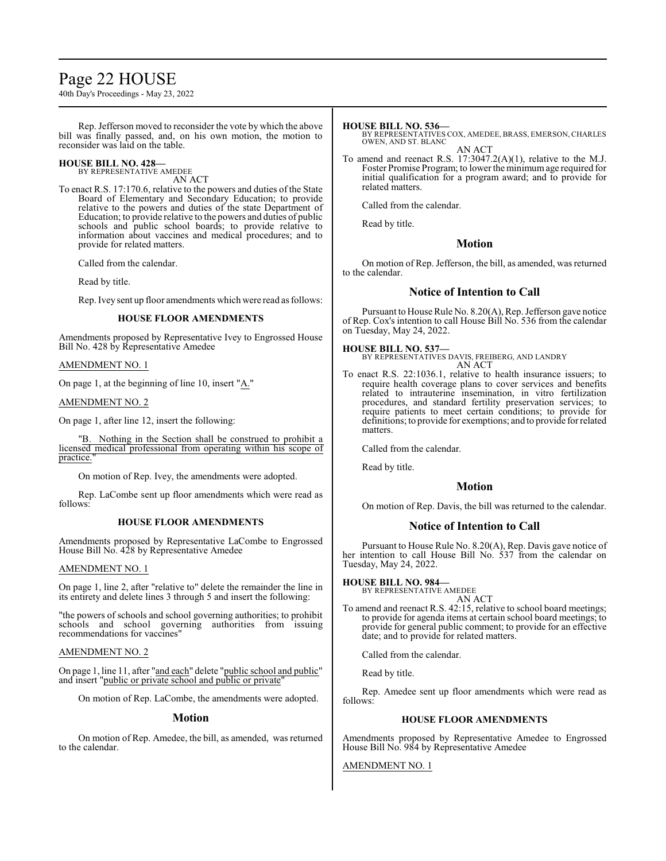# Page 22 HOUSE

40th Day's Proceedings - May 23, 2022

Rep. Jefferson moved to reconsider the vote by which the above bill was finally passed, and, on his own motion, the motion to reconsider was laid on the table.

# **HOUSE BILL NO. 428—**

BY REPRESENTATIVE AMEDEE AN ACT

To enact R.S. 17:170.6, relative to the powers and duties of the State Board of Elementary and Secondary Education; to provide relative to the powers and duties of the state Department of Education; to provide relative to the powers and duties of public schools and public school boards; to provide relative to information about vaccines and medical procedures; and to provide for related matters.

Called from the calendar.

Read by title.

Rep. Ivey sent up floor amendments which were read as follows:

# **HOUSE FLOOR AMENDMENTS**

Amendments proposed by Representative Ivey to Engrossed House Bill No. 428 by Representative Amedee

### AMENDMENT NO. 1

On page 1, at the beginning of line 10, insert "A."

AMENDMENT NO. 2

On page 1, after line 12, insert the following:

"B. Nothing in the Section shall be construed to prohibit a licensed medical professional from operating within his scope of practice.

On motion of Rep. Ivey, the amendments were adopted.

Rep. LaCombe sent up floor amendments which were read as follows:

# **HOUSE FLOOR AMENDMENTS**

Amendments proposed by Representative LaCombe to Engrossed House Bill No. 428 by Representative Amedee

# AMENDMENT NO. 1

On page 1, line 2, after "relative to" delete the remainder the line in its entirety and delete lines 3 through 5 and insert the following:

"the powers of schools and school governing authorities; to prohibit schools and school governing authorities from issuing recommendations for vaccines"

# AMENDMENT NO. 2

On page 1, line 11, after "and each" delete "public school and public" and insert "public or private school and public or private"

On motion of Rep. LaCombe, the amendments were adopted.

# **Motion**

On motion of Rep. Amedee, the bill, as amended, was returned to the calendar.

## **HOUSE BILL NO. 536—**

BY REPRESENTATIVES COX, AMEDEE, BRASS, EMERSON, CHARLES OWEN, AND ST. BLANC

AN ACT To amend and reenact R.S. 17:3047.2(A)(1), relative to the M.J. Foster Promise Program; to lower the minimumage required for initial qualification for a program award; and to provide for related matters.

Called from the calendar.

Read by title.

# **Motion**

On motion of Rep. Jefferson, the bill, as amended, was returned to the calendar.

# **Notice of Intention to Call**

Pursuant to House Rule No. 8.20(A), Rep. Jefferson gave notice of Rep. Cox's intention to call House Bill No. 536 from the calendar on Tuesday, May 24, 2022.

# **HOUSE BILL NO. 537—**

BY REPRESENTATIVES DAVIS, FREIBERG, AND LANDRY AN ACT

To enact R.S. 22:1036.1, relative to health insurance issuers; to require health coverage plans to cover services and benefits related to intrauterine insemination, in vitro fertilization procedures, and standard fertility preservation services; to require patients to meet certain conditions; to provide for definitions; to provide for exemptions; and to provide for related matters.

Called from the calendar.

Read by title.

# **Motion**

On motion of Rep. Davis, the bill was returned to the calendar.

# **Notice of Intention to Call**

Pursuant to House Rule No. 8.20(A), Rep. Davis gave notice of her intention to call House Bill No. 537 from the calendar on Tuesday, May 24, 2022.

# **HOUSE BILL NO. 984—**

BY REPRESENTATIVE AMEDEE AN ACT

To amend and reenact R.S. 42:15, relative to school board meetings; to provide for agenda items at certain school board meetings; to provide for general public comment; to provide for an effective date; and to provide for related matters.

Called from the calendar.

Read by title.

Rep. Amedee sent up floor amendments which were read as follows:

# **HOUSE FLOOR AMENDMENTS**

Amendments proposed by Representative Amedee to Engrossed House Bill No. 984 by Representative Amedee

AMENDMENT NO. 1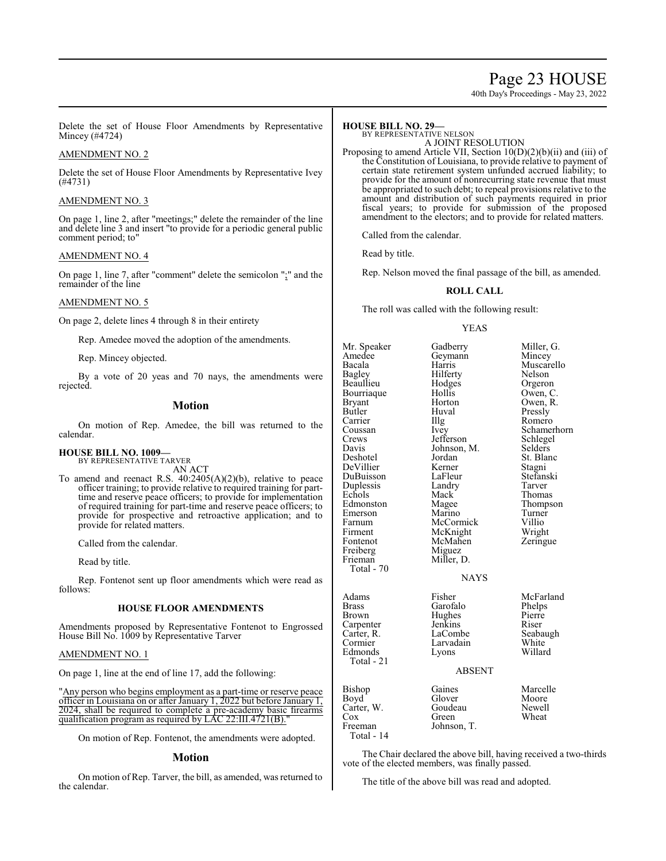# Page 23 HOUSE

40th Day's Proceedings - May 23, 2022

Delete the set of House Floor Amendments by Representative Mincey (#4724)

### AMENDMENT NO. 2

Delete the set of House Floor Amendments by Representative Ivey (#4731)

### AMENDMENT NO. 3

On page 1, line 2, after "meetings;" delete the remainder of the line and delete line 3 and insert "to provide for a periodic general public comment period; to"

#### AMENDMENT NO. 4

On page 1, line 7, after "comment" delete the semicolon ";" and the remainder of the line

# AMENDMENT NO. 5

On page 2, delete lines 4 through 8 in their entirety

Rep. Amedee moved the adoption of the amendments.

Rep. Mincey objected.

By a vote of 20 yeas and 70 nays, the amendments were rejected.

#### **Motion**

On motion of Rep. Amedee, the bill was returned to the calendar.

#### **HOUSE BILL NO. 1009—** BY REPRESENTATIVE TARVER

AN ACT

To amend and reenact R.S. 40:2405(A)(2)(b), relative to peace officer training; to provide relative to required training for parttime and reserve peace officers; to provide for implementation of required training for part-time and reserve peace officers; to provide for prospective and retroactive application; and to provide for related matters.

Called from the calendar.

Read by title.

Rep. Fontenot sent up floor amendments which were read as follows:

#### **HOUSE FLOOR AMENDMENTS**

Amendments proposed by Representative Fontenot to Engrossed House Bill No. 1009 by Representative Tarver

#### AMENDMENT NO. 1

On page 1, line at the end of line 17, add the following:

"Any person who begins employment as a part-time or reserve peace officer in Louisiana on or after January 1, 2022 but before January 1, 2024, shall be required to complete a pre-academy basic firearms qualification program as required by LAC  $22:III.4721(B)$ .

On motion of Rep. Fontenot, the amendments were adopted.

#### **Motion**

On motion of Rep. Tarver, the bill, as amended, was returned to the calendar.

# **HOUSE BILL NO. 29—**

BY REPRESENTATIVE NELSON A JOINT RESOLUTION

Proposing to amend Article VII, Section 10(D)(2)(b)(ii) and (iii) of the Constitution of Louisiana, to provide relative to payment of certain state retirement system unfunded accrued liability; to provide for the amount of nonrecurring state revenue that must be appropriated to such debt; to repeal provisions relative to the amount and distribution of such payments required in prior fiscal years; to provide for submission of the proposed amendment to the electors; and to provide for related matters.

Called from the calendar.

Read by title.

Rep. Nelson moved the final passage of the bill, as amended.

#### **ROLL CALL**

The roll was called with the following result:

#### YEAS

| Mr. Speaker  | Gadberry      | Miller, G.  |
|--------------|---------------|-------------|
| Amedee       | Geymann       | Mincey      |
| Bacala       | Harris        | Muscarello  |
| Bagley       | Hilferty      | Nelson      |
| Beaullieu    | Hodges        | Orgeron     |
| Bourriaque   | Hollis        | Owen, C.    |
| Bryant       | Horton        | Owen, R.    |
| Butler       | Huval         | Pressly     |
| Carrier      | Illg          | Romero      |
| Coussan      | Ivey          | Schamerhorn |
| Crews        | Jefferson     | Schlegel    |
| Davis        | Johnson, M.   | Selders     |
| Deshotel     | Jordan        | St. Blanc   |
| DeVillier    | Kerner        | Stagni      |
| DuBuisson    | LaFleur       | Stefanski   |
| Duplessis    | Landry        | Tarver      |
| Echols       | Mack          | Thomas      |
| Edmonston    | Magee         | Thompson    |
| Emerson      | Marino        | Turner      |
| Farnum       | McCormick     | Villio      |
| Firment      | McKnight      | Wright      |
| Fontenot     | McMahen       | Zeringue    |
| Freiberg     | Miguez        |             |
| Frieman      | Miller, D.    |             |
| Total - 70   |               |             |
|              | <b>NAYS</b>   |             |
| Adams        | Fisher        | McFarland   |
| <b>Brass</b> | Garofalo      | Phelps      |
| Brown        | Hughes        | Pierre      |
| Carpenter    | Jenkins       | Riser       |
| Carter, R.   | LaCombe       | Seabaugh    |
| Cormier      | Larvadain     | White       |
| Edmonds      | Lyons         | Willard     |
| Total - 21   |               |             |
|              | <b>ABSENT</b> |             |
| Bishop       | Gaines        | Marcelle    |
| Boyd         | Glover        | Moore       |
| Carter, W.   | Goudeau       | Newell      |
| $\cos$       | Green         | Wheat       |
| Freeman      | Johnson, T.   |             |
|              |               |             |

### NAYS

### ABSENT

Bishop Gaines Marcelle<br>Boyd Glover Moore Boyd Glover Moore Carter, W. Goudeau Newell<br>Cox Green Wheat Cox Green Wheat<br>Freeman Johnson T. Wheat ison, T. Total - 14

The Chair declared the above bill, having received a two-thirds vote of the elected members, was finally passed.

The title of the above bill was read and adopted.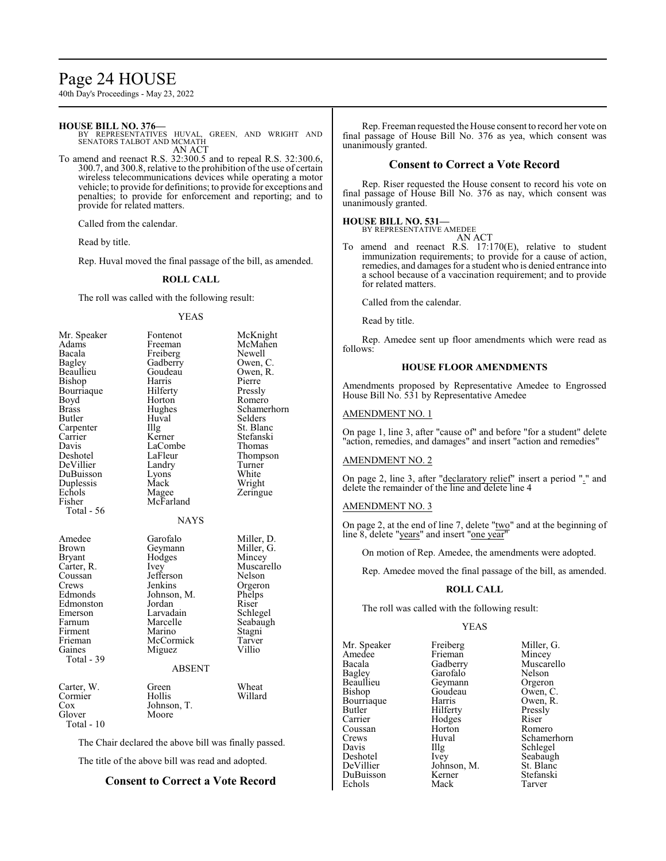# Page 24 HOUSE

40th Day's Proceedings - May 23, 2022

#### **HOUSE BILL NO. 376—**

BY REPRESENTATIVES HUVAL, GREEN, AND WRIGHT AND SENATORS TALBOT AND MCMATH AN ACT

To amend and reenact R.S. 32:300.5 and to repeal R.S. 32:300.6, 300.7, and 300.8, relative to the prohibition of the use of certain wireless telecommunications devices while operating a motor vehicle; to provide for definitions; to provide for exceptions and penalties; to provide for enforcement and reporting; and to provide for related matters.

Called from the calendar.

Read by title.

Rep. Huval moved the final passage of the bill, as amended.

#### **ROLL CALL**

The roll was called with the following result:

#### YEAS

| Mr. Speaker          | Fontenot      | McKnight    |
|----------------------|---------------|-------------|
| Adams                | Freeman       | McMahen     |
| Bacala               | Freiberg      | Newell      |
| Bagley               | Gadberry      | Owen, C.    |
| Beaullieu            | Goudeau       | Owen, R.    |
| Bishop               | Harris        | Pierre      |
| Bourriaque           | Hilferty      | Pressly     |
| Boyd                 | Horton        | Romero      |
| Brass                | Hughes        | Schamerhorn |
| Butler               | Huval         | Selders     |
| Carpenter            | Illg          | St. Blanc   |
| Carrier              | Kerner        | Stefanski   |
| Davis                | LaCombe       | Thomas      |
| Deshotel             | LaFleur       | Thompson    |
| DeVillier            | Landry        | Turner      |
| DuBuisson            | Lyons         | White       |
| Duplessis            | Mack          | Wright      |
| Echols               | Magee         | Zeringue    |
| Fisher               | McFarland     |             |
| Total - 56           |               |             |
|                      | <b>NAYS</b>   |             |
|                      |               |             |
|                      |               |             |
| Amedee               | Garofalo      | Miller, D.  |
| Brown                | Geymann       | Miller, G.  |
| <b>Bryant</b>        | Hodges        | Mincey      |
| Carter, R.           | Ivey          | Muscarello  |
| Coussan              | Jefferson     | Nelson      |
| Crews                | Jenkins       | Orgeron     |
| Edmonds              | Johnson, M.   | Phelps      |
| Edmonston            | Jordan        | Riser       |
| Emerson              | Larvadain     | Schlegel    |
| Farnum               | Marcelle      | Seabaugh    |
| Firment              | Marino        | Stagni      |
| Frieman              | McCormick     | Tarver      |
| Gaines               | Miguez        | Villio      |
| Total - 39           | <b>ABSENT</b> |             |
|                      |               |             |
| Carter, W.           | Green         | Wheat       |
| Cormier              | Hollis        | Willard     |
| Cox                  | Johnson, T.   |             |
| Glover<br>Total - 10 | Moore         |             |

The Chair declared the above bill was finally passed.

The title of the above bill was read and adopted.

# **Consent to Correct a Vote Record**

Rep. Freeman requested the House consent to record her vote on final passage of House Bill No. 376 as yea, which consent was unanimously granted.

### **Consent to Correct a Vote Record**

Rep. Riser requested the House consent to record his vote on final passage of House Bill No. 376 as nay, which consent was unanimously granted.

# **HOUSE BILL NO. 531—**

BY REPRESENTATIVE AMEDEE AN ACT

To amend and reenact R.S. 17:170(E), relative to student immunization requirements; to provide for a cause of action, remedies, and damages for a student who is denied entrance into a school because of a vaccination requirement; and to provide for related matters.

Called from the calendar.

Read by title.

Rep. Amedee sent up floor amendments which were read as follows:

#### **HOUSE FLOOR AMENDMENTS**

Amendments proposed by Representative Amedee to Engrossed House Bill No. 531 by Representative Amedee

#### AMENDMENT NO. 1

On page 1, line 3, after "cause of" and before "for a student" delete "action, remedies, and damages" and insert "action and remedies"

#### AMENDMENT NO. 2

On page 2, line 3, after "declaratory relief" insert a period "." and delete the remainder of the line and delete line 4

#### AMENDMENT NO. 3

On page 2, at the end of line 7, delete "two" and at the beginning of line 8, delete "years" and insert "one year"

On motion of Rep. Amedee, the amendments were adopted.

Rep. Amedee moved the final passage of the bill, as amended.

### **ROLL CALL**

The roll was called with the following result:

#### YEAS

Mr. Speaker Freiberg Miller, G.<br>Amedee Frieman Mincey Amedee Frieman<br>Bacala Gadberry Bacala Gadberry Muscarello<br>
Bagley Garofalo Nelson Bagley Garofalo Nelson<br>Beaullieu Geymann Orgeron Beaullieu Geymann Orgeron<br>Bishop Goudeau Owen, C. Bourriaque Harris Owen,<br>Butler Hilferty Pressly Butler Hilferty Pressl<br>Carrier Hodges Riser Coussan Horton<br>Crews Huval Crews Huval Schamerhorn<br>
Davis Hllg Schlegel Davis Illg Schlegel<br>Deshotel Ivey Seabaugh Deshotel Ivey Seabaugh<br>DeVillier Johnson, M. St. Blanc DuBuisson Kerner Stefans<br>Echols Mack Tarver Echols

Hodges Riser<br>
Horton Romero

Goudeau Owen, C.<br>Harris Owen, R. Johnson, M. St. Blanc<br>Kerner Stefanski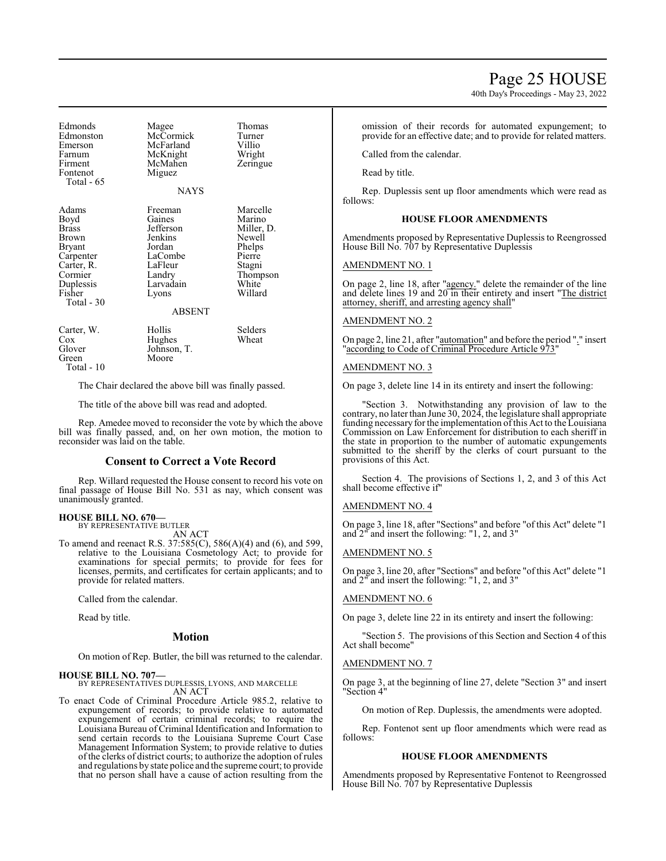40th Day's Proceedings - May 23, 2022

Edmonds Magee Thomas<br>
Edmonston McCormick Turner Edmonston McCormick Turne<br>Emerson McFarland Villio Emerson McFarland Villio<br>Farnum McKnight Wright Farnum McKnight Wright<br>Firment McMahen Zeringue Firment McMahen<br>Fontenot Miguez Miguez Total - 65 NAYS Adams Freeman Marcelle<br>Boyd Gaines Marino Boyd Gaines Marino<br>Brass Jefferson Miller. Brass Jefferson Miller, D. Brown Jenkins Newell<br>Bryant Jordan Phelps Bryant Jordan Phelps<br>Carpenter LaCombe Pierre LaCombe Carter, R. LaFleur Stagni<br>Cormier Landry Thomp Cormier Landry Thompson<br>
Duplessis Larvadain White Duplessis Larvadain White<br>
Fisher Lyons Willard Lyons Total - 30 ABSENT Carter, W. Hollis Selders<br>Cox Hughes Wheat Cox Hughes<br>Glover Johnson Johnson, T.<br>Moore Green Total - 10

The Chair declared the above bill was finally passed.

The title of the above bill was read and adopted.

Rep. Amedee moved to reconsider the vote by which the above bill was finally passed, and, on her own motion, the motion to reconsider was laid on the table.

# **Consent to Correct a Vote Record**

Rep. Willard requested the House consent to record his vote on final passage of House Bill No. 531 as nay, which consent was unanimously granted.

# **HOUSE BILL NO. 670—** BY REPRESENTATIVE BUTLER

AN ACT

To amend and reenact R.S. 37:585(C), 586(A)(4) and (6), and 599, relative to the Louisiana Cosmetology Act; to provide for examinations for special permits; to provide for fees for licenses, permits, and certificates for certain applicants; and to provide for related matters.

Called from the calendar.

Read by title.

#### **Motion**

On motion of Rep. Butler, the bill was returned to the calendar.

# **HOUSE BILL NO. 707—**

BY REPRESENTATIVES DUPLESSIS, LYONS, AND MARCELLE AN ACT

To enact Code of Criminal Procedure Article 985.2, relative to expungement of records; to provide relative to automated expungement of certain criminal records; to require the Louisiana Bureau of Criminal Identification and Information to send certain records to the Louisiana Supreme Court Case Management Information System; to provide relative to duties of the clerks of district courts; to authorize the adoption of rules and regulations by state police and the supreme court; to provide that no person shall have a cause of action resulting from the omission of their records for automated expungement; to provide for an effective date; and to provide for related matters.

Called from the calendar.

Read by title.

Rep. Duplessis sent up floor amendments which were read as follows:

#### **HOUSE FLOOR AMENDMENTS**

Amendments proposed by Representative Duplessis to Reengrossed House Bill No. 707 by Representative Duplessis

### AMENDMENT NO. 1

On page 2, line 18, after "agency." delete the remainder of the line and delete lines 19 and 20 in their entirety and insert "The district attorney, sheriff, and arresting agency shall"

### AMENDMENT NO. 2

On page 2, line 21, after "automation" and before the period "." insert "according to Code of Criminal Procedure Article 973"

#### AMENDMENT NO. 3

On page 3, delete line 14 in its entirety and insert the following:

"Section 3. Notwithstanding any provision of law to the contrary, no later than June 30, 2024, the legislature shall appropriate funding necessary for the implementation of this Act to the Louisiana Commission on Law Enforcement for distribution to each sheriff in the state in proportion to the number of automatic expungements submitted to the sheriff by the clerks of court pursuant to the provisions of this Act.

Section 4. The provisions of Sections 1, 2, and 3 of this Act shall become effective if"

#### AMENDMENT NO. 4

On page 3, line 18, after "Sections" and before "of this Act" delete "1 and 2" and insert the following: "1, 2, and 3"

#### AMENDMENT NO. 5

On page 3, line 20, after "Sections" and before "of this Act" delete "1 and 2" and insert the following: "1, 2, and 3"

#### AMENDMENT NO. 6

On page 3, delete line 22 in its entirety and insert the following:

"Section 5. The provisions of this Section and Section 4 of this Act shall become"

### AMENDMENT NO. 7

On page 3, at the beginning of line 27, delete "Section 3" and insert "Section 4"

On motion of Rep. Duplessis, the amendments were adopted.

Rep. Fontenot sent up floor amendments which were read as follows:

#### **HOUSE FLOOR AMENDMENTS**

Amendments proposed by Representative Fontenot to Reengrossed House Bill No. 707 by Representative Duplessis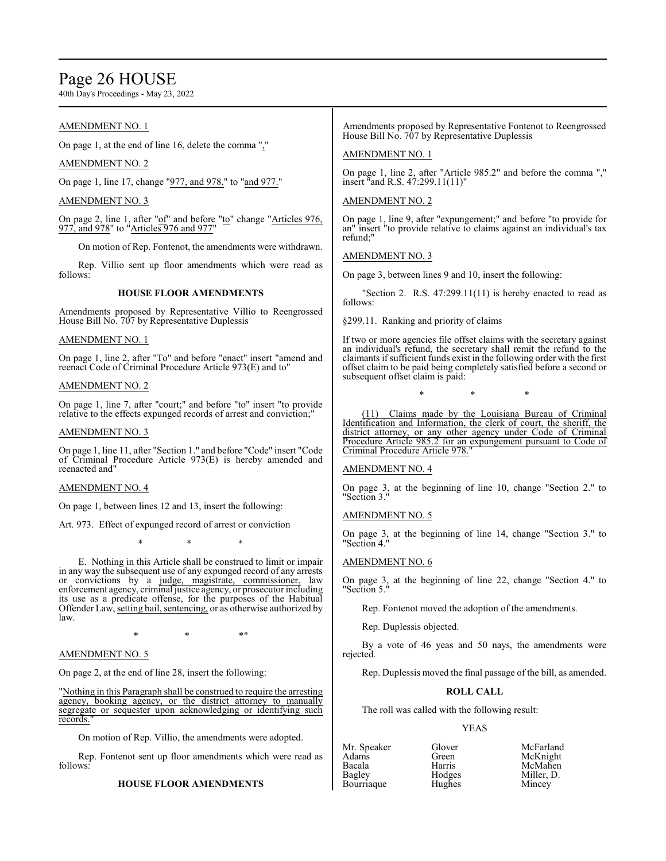# Page 26 HOUSE

40th Day's Proceedings - May 23, 2022

# AMENDMENT NO. 1

On page 1, at the end of line 16, delete the comma ","

# AMENDMENT NO. 2

On page 1, line 17, change "977, and 978." to "and 977."

# AMENDMENT NO. 3

On page 2, line 1, after "of" and before "to" change "Articles 976, 977, and 978" to "Articles 976 and 977"

On motion of Rep. Fontenot, the amendments were withdrawn.

Rep. Villio sent up floor amendments which were read as follows:

# **HOUSE FLOOR AMENDMENTS**

Amendments proposed by Representative Villio to Reengrossed House Bill No. 707 by Representative Duplessis

# AMENDMENT NO. 1

On page 1, line 2, after "To" and before "enact" insert "amend and reenact Code of Criminal Procedure Article 973(E) and to"

#### AMENDMENT NO. 2

On page 1, line 7, after "court;" and before "to" insert "to provide relative to the effects expunged records of arrest and conviction;"

#### AMENDMENT NO. 3

On page 1, line 11, after "Section 1." and before "Code" insert "Code of Criminal Procedure Article 973(E) is hereby amended and reenacted and"

#### AMENDMENT NO. 4

On page 1, between lines 12 and 13, insert the following:

Art. 973. Effect of expunged record of arrest or conviction

\* \* \*

E. Nothing in this Article shall be construed to limit or impair in any way the subsequent use of any expunged record of any arrests or convictions by a judge, magistrate, commissioner, law enforcement agency, criminal justice agency, or prosecutor including its use as a predicate offense, for the purposes of the Habitual Offender Law, setting bail, sentencing, or as otherwise authorized by law.

 $*$  \*  $*$  \*  $*$  "

# AMENDMENT NO. 5

On page 2, at the end of line 28, insert the following:

"Nothing in this Paragraph shall be construed to require the arresting agency, booking agency, or the district attorney to manually segregate or sequester upon acknowledging or identifying such records."

On motion of Rep. Villio, the amendments were adopted.

Rep. Fontenot sent up floor amendments which were read as follows:

# **HOUSE FLOOR AMENDMENTS**

Amendments proposed by Representative Fontenot to Reengrossed House Bill No. 707 by Representative Duplessis

# AMENDMENT NO. 1

On page 1, line 2, after "Article 985.2" and before the comma "," insert "and R.S. 47:299.11(11)"

# AMENDMENT NO. 2

On page 1, line 9, after "expungement;" and before "to provide for an" insert "to provide relative to claims against an individual's tax refund;"

### AMENDMENT NO. 3

On page 3, between lines 9 and 10, insert the following:

"Section 2. R.S.  $47:299.11(11)$  is hereby enacted to read as follows:

§299.11. Ranking and priority of claims

If two or more agencies file offset claims with the secretary against an individual's refund, the secretary shall remit the refund to the claimants ifsufficient funds exist in the following order with the first offset claim to be paid being completely satisfied before a second or subsequent offset claim is paid:

\* \* \*

(11) Claims made by the Louisiana Bureau of Criminal Identification and Information, the clerk of court, the sheriff, the district attorney, or any other agency under Code of Criminal Procedure Article 985.2 for an expungement pursuant to Code of Criminal Procedure Article 978."

#### AMENDMENT NO. 4

On page 3, at the beginning of line 10, change "Section 2." to "Section 3."

#### AMENDMENT NO. 5

On page 3, at the beginning of line 14, change "Section 3." to "Section 4."

# AMENDMENT NO. 6

On page 3, at the beginning of line 22, change "Section 4." to "Section 5."

Rep. Fontenot moved the adoption of the amendments.

Rep. Duplessis objected.

By a vote of 46 yeas and 50 nays, the amendments were rejected.

Rep. Duplessis moved the final passage of the bill, as amended.

#### **ROLL CALL**

The roll was called with the following result:

#### YEAS

| Mr. Speaker | Glover | McFarland  |
|-------------|--------|------------|
| Adams       | Green  | McKnight   |
| Bacala      | Harris | McMahen    |
| Bagley      | Hodges | Miller. D. |
| Bourriaque  | Hughes | Mincey     |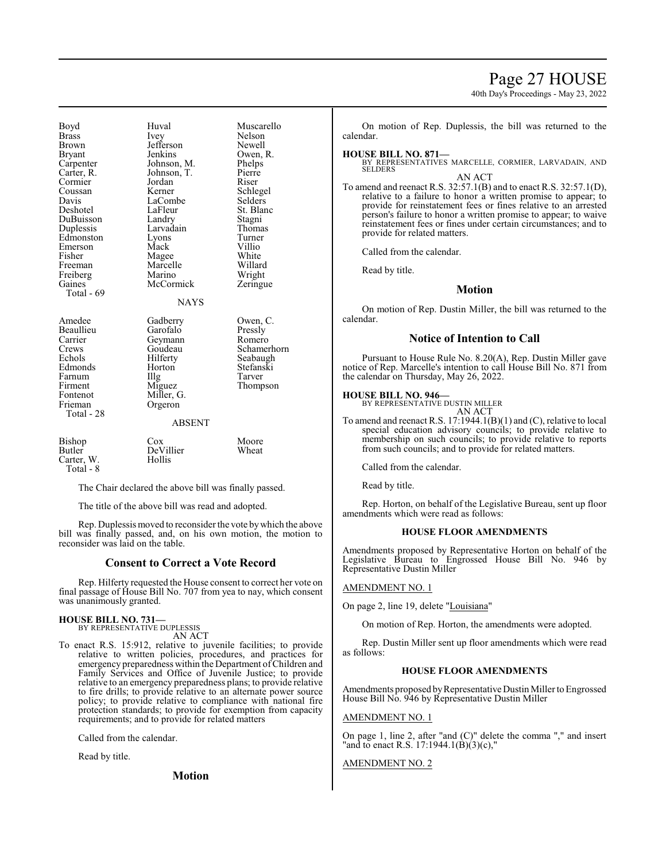# Page 27 HOUSE

40th Day's Proceedings - May 23, 2022

Boyd Huval Muscarello<br>Brass Ivev Nelson Brass Ivey Nelson Brown Jefferson Newell<br>Bryant Jenkins Owen, Bryant Jenkins Owen, R.<br>Carpenter Johnson, M. Phelps Carpenter Johnson, M. Phelps<br>Carter R. Johnson, T. Pierre Cormier Jordan Riser<br>
Coussan Kerner Schle Coussan Kerner Schlegel Davis LaCombe<br>
Deshotel LaFleur DuBuisson Landry Stagni Edmonston Lyons Turner<br>
Emerson Mack Villio Emerson Mack Villio<br>
Fisher Magee White Freeman Marcelle Willard<br>
Freiberg Marino Wright Freiberg Marino Wright<br>
Gaines McCormick Zeringue Total - 69

Johnson, T. Larvadain Thomas<br>Lyons Turner McCormick

LaFleur St. Blanc<br>Landry Stagni Magee White<br>
Marcelle Willard

# **NAYS**

Amedee Gadberry Owen, C.<br>Beaullieu Garofalo Pressly Beaullieu Garofalo Pressly<br>Carrier Geymann Romero Carrier Geymann<br>Crews Goudeau Crews Goudeau Schamerhorn<br>
Echols Hilferty Seabaugh Echols Hilferty Seabaugh<br>Edmonds Horton Stefanski Horton Stefanski<br>Illg Tarver Farnum Illg<br>Firment Miguez Firment Miguez Thompson<br>Fontenot Miller G. Fontenot Miller, G.<br>Frieman Orgeron Orgeron Total - 28 ABSENT Bishop Cox Moore<br>Butler DeVillier Wheat DeVillier<br>Hollis Carter, W.

Total - 8

The Chair declared the above bill was finally passed.

The title of the above bill was read and adopted.

Rep. Duplessis moved to reconsider the vote bywhich the above bill was finally passed, and, on his own motion, the motion to reconsider was laid on the table.

### **Consent to Correct a Vote Record**

Rep. Hilferty requested the House consent to correct her vote on final passage of House Bill No. 707 from yea to nay, which consent was unanimously granted.

#### **HOUSE BILL NO. 731—** BY REPRESENTATIVE DUPLESSIS

AN ACT

To enact R.S. 15:912, relative to juvenile facilities; to provide relative to written policies, procedures, and practices for emergency preparedness within the Department ofChildren and Family Services and Office of Juvenile Justice; to provide relative to an emergency preparedness plans; to provide relative to fire drills; to provide relative to an alternate power source policy; to provide relative to compliance with national fire protection standards; to provide for exemption from capacity requirements; and to provide for related matters

Called from the calendar.

Read by title.

**Motion**

On motion of Rep. Duplessis, the bill was returned to the calendar.

**HOUSE BILL NO. 871—** BY REPRESENTATIVES MARCELLE, CORMIER, LARVADAIN, AND **SELDERS** AN ACT

To amend and reenact R.S. 32:57.1(B) and to enact R.S. 32:57.1(D), relative to a failure to honor a written promise to appear; to provide for reinstatement fees or fines relative to an arrested person's failure to honor a written promise to appear; to waive reinstatement fees or fines under certain circumstances; and to provide for related matters.

Called from the calendar.

Read by title.

#### **Motion**

On motion of Rep. Dustin Miller, the bill was returned to the calendar.

# **Notice of Intention to Call**

Pursuant to House Rule No. 8.20(A), Rep. Dustin Miller gave notice of Rep. Marcelle's intention to call House Bill No. 871 from the calendar on Thursday, May 26, 2022.

# **HOUSE BILL NO. 946—** BY REPRESENTATIVE DUSTIN MILLER

AN ACT

To amend and reenact R.S. 17:1944.1(B)(1) and (C), relative to local special education advisory councils; to provide relative to membership on such councils; to provide relative to reports from such councils; and to provide for related matters.

Called from the calendar.

Read by title.

Rep. Horton, on behalf of the Legislative Bureau, sent up floor amendments which were read as follows:

#### **HOUSE FLOOR AMENDMENTS**

Amendments proposed by Representative Horton on behalf of the Legislative Bureau to Engrossed House Bill No. 946 by Representative Dustin Miller

#### AMENDMENT NO. 1

On page 2, line 19, delete "Louisiana"

On motion of Rep. Horton, the amendments were adopted.

Rep. Dustin Miller sent up floor amendments which were read as follows:

### **HOUSE FLOOR AMENDMENTS**

Amendments proposed by Representative Dustin Miller to Engrossed House Bill No. 946 by Representative Dustin Miller

### AMENDMENT NO. 1

On page 1, line 2, after "and (C)" delete the comma "," and insert "and to enact R.S. 17:1944.1(B)(3)(c),"

# AMENDMENT NO. 2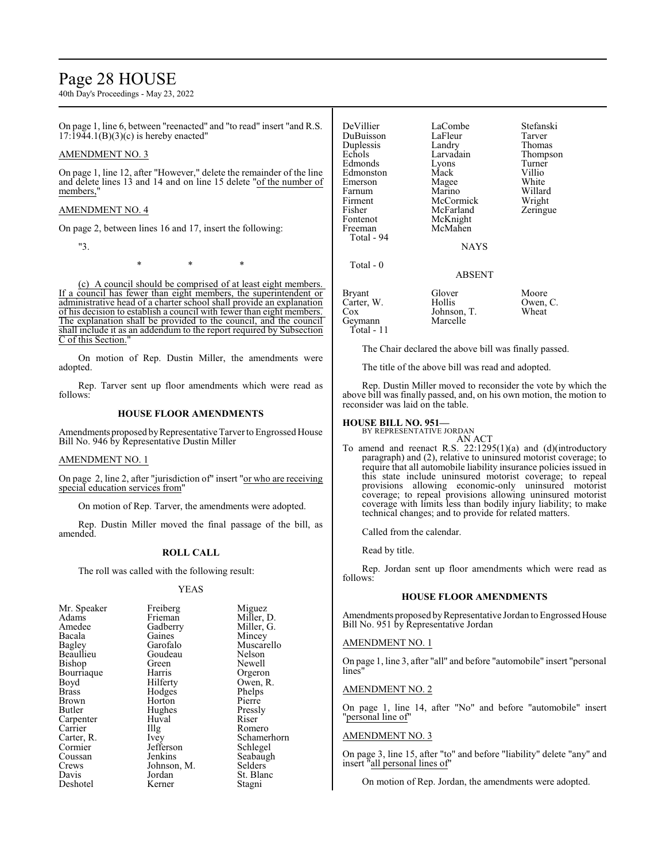# Page 28 HOUSE

40th Day's Proceedings - May 23, 2022

On page 1, line 6, between "reenacted" and "to read" insert "and R.S.  $17:19\overline{4}4.1(B)(3)(c)$  is hereby enacted"

# AMENDMENT NO. 3

On page 1, line 12, after "However," delete the remainder of the line and delete lines 13 and 14 and on line 15 delete "of the number of members,'

### AMENDMENT NO. 4

On page 2, between lines 16 and 17, insert the following:

"3.

\* \* \*

(c) A council should be comprised of at least eight members. If a council has fewer than eight members, the superintendent or administrative head of a charter school shall provide an explanation of his decision to establish a council with fewer than eight members. The explanation shall be provided to the council, and the council shall include it as an addendum to the report required by Subsection C of this Section.

On motion of Rep. Dustin Miller, the amendments were adopted.

Rep. Tarver sent up floor amendments which were read as follows:

# **HOUSE FLOOR AMENDMENTS**

Amendments proposed by Representative Tarver to Engrossed House Bill No. 946 by Representative Dustin Miller

#### AMENDMENT NO. 1

On page 2, line 2, after "jurisdiction of" insert "or who are receiving special education services from"

On motion of Rep. Tarver, the amendments were adopted.

Rep. Dustin Miller moved the final passage of the bill, as amended.

# **ROLL CALL**

The roll was called with the following result:

### YEAS

| Mr. Speaker<br>Adams<br>Amedee<br>Bacala<br>Bagley<br>Beaullieu<br>Bishop<br>Bourriaque<br>Boyd<br>Brass<br>Brown<br>Butler<br>Carpenter<br>Carrier<br>Carter, R.<br>Cormier<br>Coussan<br>Crews<br>Davis | Freiberg<br>Frieman<br>Gadberry<br>Gaines<br>Garofalo<br>Goudeau<br>Green<br>Harris<br>Hilferty<br>Hodges<br>Horton<br>Hughes<br>Huval<br>$\prod_{i=1}^{n}$<br>Ivey<br>Jefferson<br>Jenkins<br>Johnson, M.<br>Jordan | Miguez<br>Miller, D.<br>Miller, G.<br>Mincey<br>Muscarello<br>Nelson<br>Newell<br>Orgeron<br>Owen, R.<br>Phelps<br>Pierre<br>Pressly<br>Riser<br>Romero<br>Schamerhorn<br>Schlegel<br>Seabaugh<br>Selders<br>St. Blanc |
|-----------------------------------------------------------------------------------------------------------------------------------------------------------------------------------------------------------|----------------------------------------------------------------------------------------------------------------------------------------------------------------------------------------------------------------------|------------------------------------------------------------------------------------------------------------------------------------------------------------------------------------------------------------------------|
| Deshotel                                                                                                                                                                                                  | Kerner                                                                                                                                                                                                               | Stagni                                                                                                                                                                                                                 |
|                                                                                                                                                                                                           |                                                                                                                                                                                                                      |                                                                                                                                                                                                                        |

| DeVillier<br>DuBuisson<br>Duplessis | LaCombe<br>LaFleur<br>Landry | Stefanski<br>Tarver<br>Thomas |
|-------------------------------------|------------------------------|-------------------------------|
| Echols                              | Larvadain                    | Thompson                      |
| Edmonds                             | Lyons                        | Turner                        |
| Edmonston                           | Mack                         | Villio<br>White               |
| Emerson<br>Farnum                   | Magee<br>Marino              | Willard                       |
| Firment                             | McCormick                    | Wright                        |
| Fisher                              | McFarland                    | Zeringue                      |
| Fontenot                            | McKnight                     |                               |
| Freeman                             | McMahen                      |                               |
| Total - 94                          | <b>NAYS</b>                  |                               |
| Total $-0$                          |                              |                               |
|                                     | ABSENT                       |                               |
| Bryant                              | Glover                       | Moore                         |
| Carter, W.                          | Hollis                       | Owen, C.                      |
| Cox                                 | Johnson, T.                  | Wheat                         |
| Geymann                             | Marcelle                     |                               |

The Chair declared the above bill was finally passed.

The title of the above bill was read and adopted.

Rep. Dustin Miller moved to reconsider the vote by which the above bill was finally passed, and, on his own motion, the motion to reconsider was laid on the table.

#### **HOUSE BILL NO. 951—** BY REPRESENTATIVE JORDAN

Total - 11

AN ACT

To amend and reenact R.S. 22:1295(1)(a) and (d)(introductory paragraph) and (2), relative to uninsured motorist coverage; to require that all automobile liability insurance policies issued in this state include uninsured motorist coverage; to repeal provisions allowing economic-only uninsured motorist coverage; to repeal provisions allowing uninsured motorist coverage with limits less than bodily injury liability; to make technical changes; and to provide for related matters.

Called from the calendar.

Read by title.

Rep. Jordan sent up floor amendments which were read as follows:

# **HOUSE FLOOR AMENDMENTS**

Amendments proposed by Representative Jordan to Engrossed House Bill No. 951 by Representative Jordan

#### AMENDMENT NO. 1

On page 1, line 3, after "all" and before "automobile" insert "personal lines"

#### AMENDMENT NO. 2

On page 1, line 14, after "No" and before "automobile" insert "personal line of"

#### AMENDMENT NO. 3

On page 3, line 15, after "to" and before "liability" delete "any" and insert "all personal lines of"

On motion of Rep. Jordan, the amendments were adopted.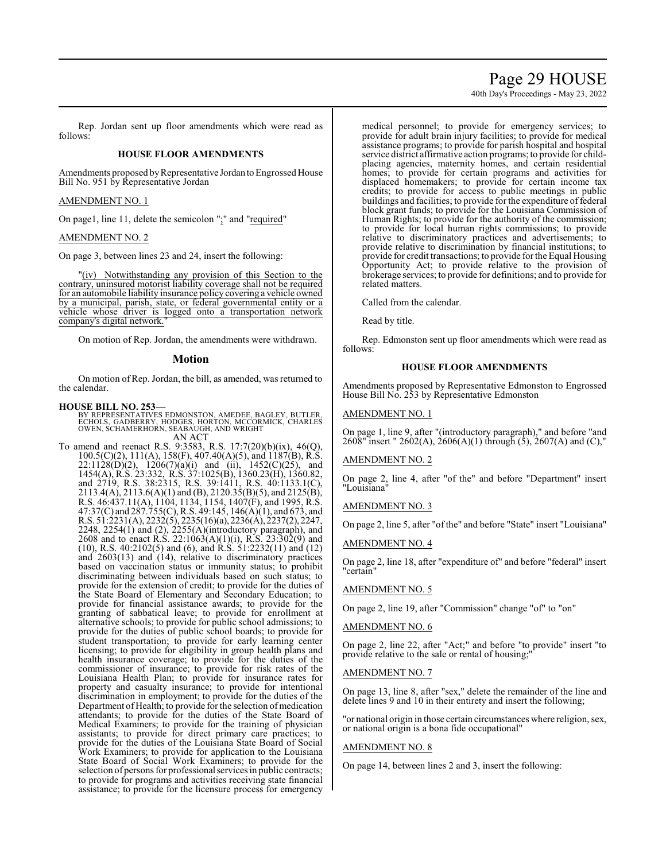# Page 29 HOUSE

40th Day's Proceedings - May 23, 2022

Rep. Jordan sent up floor amendments which were read as follows:

# **HOUSE FLOOR AMENDMENTS**

Amendments proposed by Representative Jordan to Engrossed House Bill No. 951 by Representative Jordan

### AMENDMENT NO. 1

On page1, line 11, delete the semicolon ";" and "required"

### AMENDMENT NO. 2

On page 3, between lines 23 and 24, insert the following:

"(iv) Notwithstanding any provision of this Section to the contrary, uninsured motorist liability coverage shall not be required for an automobile liability insurance policy covering a vehicle owned by a municipal, parish, state, or federal governmental entity or a vehicle whose driver is logged onto a transportation network company's digital network."

On motion of Rep. Jordan, the amendments were withdrawn.

## **Motion**

On motion of Rep. Jordan, the bill, as amended, was returned to the calendar.

### **HOUSE BILL NO. 253—**

BY REPRESENTATIVES EDMONSTON, AMEDEE, BAGLEY, BUTLER,<br>ECHOLS, GADBERRY, HODGES, HORTON, MCCORMICK, CHARLES<br>OWEN, SCHAMERHORN, SEABAUGH, AND WRIGHT AN ACT

To amend and reenact R.S. 9:3583, R.S. 17:7(20)(b)(ix), 46(Q), 100.5(C)(2), 111(A), 158(F), 407.40(A)(5), and 1187(B), R.S.  $22:1128(D)(2)$ ,  $1206(7)(a)(i)$  and (ii),  $1452(C)(25)$ , and 1454(A), R.S. 23:332, R.S. 37:1025(B), 1360.23(H), 1360.82, and 2719, R.S. 38:2315, R.S. 39:1411, R.S. 40:1133.1(C), 2113.4(A), 2113.6(A)(1) and (B), 2120.35(B)(5), and 2125(B), R.S. 46:437.11(A), 1104, 1134, 1154, 1407(F), and 1995, R.S. 47:37(C) and 287.755(C), R.S. 49:145, 146(A)(1), and 673, and R.S. 51:2231(A), 2232(5), 2235(16)(a), 2236(A), 2237(2), 2247, 2248, 2254(1) and (2), 2255(A)(introductory paragraph), and 2608 and to enact R.S. 22:1063(A)(1)(i), R.S. 23:302(9) and (10), R.S. 40:2102(5) and (6), and R.S. 51:2232(11) and (12) and  $2603(13)$  and  $(14)$ , relative to discriminatory practices based on vaccination status or immunity status; to prohibit discriminating between individuals based on such status; to provide for the extension of credit; to provide for the duties of the State Board of Elementary and Secondary Education; to provide for financial assistance awards; to provide for the granting of sabbatical leave; to provide for enrollment at alternative schools; to provide for public school admissions; to provide for the duties of public school boards; to provide for student transportation; to provide for early learning center licensing; to provide for eligibility in group health plans and health insurance coverage; to provide for the duties of the commissioner of insurance; to provide for risk rates of the Louisiana Health Plan; to provide for insurance rates for property and casualty insurance; to provide for intentional discrimination in employment; to provide for the duties of the Department of Health; to provide for the selection of medication attendants; to provide for the duties of the State Board of Medical Examiners; to provide for the training of physician assistants; to provide for direct primary care practices; to provide for the duties of the Louisiana State Board of Social Work Examiners; to provide for application to the Louisiana State Board of Social Work Examiners; to provide for the selection of persons for professional services in public contracts; to provide for programs and activities receiving state financial assistance; to provide for the licensure process for emergency medical personnel; to provide for emergency services; to provide for adult brain injury facilities; to provide for medical assistance programs; to provide for parish hospital and hospital service district affirmative action programs; to provide for childplacing agencies, maternity homes, and certain residential homes; to provide for certain programs and activities for displaced homemakers; to provide for certain income tax credits; to provide for access to public meetings in public buildings and facilities; to provide for the expenditure of federal block grant funds; to provide for the Louisiana Commission of Human Rights; to provide for the authority of the commission; to provide for local human rights commissions; to provide relative to discriminatory practices and advertisements; to provide relative to discrimination by financial institutions; to provide for credit transactions; to provide for the Equal Housing Opportunity Act; to provide relative to the provision of brokerage services; to provide for definitions; and to provide for related matters.

Called from the calendar.

Read by title.

Rep. Edmonston sent up floor amendments which were read as follows:

#### **HOUSE FLOOR AMENDMENTS**

Amendments proposed by Representative Edmonston to Engrossed House Bill No. 253 by Representative Edmonston

### AMENDMENT NO. 1

On page 1, line 9, after "(introductory paragraph)," and before "and 2608" insert " 2602(A), 2606(A)(1) through (5), 2607(A) and (C),"

#### AMENDMENT NO. 2

On page 2, line 4, after "of the" and before "Department" insert "Louisiana"

#### AMENDMENT NO. 3

On page 2, line 5, after "of the" and before "State" insert "Louisiana"

#### AMENDMENT NO. 4

On page 2, line 18, after "expenditure of" and before "federal" insert "certain"

### AMENDMENT NO. 5

On page 2, line 19, after "Commission" change "of" to "on"

### AMENDMENT NO. 6

On page 2, line 22, after "Act;" and before "to provide" insert "to provide relative to the sale or rental of housing;"

#### AMENDMENT NO. 7

On page 13, line 8, after "sex," delete the remainder of the line and delete lines 9 and 10 in their entirety and insert the following;

"or national origin in those certain circumstances where religion, sex, or national origin is a bona fide occupational"

#### AMENDMENT NO. 8

On page 14, between lines 2 and 3, insert the following: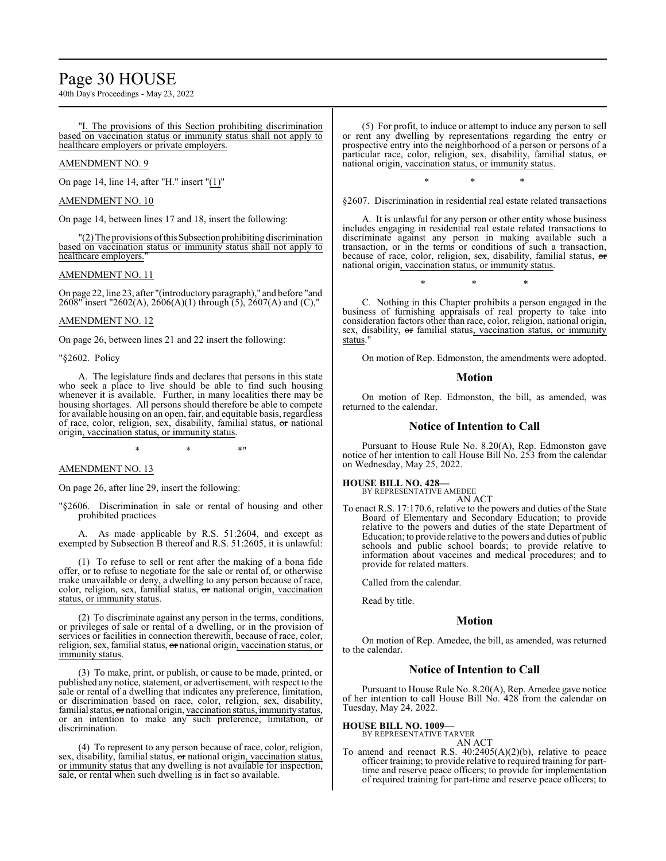# Page 30 HOUSE

40th Day's Proceedings - May 23, 2022

"I. The provisions of this Section prohibiting discrimination based on vaccination status or immunity status shall not apply to healthcare employers or private employers.

# AMENDMENT NO. 9

On page 14, line 14, after "H." insert "(1)"

#### AMENDMENT NO. 10

On page 14, between lines 17 and 18, insert the following:

"(2) The provisions ofthisSubsection prohibiting discrimination based on vaccination status or immunity status shall not apply to healthcare employers.

### AMENDMENT NO. 11

On page 22, line 23, after "(introductory paragraph)," and before "and 2608" insert "2602(A), 2606(A)(1) through (5), 2607(A) and (C),"

# AMENDMENT NO. 12

On page 26, between lines 21 and 22 insert the following:

"§2602. Policy

A. The legislature finds and declares that persons in this state who seek a place to live should be able to find such housing whenever it is available. Further, in many localities there may be housing shortages. All persons should therefore be able to compete for available housing on an open, fair, and equitable basis, regardless of race, color, religion, sex, disability, familial status, or national origin, vaccination status, or immunity status.

 $*$  \*  $*$  \*

### AMENDMENT NO. 13

On page 26, after line 29, insert the following:

"§2606. Discrimination in sale or rental of housing and other prohibited practices

A. As made applicable by R.S. 51:2604, and except as exempted by Subsection B thereof and R.S. 51:2605, it is unlawful:

(1) To refuse to sell or rent after the making of a bona fide offer, or to refuse to negotiate for the sale or rental of, or otherwise make unavailable or deny, a dwelling to any person because of race, color, religion, sex, familial status, or national origin, vaccination status, or immunity status.

(2) To discriminate against any person in the terms, conditions, or privileges of sale or rental of a dwelling, or in the provision of services or facilities in connection therewith, because of race, color, religion, sex, familial status, or national origin, vaccination status, or immunity status.

(3) To make, print, or publish, or cause to be made, printed, or published any notice, statement, or advertisement, with respect to the sale or rental of a dwelling that indicates any preference, limitation, or discrimination based on race, color, religion, sex, disability, familial status, or national origin, vaccination status, immunity status, or an intention to make any such preference, limitation, or discrimination.

(4) To represent to any person because of race, color, religion, sex, disability, familial status, or national origin, vaccination status, or immunity status that any dwelling is not available for inspection, sale, or rental when such dwelling is in fact so available.

(5) For profit, to induce or attempt to induce any person to sell or rent any dwelling by representations regarding the entry or prospective entry into the neighborhood of a person or persons of a particular race, color, religion, sex, disability, familial status, or national origin, vaccination status, or immunity status.

\* \* \* §2607. Discrimination in residential real estate related transactions

A. It is unlawful for any person or other entity whose business includes engaging in residential real estate related transactions to discriminate against any person in making available such a transaction, or in the terms or conditions of such a transaction, because of race, color, religion, sex, disability, familial status,  $\sigma$ national origin, vaccination status, or immunity status.

\* \* \*

C. Nothing in this Chapter prohibits a person engaged in the business of furnishing appraisals of real property to take into consideration factors other than race, color, religion, national origin, sex, disability, or familial status, vaccination status, or immunity status.

On motion of Rep. Edmonston, the amendments were adopted.

#### **Motion**

On motion of Rep. Edmonston, the bill, as amended, was returned to the calendar.

#### **Notice of Intention to Call**

Pursuant to House Rule No. 8.20(A), Rep. Edmonston gave notice of her intention to call House Bill No. 253 from the calendar on Wednesday, May 25, 2022.

#### **HOUSE BILL NO. 428—**

BY REPRESENTATIVE AMEDEE AN ACT

To enact R.S. 17:170.6, relative to the powers and duties of the State Board of Elementary and Secondary Education; to provide relative to the powers and duties of the state Department of Education; to provide relative to the powers and duties of public schools and public school boards; to provide relative to information about vaccines and medical procedures; and to provide for related matters.

Called from the calendar.

Read by title.

# **Motion**

On motion of Rep. Amedee, the bill, as amended, was returned to the calendar.

# **Notice of Intention to Call**

Pursuant to House Rule No. 8.20(A), Rep. Amedee gave notice of her intention to call House Bill No. 428 from the calendar on Tuesday, May 24, 2022.

#### **HOUSE BILL NO. 1009—**

BY REPRESENTATIVE TARVER AN ACT

To amend and reenact R.S. 40:2405(A)(2)(b), relative to peace officer training; to provide relative to required training for parttime and reserve peace officers; to provide for implementation of required training for part-time and reserve peace officers; to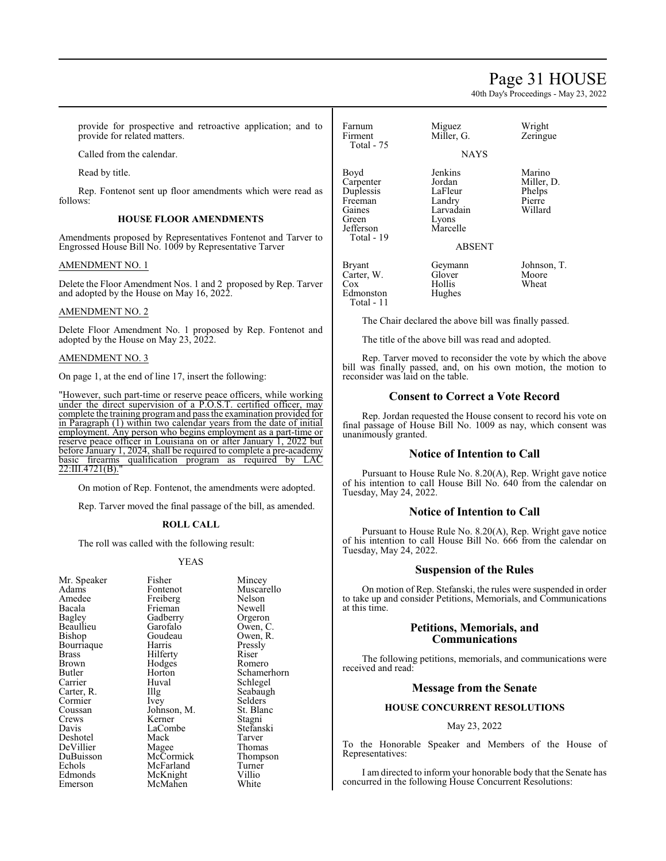# Page 31 HOUSE

40th Day's Proceedings - May 23, 2022

provide for prospective and retroactive application; and to provide for related matters.

Called from the calendar.

Read by title.

Rep. Fontenot sent up floor amendments which were read as follows:

# **HOUSE FLOOR AMENDMENTS**

Amendments proposed by Representatives Fontenot and Tarver to Engrossed House Bill No. 1009 by Representative Tarver

### AMENDMENT NO. 1

Delete the Floor Amendment Nos. 1 and 2 proposed by Rep. Tarver and adopted by the House on May 16, 2022.

# AMENDMENT NO. 2

Delete Floor Amendment No. 1 proposed by Rep. Fontenot and adopted by the House on May 23, 2022.

### AMENDMENT NO. 3

On page 1, at the end of line 17, insert the following:

"However, such part-time or reserve peace officers, while working under the direct supervision of a P.O.S.T. certified officer, may complete the training programand pass the examination provided for in Paragraph (1) within two calendar years from the date of initial employment. Any person who begins employment as a part-time or reserve peace officer in Louisiana on or after January 1, 2022 but before January 1, 2024, shall be required to complete a pre-academy basic firearms qualification program as required by LAC 22:III.4721(B)."

On motion of Rep. Fontenot, the amendments were adopted.

Rep. Tarver moved the final passage of the bill, as amended.

#### **ROLL CALL**

The roll was called with the following result:

# YEAS

Fisher Mincey<br>Fontenot Muscar

Muscarello<br>Nelson

Pressly<br>Riser

Selders<br>St. Blanc

Tarver<br>Thomas

Freiberg Nelson<br>Frieman Newell Frieman Newell<br>Gadberry Orgeron Gadberry<br>Garofalo Garofalo Owen, C.<br>Goudeau Owen, R. Goudeau Owen, R.<br>Harris Pressly Hilferty<br>
Hodges<br>
Romero Hodges<br>Horton Horton Schamerhorn<br>Huval Schlegel Huval Schlegel<br>Illg Seabaugl The Seabaugh<br>
Ivey Selders Johnson, M. St. Blanck<br>Kerner Stagni Kerner Stagni<br>LaCombe Stefanski LaCombe<br>Mack Magee Thomas<br>
McCormick Thompson McCormick Thomp<br>
McFarland Turner McFarland Turner<br>
McKnight Villio McKnight Villio<br>
McMahen White McMahen

Farnum Miguez Wright<br>Firment Miller, G. Zeringu Zeringue Total - 75 **NAYS** Boyd Jenkins Marino<br>Carpenter Jordan Miller D. Carpenter Jordan Miller,<br>
Duplessis LaFleur Phelps Duplessis LaFleur Phelps Freeman Landry Pierre Gaines Landry Pierre Gaines Landradin Nillard Gaines Larvadain<br>Green Lyons Lyons<br>Marcelle Jefferson Total - 19 ABSENT Bryant Geymann Johnson, T.<br>Carter, W. Glover Moore Carter, W. Glover Moore<br>Cox Hollis Wheat Cox Hollis Wheat Edmonston Hughes Total - 11

The Chair declared the above bill was finally passed.

The title of the above bill was read and adopted.

Rep. Tarver moved to reconsider the vote by which the above bill was finally passed, and, on his own motion, the motion to reconsider was laid on the table.

# **Consent to Correct a Vote Record**

Rep. Jordan requested the House consent to record his vote on final passage of House Bill No. 1009 as nay, which consent was unanimously granted.

# **Notice of Intention to Call**

Pursuant to House Rule No. 8.20(A), Rep. Wright gave notice of his intention to call House Bill No. 640 from the calendar on Tuesday, May 24, 2022.

# **Notice of Intention to Call**

Pursuant to House Rule No. 8.20(A), Rep. Wright gave notice of his intention to call House Bill No. 666 from the calendar on Tuesday, May 24, 2022.

# **Suspension of the Rules**

On motion of Rep. Stefanski, the rules were suspended in order to take up and consider Petitions, Memorials, and Communications at this time.

# **Petitions, Memorials, and Communications**

The following petitions, memorials, and communications were received and read:

# **Message from the Senate**

# **HOUSE CONCURRENT RESOLUTIONS**

#### May 23, 2022

To the Honorable Speaker and Members of the House of Representatives:

I am directed to inform your honorable body that the Senate has concurred in the following House Concurrent Resolutions: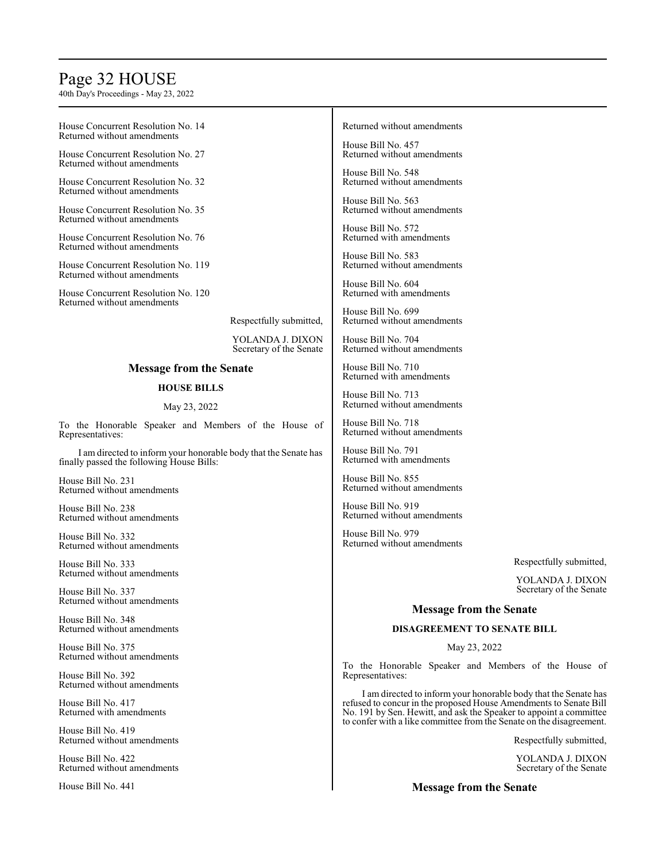# Page 32 HOUSE

40th Day's Proceedings - May 23, 2022

House Concurrent Resolution No. 14 Returned without amendments

House Concurrent Resolution No. 27 Returned without amendments

House Concurrent Resolution No. 32 Returned without amendments

House Concurrent Resolution No. 35 Returned without amendments

House Concurrent Resolution No. 76 Returned without amendments

House Concurrent Resolution No. 119 Returned without amendments

House Concurrent Resolution No. 120 Returned without amendments

Respectfully submitted,

YOLANDA J. DIXON Secretary of the Senate

# **Message from the Senate**

# **HOUSE BILLS**

#### May 23, 2022

To the Honorable Speaker and Members of the House of Representatives:

I am directed to inform your honorable body that the Senate has finally passed the following House Bills:

House Bill No. 231 Returned without amendments

House Bill No. 238 Returned without amendments

House Bill No. 332 Returned without amendments

House Bill No. 333 Returned without amendments

House Bill No. 337 Returned without amendments

House Bill No. 348 Returned without amendments

House Bill No. 375 Returned without amendments

House Bill No. 392 Returned without amendments

House Bill No. 417 Returned with amendments

House Bill No. 419 Returned without amendments

House Bill No. 422 Returned without amendments

House Bill No. 441

#### Returned without amendments

House Bill No. 457 Returned without amendments

House Bill No. 548 Returned without amendments

House Bill No. 563 Returned without amendments

House Bill No. 572 Returned with amendments

House Bill No. 583 Returned without amendments

House Bill No. 604 Returned with amendments

House Bill No. 699 Returned without amendments

House Bill No. 704 Returned without amendments

House Bill No. 710 Returned with amendments

House Bill No. 713 Returned without amendments

House Bill No. 718 Returned without amendments

House Bill No. 791 Returned with amendments

House Bill No. 855 Returned without amendments

House Bill No. 919 Returned without amendments

House Bill No. 979 Returned without amendments

Respectfully submitted,

YOLANDA J. DIXON Secretary of the Senate

# **Message from the Senate**

# **DISAGREEMENT TO SENATE BILL**

May 23, 2022

To the Honorable Speaker and Members of the House of Representatives:

I am directed to inform your honorable body that the Senate has refused to concur in the proposed House Amendments to Senate Bill No. 191 by Sen. Hewitt, and ask the Speaker to appoint a committee to confer with a like committee from the Senate on the disagreement.

Respectfully submitted,

YOLANDA J. DIXON Secretary of the Senate

**Message from the Senate**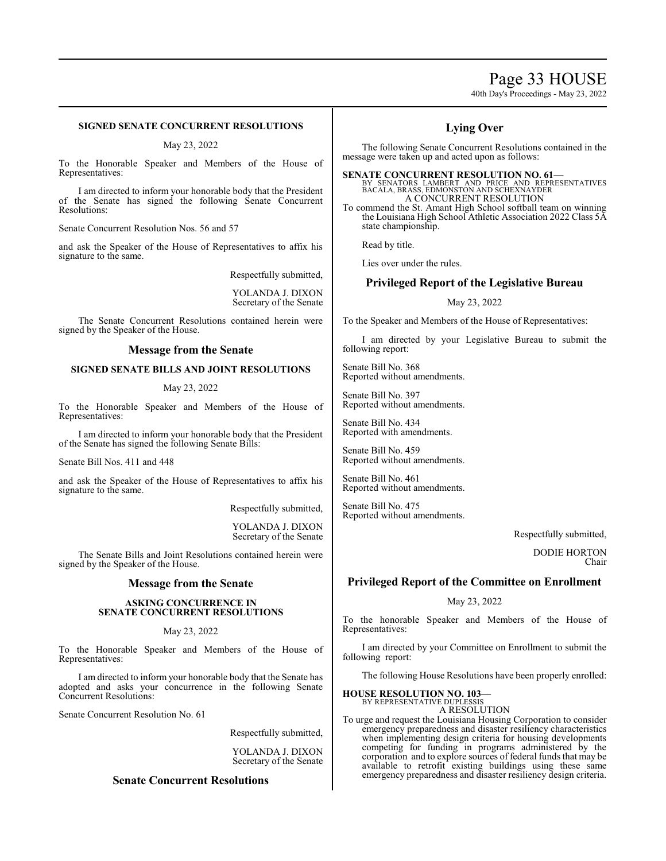# Page 33 HOUSE

40th Day's Proceedings - May 23, 2022

# **SIGNED SENATE CONCURRENT RESOLUTIONS**

May 23, 2022

To the Honorable Speaker and Members of the House of Representatives:

I am directed to inform your honorable body that the President of the Senate has signed the following Senate Concurrent Resolutions:

Senate Concurrent Resolution Nos. 56 and 57

and ask the Speaker of the House of Representatives to affix his signature to the same.

Respectfully submitted,

YOLANDA J. DIXON Secretary of the Senate

The Senate Concurrent Resolutions contained herein were signed by the Speaker of the House.

### **Message from the Senate**

### **SIGNED SENATE BILLS AND JOINT RESOLUTIONS**

#### May 23, 2022

To the Honorable Speaker and Members of the House of Representatives:

I am directed to inform your honorable body that the President of the Senate has signed the following Senate Bills:

Senate Bill Nos. 411 and 448

and ask the Speaker of the House of Representatives to affix his signature to the same.

Respectfully submitted,

YOLANDA J. DIXON Secretary of the Senate

The Senate Bills and Joint Resolutions contained herein were signed by the Speaker of the House.

### **Message from the Senate**

#### **ASKING CONCURRENCE IN SENATE CONCURRENT RESOLUTIONS**

#### May 23, 2022

To the Honorable Speaker and Members of the House of Representatives:

I am directed to inform your honorable body that the Senate has adopted and asks your concurrence in the following Senate Concurrent Resolutions:

Senate Concurrent Resolution No. 61

Respectfully submitted,

YOLANDA J. DIXON Secretary of the Senate

# **Senate Concurrent Resolutions**

# **Lying Over**

The following Senate Concurrent Resolutions contained in the message were taken up and acted upon as follows:

**SENATE CONCURRENT RESOLUTION NO. 61—**<br>BY SENATORS LAMBERT AND PRICE AND REPRESENTATIVES<br>BACALA, BRASS, EDMONSTON AND SCHEXNAYDER A CONCURRENT RESOLUTION

To commend the St. Amant High School softball team on winning the Louisiana High School Athletic Association 2022 Class 5A state championship.

Read by title.

Lies over under the rules.

# **Privileged Report of the Legislative Bureau**

### May 23, 2022

To the Speaker and Members of the House of Representatives:

I am directed by your Legislative Bureau to submit the following report:

Senate Bill No. 368 Reported without amendments.

Senate Bill No. 397 Reported without amendments.

Senate Bill No. 434 Reported with amendments.

Senate Bill No. 459 Reported without amendments.

Senate Bill No. 461 Reported without amendments.

Senate Bill No. 475 Reported without amendments.

Respectfully submitted,

DODIE HORTON Chair

# **Privileged Report of the Committee on Enrollment**

#### May 23, 2022

To the honorable Speaker and Members of the House of Representatives:

I am directed by your Committee on Enrollment to submit the following report:

The following House Resolutions have been properly enrolled:

#### **HOUSE RESOLUTION NO. 103—**

BY REPRESENTATIVE DUPLESSIS A RESOLUTION

To urge and request the Louisiana Housing Corporation to consider emergency preparedness and disaster resiliency characteristics when implementing design criteria for housing developments competing for funding in programs administered by the corporation and to explore sources of federal funds that may be available to retrofit existing buildings using these same emergency preparedness and disaster resiliency design criteria.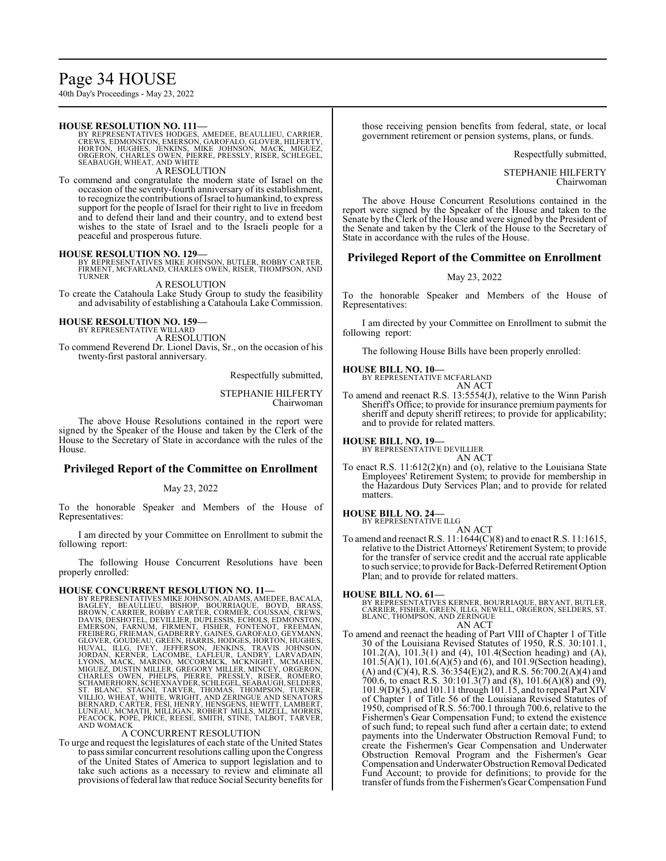# Page 34 HOUSE

40th Day's Proceedings - May 23, 2022

#### **HOUSE RESOLUTION NO. 111—**

BY REPRESENTATIVES HODGES, AMEDEE, BEAULLIEU, CARRIER,<br>CREWS, EDMONSTON, EMERSON, GAROFALO, GIOVER, HILFERTY,<br>HORTON, HUGHES, JENKINS, MIKE JOHNSON, MACK, MIGUEZ,<br>ORGERON, CHARLES OWEN, PIERRE, PRESSLY, RISER, SCHLEGEL, SEABAUGH, WHEAT, AND WHITE A RESOLUTION

To commend and congratulate the modern state of Israel on the occasion of the seventy-fourth anniversary of its establishment, to recognize the contributions ofIsrael to humankind, to express support for the people of Israel for their right to live in freedom and to defend their land and their country, and to extend best wishes to the state of Israel and to the Israeli people for a peaceful and prosperous future.

**HOUSE RESOLUTION NO. 129—**<br>BY REPRESENTATIVES MIKE JOHNSON, BUTLER, ROBBY CARTER,<br>FIRMENT, MCFARLAND, CHARLES OWEN, RISER, THOMPSON, AND<br>TURNER

A RESOLUTION

To create the Catahoula Lake Study Group to study the feasibility and advisability of establishing a Catahoula Lake Commission.

**HOUSE RESOLUTION NO. 159—**

BY REPRESENTATIVE WILLARD

A RESOLUTION

To commend Reverend Dr. Lionel Davis, Sr., on the occasion of his twenty-first pastoral anniversary.

Respectfully submitted,

STEPHANIE HILFERTY Chairwoman

The above House Resolutions contained in the report were signed by the Speaker of the House and taken by the Clerk of the House to the Secretary of State in accordance with the rules of the House.

# **Privileged Report of the Committee on Enrollment**

# May 23, 2022

To the honorable Speaker and Members of the House of Representatives:

I am directed by your Committee on Enrollment to submit the following report:

The following House Concurrent Resolutions have been properly enrolled:

HOUSE CONCURRENT RESOLUTION NO. 11—<br>BY REPRESENTATIVES MIKE JOHNSON, ADAMS, AMEDEE, BACALA,<br>BAGLEY, BEAULIEU, BISHOP, BOURRIAQUE, BOYD, BRASS,<br>BROWN, CARRIER, ROBBY CARTER, CORMIER, COUSSAN, CREWS,<br>DAVIS, DESHOTEL, DEVILLI VILLIO, WHEAT, WHITE, WRIGHT, AND ZERINGUE AND SENATORS<br>BERNARD, CARTER, FESI, HENRY, HENSGENS, HEWITT, LAMBERT,<br>LUNEAU, MCMATH, MILLIGAN, ROBERT MILLS, MIZELL, MORRIS,<br>PEACOCK, POPE, PRICE, REESE, SMITH, STINE, TALBOT, TA AND WOMACK

#### A CONCURRENT RESOLUTION

To urge and request the legislatures of each state of the United States to pass similar concurrent resolutions calling upon the Congress of the United States of America to support legislation and to take such actions as a necessary to review and eliminate all provisions offederal law that reduce Social Security benefits for those receiving pension benefits from federal, state, or local government retirement or pension systems, plans, or funds.

Respectfully submitted,

STEPHANIE HILFERTY Chairwoman

The above House Concurrent Resolutions contained in the report were signed by the Speaker of the House and taken to the Senate by the Clerk of the House and were signed by the President of the Senate and taken by the Clerk of the House to the Secretary of State in accordance with the rules of the House.

# **Privileged Report of the Committee on Enrollment**

#### May 23, 2022

To the honorable Speaker and Members of the House of Representatives:

I am directed by your Committee on Enrollment to submit the following report:

The following House Bills have been properly enrolled:

#### **HOUSE BILL NO. 10—**

BY REPRESENTATIVE MCFARLAND AN ACT

To amend and reenact R.S. 13:5554(J), relative to the Winn Parish Sheriff's Office; to provide for insurance premium payments for sheriff and deputy sheriff retirees; to provide for applicability; and to provide for related matters.

### **HOUSE BILL NO. 19—**

BY REPRESENTATIVE DEVILLIER AN ACT

To enact R.S. 11:612(2)(n) and (o), relative to the Louisiana State Employees' Retirement System; to provide for membership in the Hazardous Duty Services Plan; and to provide for related matters.

#### **HOUSE BILL NO. 24—**

BY REPRESENTATIVE ILLG AN ACT

To amend and reenact R.S. 11:1644(C)(8) and to enact R.S. 11:1615, relative to the District Attorneys'Retirement System; to provide for the transfer of service credit and the accrual rate applicable to such service; to provide for Back-Deferred Retirement Option Plan; and to provide for related matters.

#### **HOUSE BILL NO. 61—**

BY REPRESENTATIVES KERNER, BOURRIAQUE, BRYANT, BUTLER,<br>CARRIER, FISHER, GREEN, ILLG, NEWELL, ORGERON, SELDERS, ST.<br>BLANC, THOMPSON, AND ZERINGUE AN ACT

To amend and reenact the heading of Part VIII of Chapter 1 of Title 30 of the Louisiana Revised Statutes of 1950, R.S. 30:101.1, 101.2(A), 101.3(1) and (4), 101.4(Section heading) and (A), 101.5(A)(1), 101.6(A)(5) and (6), and 101.9(Section heading), (A) and (C)(4), R.S. 36:354(E)(2), and R.S. 56:700.2(A)(4) and 700.6, to enact R.S. 30:101.3(7) and (8), 101.6(A)(8) and (9), 101.9(D)(5), and 101.11 through 101.15, and to repeal Part XIV of Chapter 1 of Title 56 of the Louisiana Revised Statutes of 1950, comprised of R.S. 56:700.1 through 700.6, relative to the Fishermen's Gear Compensation Fund; to extend the existence of such fund; to repeal such fund after a certain date; to extend payments into the Underwater Obstruction Removal Fund; to create the Fishermen's Gear Compensation and Underwater Obstruction Removal Program and the Fishermen's Gear Compensation and Underwater Obstruction Removal Dedicated Fund Account; to provide for definitions; to provide for the transfer offunds fromthe Fishermen'sGear Compensation Fund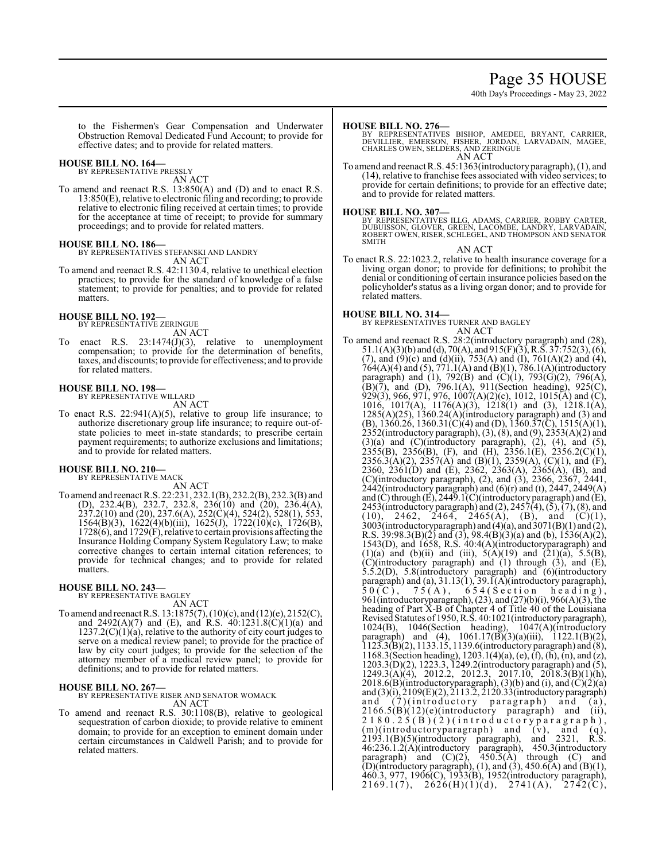# Page 35 HOUSE

40th Day's Proceedings - May 23, 2022

to the Fishermen's Gear Compensation and Underwater Obstruction Removal Dedicated Fund Account; to provide for effective dates; and to provide for related matters.

### **HOUSE BILL NO. 164—**

BY REPRESENTATIVE PRESSLY AN ACT

To amend and reenact R.S. 13:850(A) and (D) and to enact R.S. 13:850(E), relative to electronic filing and recording; to provide relative to electronic filing received at certain times; to provide for the acceptance at time of receipt; to provide for summary proceedings; and to provide for related matters.

# **HOUSE BILL NO. 186—**

BY REPRESENTATIVES STEFANSKI AND LANDRY AN ACT

To amend and reenact R.S. 42:1130.4, relative to unethical election practices; to provide for the standard of knowledge of a false statement; to provide for penalties; and to provide for related matters.

# **HOUSE BILL NO. 192—** BY REPRESENTATIVE ZERINGUE

AN ACT

To enact R.S. 23:1474(J)(3), relative to unemployment compensation; to provide for the determination of benefits, taxes, and discounts; to provide for effectiveness; and to provide for related matters.

# **HOUSE BILL NO. 198—**

BY REPRESENTATIVE WILLARD AN ACT

To enact R.S.  $22:941(A)(5)$ , relative to group life insurance; to authorize discretionary group life insurance; to require out-ofstate policies to meet in-state standards; to prescribe certain payment requirements; to authorize exclusions and limitations; and to provide for related matters.

# **HOUSE BILL NO. 210—**

BY REPRESENTATIVE MACK AN ACT

To amend and reenact R.S. 22:231, 232.1(B), 232.2(B), 232.3(B) and (D), 232.4(B), 232.7, 232.8, 236(10) and (20), 236.4(A),  $237.2(10)$  and  $(20)$ ,  $237.6(A)$ ,  $252(\dot{C})(4)$ ,  $524(\dot{2})$ ,  $528(1)$ ,  $553$ , 1564(B)(3), 1622(4)(b)(iii), 1625(J), 1722(10)(c), 1726(B), 1728(6), and 1729(F), relative to certain provisions affecting the Insurance Holding Company System Regulatory Law; to make corrective changes to certain internal citation references; to provide for technical changes; and to provide for related matters.

# **HOUSE BILL NO. 243—**

BY REPRESENTATIVE BAGLEY AN ACT

To amend and reenact R.S. 13:1875(7), (10)(c), and (12)(e), 2152(C), and 2492(A)(7) and (E), and  $\overrightarrow{R}$ . S.  $40:1231.8(\overrightarrow{C})(1)(a)$  and  $1237.2(C)(1)(a)$ , relative to the authority of city court judges to serve on a medical review panel; to provide for the practice of law by city court judges; to provide for the selection of the attorney member of a medical review panel; to provide for definitions; and to provide for related matters.

# **HOUSE BILL NO. 267—**

BY REPRESENTATIVE RISER AND SENATOR WOMACK AN ACT

To amend and reenact R.S. 30:1108(B), relative to geological sequestration of carbon dioxide; to provide relative to eminent domain; to provide for an exception to eminent domain under certain circumstances in Caldwell Parish; and to provide for related matters.

#### **HOUSE BILL NO. 276—**

- BY REPRESENTATIVES BISHOP, AMEDEE, BRYANT, CARRIER,<br>DEVILLIER, EMERSON, FISHER, JORDAN, LARVADAIN, MAGEE,<br>CHARLES OWEN,SELDERS,AND ZERINGUE AN ACT
- To amend and reenact R.S. 45:1363(introductory paragraph), (1), and (14), relative to franchise fees associated with video services; to provide for certain definitions; to provide for an effective date; and to provide for related matters.

### **HOUSE BILL NO. 307—**

BY REPRESENTATIVES ILLG, ADAMS, CARRIER, ROBBY CARTER, DUBUISSON, GLOVER, GREEN, LACOMBE, LANDRY, LARVADAIN, ROBERT OWEN, RISER, SCHLEGEL, AND THOMPSON AND SENATOR SMITH

AN ACT

To enact R.S. 22:1023.2, relative to health insurance coverage for a living organ donor; to provide for definitions; to prohibit the denial or conditioning of certain insurance policies based on the policyholder's status as a living organ donor; and to provide for related matters.

**HOUSE BILL NO. 314—** BY REPRESENTATIVES TURNER AND BAGLEY AN ACT

To amend and reenact R.S. 28:2(introductory paragraph) and (28), 51.1(A)(3)(b) and (d), 70(A), and 915(F)(3), R.S. 37:752(3), (6), (7), and (9)(c) and (d)(ii), 753(A) and (I), 761(A)(2) and (4), 764(A)(4) and (5), 771.1(A) and (B)(1), 786.1(A)(introductory paragraph) and (1), 792(B) and (C)(1), 793(G)(2), 796(A), (B)(7), and (D), 796.1(A), 911(Section heading), 925(C), 929(3), 966, 971, 976, 1007(A)(2)(c), 1012, 1015(A) and (C),  $1016, 1017(A), 1176(A)(3), 1218(1)$  and  $(3), 1218.1(A)$  $1285(A)(25)$ ,  $1360.24(A)(\text{introductory paragraph})$  and (3) and (B), 1360.26, 1360.31(C)(4) and (D), 1360.37(C), 1515(A)(1), 2352(introductory paragraph), (3), (8), and (9), 2353(A)(2) and  $(3)(a)$  and  $(C)(introducing)$  paragraph),  $(2)$ ,  $(4)$ , and  $(5)$ ,  $2355(B)$ ,  $2356(B)$ , (F), and (H),  $2356.1(E)$ ,  $2356.2(C)(1)$ , 2356.3(A)(2), 2357(A) and (B)(1), 2359(A), (C)(1), and (F), 2360, 2361(D) and (E), 2362, 2363(A), 2365(A), (B), and (C)(introductory paragraph), (2), and (3), 2366, 2367, 2441, 2442(introductory paragraph) and (6)(r) and (t), 2447, 2449(A) and (C) through (E), 2449.1(C)(introductory paragraph) and (E), 2453(introductory paragraph) and  $(2)$ , 2457 $(4)$ ,  $(5)$ ,  $(7)$ ,  $(8)$ , and  $(10)$ , 2462, 2464, 2465(A), (B), and (C)(1), 3003(introductoryparagraph) and (4)(a), and 3071(B)(1) and (2), R.S. 39:98.3(B)(2) and (3), 98.4(B)(3)(a) and (b), 1536(A)(2), 1543(D), and 1658, R.S. 40:4(A)(introductoryparagraph) and (1)(a) and (b)(ii) and (iii),  $5(A)(19)$  and  $(21)(a)$ ,  $5.5(B)$ , (C)(introductory paragraph) and (1) through (3), and (E), 5.5.2(D), 5.8(introductory paragraph) and (6)(introductory paragraph) and (a), 31.13(1), 39.1(A)(introductory paragraph),  $50(\mathrm{C}),$   $75(\mathrm{A}),$   $654(\mathrm{Section}$  heading), 961(introductoryparagraph), (23), and (27)(b)(i), 966(A)(3), the heading of Part X-B of Chapter 4 of Title 40 of the Louisiana Revised Statutes of 1950, R.S. 40:1021(introductoryparagraph), 1024(B), 1046(Section heading), 1047(A)(introductory paragraph) and  $(4)$ , 1061.17 $(B)(3)(a)(iii)$ , 1122.1 $(B)(2)$ , 1123.3(B)(2), 1133.15, 1139.6(introductory paragraph) and (8), 1168.3(Section heading), 1203.1(4)(a), (e), (f), (h), (n), and (z), 1203.3(D)(2), 1223.3, 1249.2(introductory paragraph) and (5),  $1249.3(A)(4)$ ,  $2012.2$ ,  $2012.3$ ,  $2017.10$ ,  $2018.3(B)(1)(h)$ , 2018.6(B)(introductoryparagraph), (3)(b) and (i), and  $\overline{C}(2)(a)$ and (3)(i), 2109(E)(2), 2113.2, 2120.33(introductoryparagraph) and  $(7)$ (introductory paragraph) and  $(a)$ ,  $2166.5(B)(12)(e)$ (introductory paragraph) and (ii), 2 1 8 0 . 2 5 ( B ) ( 2 ) ( i n t r o d u c t o r y p a r a g r a p h ) ,  $(m)(introducing a graph)$  and  $(v)$ , and  $(q)$ , 2193.1(B)(5)(introductory paragraph), and 2321, R.S. 46:236.1.2(A)(introductory paragraph), 450.3(introductory paragraph) and  $(C)(2)$ ,  $450.5(A)$  through  $(C)$  and (D)(introductory paragraph), (1), and (3), 450.6(A) and (B)(1), 460.3, 977, 1906(C), 1933(B), 1952(introductory paragraph), 2169.1(7), 2626(H)(1)(d), 2741(A), 2742(C),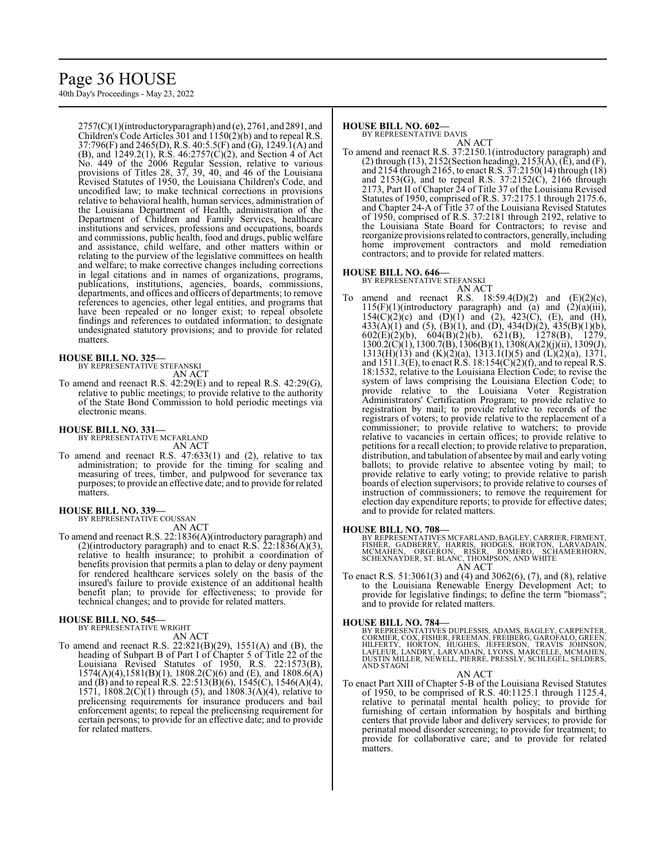# Page 36 HOUSE

40th Day's Proceedings - May 23, 2022

2757(C)(1)(introductoryparagraph) and (e), 2761, and 2891, and Children's Code Articles 301 and 1150(2)(b) and to repeal R.S. 37:796(F) and 2465(D), R.S. 40:5.5(F) and (G), 1249.1(A) and (B), and 1249.2(1), R.S. 46:2757(C)(2), and Section 4 of Act No. 449 of the 2006 Regular Session, relative to various provisions of Titles 28, 37, 39, 40, and 46 of the Louisiana Revised Statutes of 1950, the Louisiana Children's Code, and uncodified law; to make technical corrections in provisions relative to behavioral health, human services, administration of the Louisiana Department of Health, administration of the Department of Children and Family Services, healthcare institutions and services, professions and occupations, boards and commissions, public health, food and drugs, public welfare and assistance, child welfare, and other matters within or relating to the purview of the legislative committees on health and welfare; to make corrective changes including corrections in legal citations and in names of organizations, programs, publications, institutions, agencies, boards, commissions, departments, and offices and officers of departments; to remove references to agencies, other legal entities, and programs that have been repealed or no longer exist; to repeal obsolete findings and references to outdated information; to designate undesignated statutory provisions; and to provide for related matters.

# **HOUSE BILL NO. 325—**

BY REPRESENTATIVE STEFANSKI

AN ACT

To amend and reenact R.S. 42:29(E) and to repeal R.S. 42:29(G), relative to public meetings; to provide relative to the authority of the State Bond Commission to hold periodic meetings via electronic means.

# **HOUSE BILL NO. 331—** BY REPRESENTATIVE MCFARLAND

AN ACT

To amend and reenact R.S. 47:633(1) and (2), relative to tax administration; to provide for the timing for scaling and measuring of trees, timber, and pulpwood for severance tax purposes; to provide an effective date; and to provide for related matters.

#### **HOUSE BILL NO. 339—**

BY REPRESENTATIVE COUSSAN AN ACT

To amend and reenact R.S. 22:1836(A)(introductory paragraph) and (2)(introductory paragraph) and to enact R.S. 22:1836(A)(3), relative to health insurance; to prohibit a coordination of benefits provision that permits a plan to delay or deny payment for rendered healthcare services solely on the basis of the insured's failure to provide existence of an additional health benefit plan; to provide for effectiveness; to provide for technical changes; and to provide for related matters.

#### **HOUSE BILL NO. 545—** BY REPRESENTATIVE WRIGHT

AN ACT

To amend and reenact R.S. 22:821(B)(29), 1551(A) and (B), the heading of Subpart B of Part I of Chapter 5 of Title 22 of the Louisiana Revised Statutes of 1950, R.S. 22:1573(B), 1574(A)(4),1581(B)(1), 1808.2(C)(6) and (E), and 1808.6(A) and (B) and to repeal R.S. 22:513(B)(6), 1545(C), 1546(A)(4), 1571, 1808.2(C)(1) through (5), and 1808.3(A)(4), relative to prelicensing requirements for insurance producers and bail enforcement agents; to repeal the prelicensing requirement for certain persons; to provide for an effective date; and to provide for related matters.

#### **HOUSE BILL NO. 602—** BY REPRESENTATIVE DAVIS

AN ACT

To amend and reenact R.S. 37:2150.1(introductory paragraph) and (2) through (13), 2152(Section heading), 2153( $\hat{A}$ ), ( $\hat{E}$ ), and (F), and 2154 through 2165, to enact R.S. 37:2150(14) through (18) and 2153(G), and to repeal R.S. 37:2152(C), 2166 through 2173, Part II of Chapter 24 of Title 37 of the Louisiana Revised Statutes of 1950, comprised of R.S. 37:2175.1 through 2175.6, and Chapter 24-A of Title 37 of the Louisiana Revised Statutes of 1950, comprised of R.S. 37:2181 through 2192, relative to the Louisiana State Board for Contractors; to revise and reorganize provisions related to contractors, generally, including home improvement contractors and mold remediation contractors; and to provide for related matters.

#### **HOUSE BILL NO. 646—**

BY REPRESENTATIVE STEFANSKI AN ACT

amend and reenact R.S.  $18:59.4(D)(2)$  and  $(E)(2)(c)$ ,  $115(F)(1)$ (introductory paragraph) and (a) and  $(2)(a)(iii)$ ,  $154(C)(2)(c)$  and  $(D)(1)$  and  $(2)$ ,  $423(C)$ ,  $(E)$ , and  $(H)$ ,  $433(A)(1)$  and  $(5)$ ,  $(B)(1)$ , and  $(D)$ ,  $434(D)(2)$ ,  $435(B)(1)(b)$ , 602(E)(2)(b), 604(B)(2)(b), 621(B), 1278(B), 1279, 1300.2(C)(1), 1300.7(B), 1306(B)(1), 1308(A)(2)(j)(ii), 1309(J), 1313(H)(13) and (K)(2)(a), 1313.1(I)(5) and (L)(2)(a), 1371, and 1511.3(E), to enact R.S. 18:154(C)(2)(f), and to repeal R.S. 18:1532, relative to the Louisiana Election Code; to revise the system of laws comprising the Louisiana Election Code; to provide relative to the Louisiana Voter Registration Administrators' Certification Program; to provide relative to registration by mail; to provide relative to records of the registrars of voters; to provide relative to the replacement of a commissioner; to provide relative to watchers; to provide relative to vacancies in certain offices; to provide relative to petitions for a recall election; to provide relative to preparation, distribution, and tabulation of absentee by mail and early voting ballots; to provide relative to absentee voting by mail; to provide relative to early voting; to provide relative to parish boards of election supervisors; to provide relative to courses of instruction of commissioners; to remove the requirement for election day expenditure reports; to provide for effective dates; and to provide for related matters.

#### **HOUSE BILL NO. 708—**

BY REPRESENTATIVES MCFARLAND, BAGLEY, CARRIER, FIRMENT,<br>FISHER, GADBERRY, HARRIS, HODGES, HORTON, LARVADAIN,<br>MCMAHEN, ORGERON, RISER, ROMERO, SCHAMERHORN,<br>SCHEXNAYDER, ST. BLANC, THOMPSON, AND WHITE AN ACT

To enact R.S. 51:3061(3) and (4) and 3062(6), (7), and (8), relative to the Louisiana Renewable Energy Development Act; to provide for legislative findings; to define the term "biomass"; and to provide for related matters.

#### **HOUSE BILL NO. 784—**

BY REPRESENTATIVES DUPLESSIS, ADAMS, BAGLEY, CARPENTER,<br>CORMIER, COX, FISHER, FREEMAN, FREIBERG, GAROFALO, GREEN,<br>HILFERTY, HORTON, HUGHES, JEFFERSON, TRAVIS JOHNSON,<br>LAFLEUR, LANDRY, LARVADAIN, LYONS, MARCELLE, MCMAHEN,<br>D AND STAGNI

#### AN ACT

To enact Part XIII of Chapter 5-B of the Louisiana Revised Statutes of 1950, to be comprised of R.S. 40:1125.1 through 1125.4, relative to perinatal mental health policy; to provide for furnishing of certain information by hospitals and birthing centers that provide labor and delivery services; to provide for perinatal mood disorder screening; to provide for treatment; to provide for collaborative care; and to provide for related matters.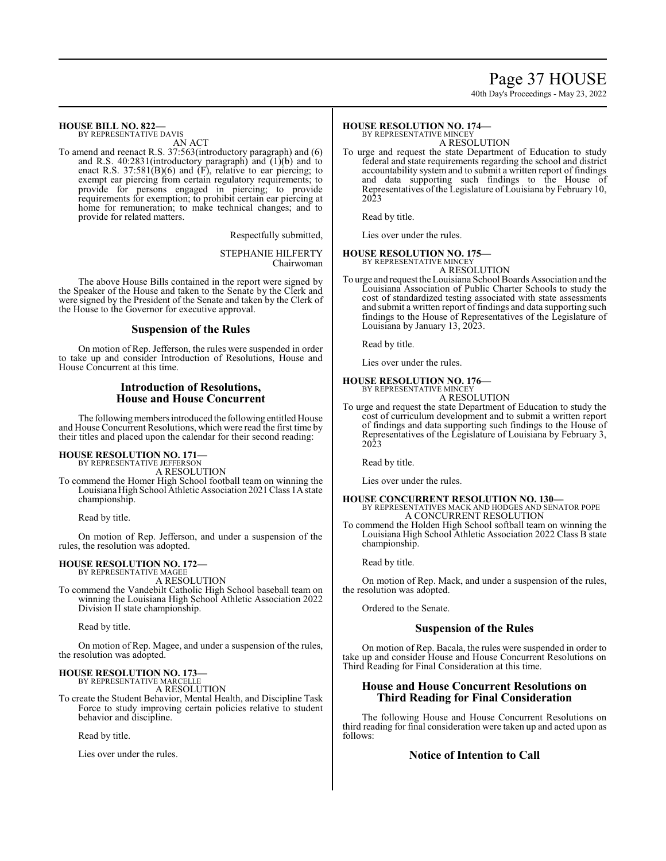# Page 37 HOUSE

40th Day's Proceedings - May 23, 2022

#### **HOUSE BILL NO. 822—** BY REPRESENTATIVE DAVIS

AN ACT

To amend and reenact R.S. 37:563(introductory paragraph) and (6) and R.S. 40:2831(introductory paragraph) and (1)(b) and to enact R.S. 37:581(B)(6) and (F), relative to ear piercing; to exempt ear piercing from certain regulatory requirements; to provide for persons engaged in piercing; to provide requirements for exemption; to prohibit certain ear piercing at home for remuneration; to make technical changes; and to provide for related matters.

Respectfully submitted,

STEPHANIE HILFERTY Chairwoman

The above House Bills contained in the report were signed by the Speaker of the House and taken to the Senate by the Clerk and were signed by the President of the Senate and taken by the Clerk of the House to the Governor for executive approval.

# **Suspension of the Rules**

On motion of Rep. Jefferson, the rules were suspended in order to take up and consider Introduction of Resolutions, House and House Concurrent at this time.

# **Introduction of Resolutions, House and House Concurrent**

The following members introduced the following entitled House and House Concurrent Resolutions, which were read the first time by their titles and placed upon the calendar for their second reading:

#### **HOUSE RESOLUTION NO. 171—**

BY REPRESENTATIVE JEFFERSON A RESOLUTION

To commend the Homer High School football team on winning the Louisiana High School Athletic Association 2021 Class 1A state championship.

Read by title.

On motion of Rep. Jefferson, and under a suspension of the rules, the resolution was adopted.

# **HOUSE RESOLUTION NO. 172—** BY REPRESENTATIVE MAGEE

A RESOLUTION

To commend the Vandebilt Catholic High School baseball team on winning the Louisiana High School Athletic Association 2022 Division II state championship.

Read by title.

On motion of Rep. Magee, and under a suspension of the rules, the resolution was adopted.

#### **HOUSE RESOLUTION NO. 173—** BY REPRESENTATIVE MARCELLE

A RESOLUTION

To create the Student Behavior, Mental Health, and Discipline Task Force to study improving certain policies relative to student behavior and discipline.

Read by title.

Lies over under the rules.

#### **HOUSE RESOLUTION NO. 174—** BY REPRESENTATIVE MINCEY

A RESOLUTION

To urge and request the state Department of Education to study federal and state requirements regarding the school and district accountability system and to submit a written report of findings and data supporting such findings to the House of Representatives of the Legislature of Louisiana by February 10, 2023

Read by title.

Lies over under the rules.

# **HOUSE RESOLUTION NO. 175—** BY REPRESENTATIVE MINCEY

A RESOLUTION

To urge and request the Louisiana School Boards Association and the Louisiana Association of Public Charter Schools to study the cost of standardized testing associated with state assessments and submit a written report of findings and data supporting such findings to the House of Representatives of the Legislature of Louisiana by January 13, 2023.

Read by title.

Lies over under the rules.

#### **HOUSE RESOLUTION NO. 176—** BY REPRESENTATIVE MINCEY

A RESOLUTION

To urge and request the state Department of Education to study the cost of curriculum development and to submit a written report of findings and data supporting such findings to the House of Representatives of the Legislature of Louisiana by February 3, 2023

Read by title.

Lies over under the rules.

#### **HOUSE CONCURRENT RESOLUTION NO. 130—** BY REPRESENTATIVES MACK AND HODGES AND SENATOR POPE A CONCURRENT RESOLUTION

To commend the Holden High School softball team on winning the Louisiana High School Athletic Association 2022 Class B state championship.

Read by title.

On motion of Rep. Mack, and under a suspension of the rules, the resolution was adopted.

Ordered to the Senate.

# **Suspension of the Rules**

On motion of Rep. Bacala, the rules were suspended in order to take up and consider House and House Concurrent Resolutions on Third Reading for Final Consideration at this time.

# **House and House Concurrent Resolutions on Third Reading for Final Consideration**

The following House and House Concurrent Resolutions on third reading for final consideration were taken up and acted upon as follows:

# **Notice of Intention to Call**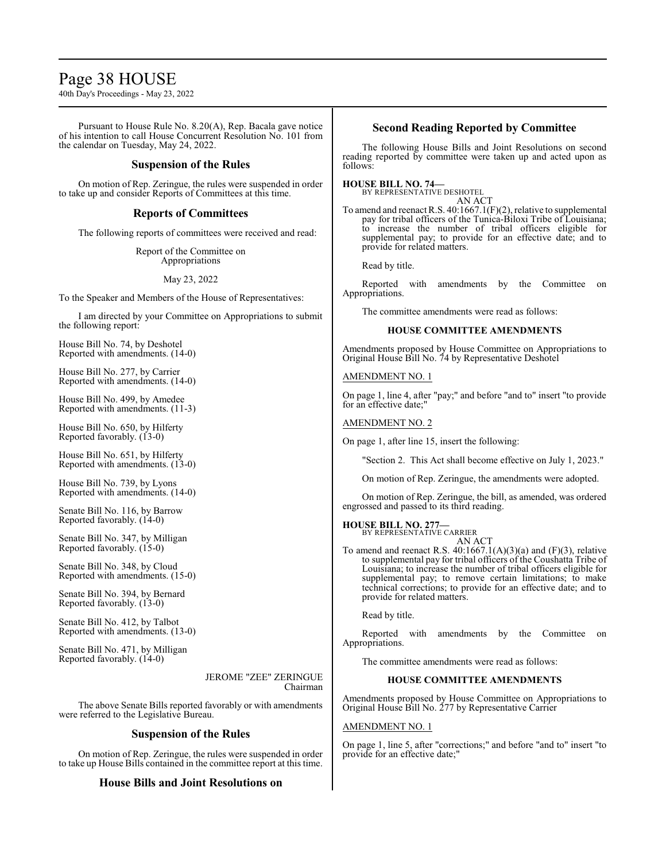# Page 38 HOUSE

40th Day's Proceedings - May 23, 2022

Pursuant to House Rule No. 8.20(A), Rep. Bacala gave notice of his intention to call House Concurrent Resolution No. 101 from the calendar on Tuesday, May 24, 2022.

# **Suspension of the Rules**

On motion of Rep. Zeringue, the rules were suspended in order to take up and consider Reports of Committees at this time.

# **Reports of Committees**

The following reports of committees were received and read:

Report of the Committee on Appropriations

May 23, 2022

To the Speaker and Members of the House of Representatives:

I am directed by your Committee on Appropriations to submit the following report:

House Bill No. 74, by Deshotel Reported with amendments. (14-0)

House Bill No. 277, by Carrier Reported with amendments. (14-0)

House Bill No. 499, by Amedee Reported with amendments. (11-3)

House Bill No. 650, by Hilferty Reported favorably. (13-0)

House Bill No. 651, by Hilferty Reported with amendments. (13-0)

House Bill No. 739, by Lyons Reported with amendments. (14-0)

Senate Bill No. 116, by Barrow Reported favorably. (14-0)

Senate Bill No. 347, by Milligan Reported favorably. (15-0)

Senate Bill No. 348, by Cloud Reported with amendments. (15-0)

Senate Bill No. 394, by Bernard Reported favorably. (13-0)

Senate Bill No. 412, by Talbot Reported with amendments. (13-0)

Senate Bill No. 471, by Milligan Reported favorably. (14-0)

### JEROME "ZEE" ZERINGUE Chairman

The above Senate Bills reported favorably or with amendments were referred to the Legislative Bureau.

# **Suspension of the Rules**

On motion of Rep. Zeringue, the rules were suspended in order to take up House Bills contained in the committee report at this time.

# **House Bills and Joint Resolutions on**

# **Second Reading Reported by Committee**

The following House Bills and Joint Resolutions on second reading reported by committee were taken up and acted upon as follows:

**HOUSE BILL NO. 74—** BY REPRESENTATIVE DESHOTEL

AN ACT

To amend and reenact R.S. 40:1667.1(F)(2), relative to supplemental pay for tribal officers of the Tunica-Biloxi Tribe of Louisiana; to increase the number of tribal officers eligible for supplemental pay; to provide for an effective date; and to provide for related matters.

Read by title.

Reported with amendments by the Committee on Appropriations.

The committee amendments were read as follows:

# **HOUSE COMMITTEE AMENDMENTS**

Amendments proposed by House Committee on Appropriations to Original House Bill No. 74 by Representative Deshotel

# AMENDMENT NO. 1

On page 1, line 4, after "pay;" and before "and to" insert "to provide for an effective date;"

# AMENDMENT NO. 2

On page 1, after line 15, insert the following:

"Section 2. This Act shall become effective on July 1, 2023."

On motion of Rep. Zeringue, the amendments were adopted.

On motion of Rep. Zeringue, the bill, as amended, was ordered engrossed and passed to its third reading.

**HOUSE BILL NO. 277—** BY REPRESENTATIVE CARRIER

# AN ACT

To amend and reenact R.S.  $40:1667.1(A)(3)(a)$  and  $(F)(3)$ , relative to supplemental pay for tribal officers of the Coushatta Tribe of Louisiana; to increase the number of tribal officers eligible for supplemental pay; to remove certain limitations; to make technical corrections; to provide for an effective date; and to provide for related matters.

Read by title.

Reported with amendments by the Committee on Appropriations.

The committee amendments were read as follows:

# **HOUSE COMMITTEE AMENDMENTS**

Amendments proposed by House Committee on Appropriations to Original House Bill No. 277 by Representative Carrier

# AMENDMENT NO. 1

On page 1, line 5, after "corrections;" and before "and to" insert "to provide for an effective date;"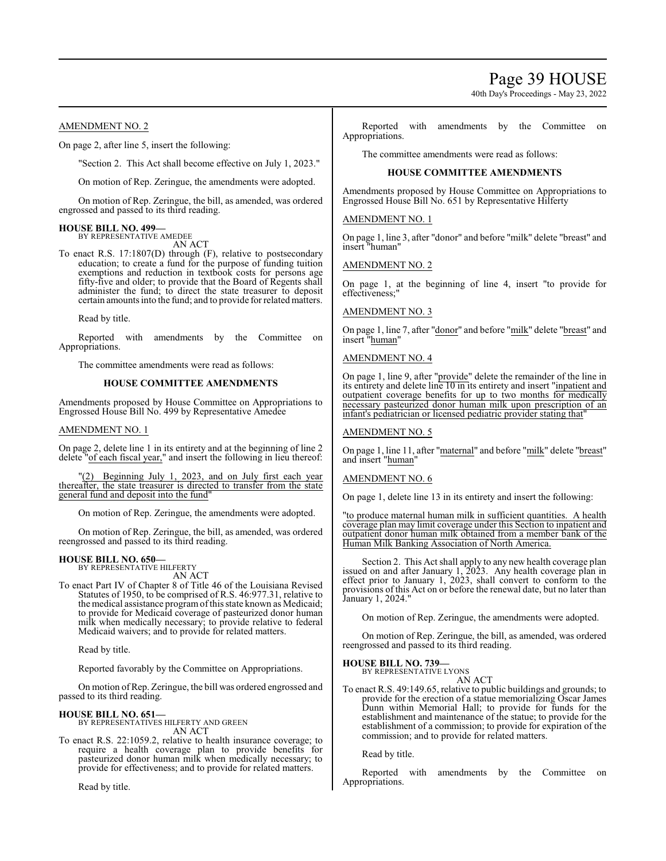Page 39 HOUSE

40th Day's Proceedings - May 23, 2022

# AMENDMENT NO. 2

On page 2, after line 5, insert the following:

"Section 2. This Act shall become effective on July 1, 2023."

On motion of Rep. Zeringue, the amendments were adopted.

On motion of Rep. Zeringue, the bill, as amended, was ordered engrossed and passed to its third reading.

#### **HOUSE BILL NO. 499—** BY REPRESENTATIVE AMEDEE

AN ACT

To enact R.S. 17:1807(D) through (F), relative to postsecondary education; to create a fund for the purpose of funding tuition exemptions and reduction in textbook costs for persons age fifty-five and older; to provide that the Board of Regents shall administer the fund; to direct the state treasurer to deposit certain amounts into the fund; and to provide for related matters.

Read by title.

Reported with amendments by the Committee on Appropriations.

The committee amendments were read as follows:

# **HOUSE COMMITTEE AMENDMENTS**

Amendments proposed by House Committee on Appropriations to Engrossed House Bill No. 499 by Representative Amedee

#### AMENDMENT NO. 1

On page 2, delete line 1 in its entirety and at the beginning of line 2 delete "of each fiscal year," and insert the following in lieu thereof:

"(2) Beginning July 1, 2023, and on July first each year thereafter, the state treasurer is directed to transfer from the state general fund and deposit into the fund"

On motion of Rep. Zeringue, the amendments were adopted.

On motion of Rep. Zeringue, the bill, as amended, was ordered reengrossed and passed to its third reading.

#### **HOUSE BILL NO. 650—** BY REPRESENTATIVE HILFERTY

AN ACT

To enact Part IV of Chapter 8 of Title 46 of the Louisiana Revised Statutes of 1950, to be comprised of R.S. 46:977.31, relative to the medical assistance program of this state known as Medicaid; to provide for Medicaid coverage of pasteurized donor human milk when medically necessary; to provide relative to federal Medicaid waivers; and to provide for related matters.

Read by title.

Reported favorably by the Committee on Appropriations.

On motion ofRep. Zeringue, the bill was ordered engrossed and passed to its third reading.

#### **HOUSE BILL NO. 651—** BY REPRESENTATIVES HILFERTY AND GREEN

AN ACT

To enact R.S. 22:1059.2, relative to health insurance coverage; to require a health coverage plan to provide benefits for pasteurized donor human milk when medically necessary; to provide for effectiveness; and to provide for related matters.

Read by title.

Reported with amendments by the Committee on Appropriations.

The committee amendments were read as follows:

# **HOUSE COMMITTEE AMENDMENTS**

Amendments proposed by House Committee on Appropriations to Engrossed House Bill No. 651 by Representative Hilferty

#### AMENDMENT NO. 1

On page 1, line 3, after "donor" and before "milk" delete "breast" and insert "human"

AMENDMENT NO. 2

On page 1, at the beginning of line 4, insert "to provide for effectiveness;"

#### AMENDMENT NO. 3

On page 1, line 7, after "donor" and before "milk" delete "breast" and insert "human"

### AMENDMENT NO. 4

On page 1, line 9, after "provide" delete the remainder of the line in its entirety and delete line 10 in its entirety and insert "inpatient and outpatient coverage benefits for up to two months for medically necessary pasteurized donor human milk upon prescription of an infant's pediatrician or licensed pediatric provider stating that"

#### AMENDMENT NO. 5

On page 1, line 11, after "maternal" and before "milk" delete "breast" and insert "human"

#### AMENDMENT NO. 6

On page 1, delete line 13 in its entirety and insert the following:

"to produce maternal human milk in sufficient quantities. A health coverage plan may limit coverage under this Section to inpatient and outpatient donor human milk obtained from a member bank of the Human Milk Banking Association of North America.

Section 2. This Act shall apply to any new health coverage plan issued on and after January 1, 2023. Any health coverage plan in effect prior to January 1, 2023, shall convert to conform to the provisions of this Act on or before the renewal date, but no later than January 1, 2024."

On motion of Rep. Zeringue, the amendments were adopted.

On motion of Rep. Zeringue, the bill, as amended, was ordered reengrossed and passed to its third reading.

#### **HOUSE BILL NO. 739—**

BY REPRESENTATIVE LYONS AN ACT

To enact R.S. 49:149.65, relative to public buildings and grounds; to provide for the erection of a statue memorializing Oscar James Dunn within Memorial Hall; to provide for funds for the establishment and maintenance of the statue; to provide for the establishment of a commission; to provide for expiration of the commission; and to provide for related matters.

Read by title.

Reported with amendments by the Committee on Appropriations.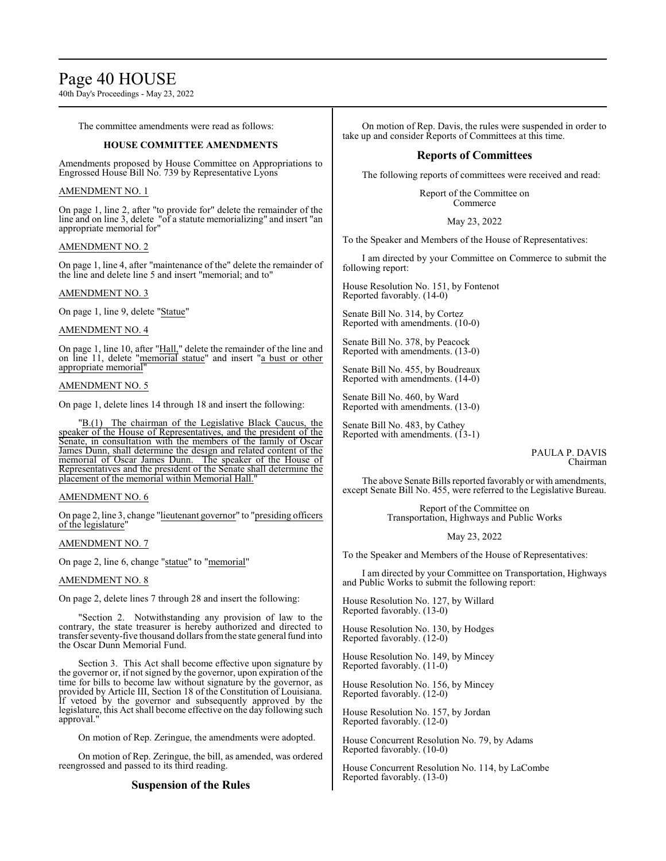# Page 40 HOUSE

40th Day's Proceedings - May 23, 2022

The committee amendments were read as follows:

# **HOUSE COMMITTEE AMENDMENTS**

Amendments proposed by House Committee on Appropriations to Engrossed House Bill No. 739 by Representative Lyons

# AMENDMENT NO. 1

On page 1, line 2, after "to provide for" delete the remainder of the line and on line 3, delete "of a statute memorializing" and insert "an appropriate memorial for"

# AMENDMENT NO. 2

On page 1, line 4, after "maintenance of the" delete the remainder of the line and delete line 5 and insert "memorial; and to"

### AMENDMENT NO. 3

On page 1, line 9, delete "Statue"

### AMENDMENT NO. 4

On page 1, line 10, after "Hall," delete the remainder of the line and on line 11, delete "memorial statue" and insert "a bust or other appropriate memorial

### AMENDMENT NO. 5

On page 1, delete lines 14 through 18 and insert the following:

"B.(1) The chairman of the Legislative Black Caucus, the speaker of the House of Representatives, and the president of the Senate, in consultation with the members of the family of Oscar James Dunn, shall determine the design and related content of the memorial of Oscar James Dunn. The speaker of the House of Representatives and the president of the Senate shall determine the placement of the memorial within Memorial Hall."

# AMENDMENT NO. 6

On page 2, line 3, change "lieutenant governor" to "presiding officers of the legislature"

### AMENDMENT NO. 7

On page 2, line 6, change "statue" to "memorial"

#### AMENDMENT NO. 8

On page 2, delete lines 7 through 28 and insert the following:

"Section 2. Notwithstanding any provision of law to the contrary, the state treasurer is hereby authorized and directed to transfer seventy-five thousand dollars fromthe state general fund into the Oscar Dunn Memorial Fund.

Section 3. This Act shall become effective upon signature by the governor or, if not signed by the governor, upon expiration of the time for bills to become law without signature by the governor, as provided by Article III, Section 18 of the Constitution of Louisiana. If vetoed by the governor and subsequently approved by the legislature, this Act shall become effective on the day following such approval."

On motion of Rep. Zeringue, the amendments were adopted.

On motion of Rep. Zeringue, the bill, as amended, was ordered reengrossed and passed to its third reading.

# **Suspension of the Rules**

On motion of Rep. Davis, the rules were suspended in order to take up and consider Reports of Committees at this time.

# **Reports of Committees**

The following reports of committees were received and read:

Report of the Committee on Commerce

### May 23, 2022

To the Speaker and Members of the House of Representatives:

I am directed by your Committee on Commerce to submit the following report:

House Resolution No. 151, by Fontenot Reported favorably. (14-0)

Senate Bill No. 314, by Cortez Reported with amendments. (10-0)

Senate Bill No. 378, by Peacock Reported with amendments. (13-0)

Senate Bill No. 455, by Boudreaux Reported with amendments. (14-0)

Senate Bill No. 460, by Ward Reported with amendments. (13-0)

Senate Bill No. 483, by Cathey Reported with amendments. (13-1)

> PAULA P. DAVIS Chairman

The above Senate Bills reported favorably or with amendments, except Senate Bill No. 455, were referred to the Legislative Bureau.

> Report of the Committee on Transportation, Highways and Public Works

> > May 23, 2022

To the Speaker and Members of the House of Representatives:

I am directed by your Committee on Transportation, Highways and Public Works to submit the following report:

House Resolution No. 127, by Willard Reported favorably. (13-0)

House Resolution No. 130, by Hodges Reported favorably. (12-0)

House Resolution No. 149, by Mincey Reported favorably. (11-0)

House Resolution No. 156, by Mincey Reported favorably. (12-0)

House Resolution No. 157, by Jordan Reported favorably. (12-0)

House Concurrent Resolution No. 79, by Adams Reported favorably. (10-0)

House Concurrent Resolution No. 114, by LaCombe Reported favorably. (13-0)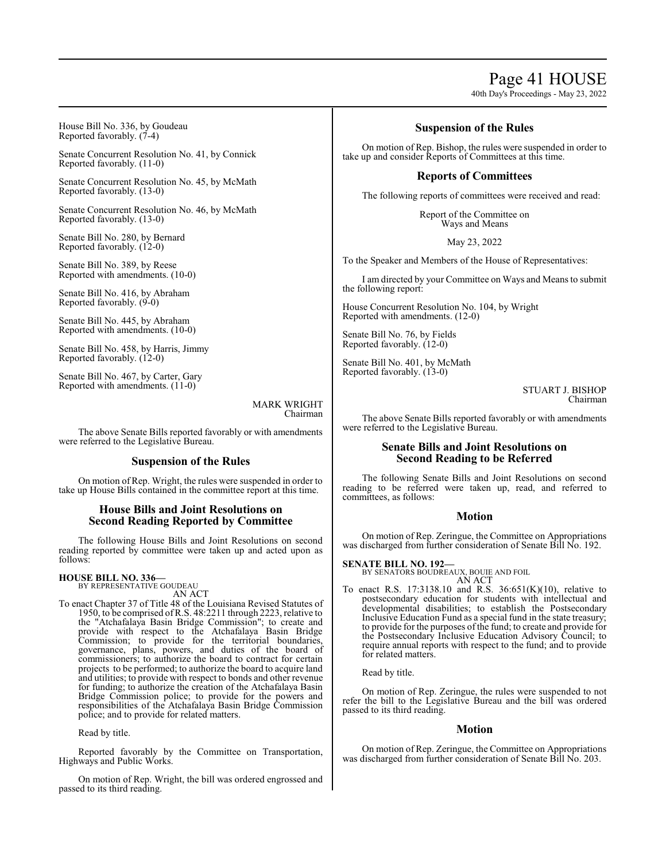# Page 41 HOUSE

40th Day's Proceedings - May 23, 2022

House Bill No. 336, by Goudeau Reported favorably. (7-4)

Senate Concurrent Resolution No. 41, by Connick Reported favorably. (11-0)

Senate Concurrent Resolution No. 45, by McMath Reported favorably. (13-0)

Senate Concurrent Resolution No. 46, by McMath Reported favorably. (13-0)

Senate Bill No. 280, by Bernard Reported favorably. (12-0)

Senate Bill No. 389, by Reese Reported with amendments. (10-0)

Senate Bill No. 416, by Abraham Reported favorably. (9-0)

Senate Bill No. 445, by Abraham Reported with amendments. (10-0)

Senate Bill No. 458, by Harris, Jimmy Reported favorably. (12-0)

Senate Bill No. 467, by Carter, Gary Reported with amendments. (11-0)

> MARK WRIGHT Chairman

The above Senate Bills reported favorably or with amendments were referred to the Legislative Bureau.

# **Suspension of the Rules**

On motion of Rep. Wright, the rules were suspended in order to take up House Bills contained in the committee report at this time.

# **House Bills and Joint Resolutions on Second Reading Reported by Committee**

The following House Bills and Joint Resolutions on second reading reported by committee were taken up and acted upon as follows:

# **HOUSE BILL NO. 336—** BY REPRESENTATIVE GOUDEAU

AN ACT

To enact Chapter 37 of Title 48 of the Louisiana Revised Statutes of 1950, to be comprised ofR.S. 48:2211 through 2223, relative to the "Atchafalaya Basin Bridge Commission"; to create and provide with respect to the Atchafalaya Basin Bridge Commission; to provide for the territorial boundaries, governance, plans, powers, and duties of the board of commissioners; to authorize the board to contract for certain projects to be performed; to authorize the board to acquire land and utilities; to provide with respect to bonds and other revenue for funding; to authorize the creation of the Atchafalaya Basin Bridge Commission police; to provide for the powers and responsibilities of the Atchafalaya Basin Bridge Commission police; and to provide for related matters.

Read by title.

Reported favorably by the Committee on Transportation, Highways and Public Works.

On motion of Rep. Wright, the bill was ordered engrossed and passed to its third reading.

# **Suspension of the Rules**

On motion of Rep. Bishop, the rules were suspended in order to take up and consider Reports of Committees at this time.

# **Reports of Committees**

The following reports of committees were received and read:

Report of the Committee on Ways and Means

May 23, 2022

To the Speaker and Members of the House of Representatives:

I am directed by your Committee on Ways and Means to submit the following report:

House Concurrent Resolution No. 104, by Wright Reported with amendments. (12-0)

Senate Bill No. 76, by Fields Reported favorably. (12-0)

Senate Bill No. 401, by McMath Reported favorably. (13-0)

> STUART J. BISHOP Chairman

The above Senate Bills reported favorably or with amendments were referred to the Legislative Bureau.

# **Senate Bills and Joint Resolutions on Second Reading to be Referred**

The following Senate Bills and Joint Resolutions on second reading to be referred were taken up, read, and referred to committees, as follows:

# **Motion**

On motion of Rep. Zeringue, the Committee on Appropriations was discharged from further consideration of Senate Bill No. 192.

# **SENATE BILL NO. 192—**

BY SENATORS BOUDREAUX, BOUIE AND FOIL AN ACT

To enact R.S. 17:3138.10 and R.S. 36:651(K)(10), relative to postsecondary education for students with intellectual and developmental disabilities; to establish the Postsecondary Inclusive Education Fund as a special fund in the state treasury; to provide for the purposes of the fund; to create and provide for the Postsecondary Inclusive Education Advisory Council; to require annual reports with respect to the fund; and to provide for related matters.

Read by title.

On motion of Rep. Zeringue, the rules were suspended to not refer the bill to the Legislative Bureau and the bill was ordered passed to its third reading.

# **Motion**

On motion of Rep. Zeringue, the Committee on Appropriations was discharged from further consideration of Senate Bill No. 203.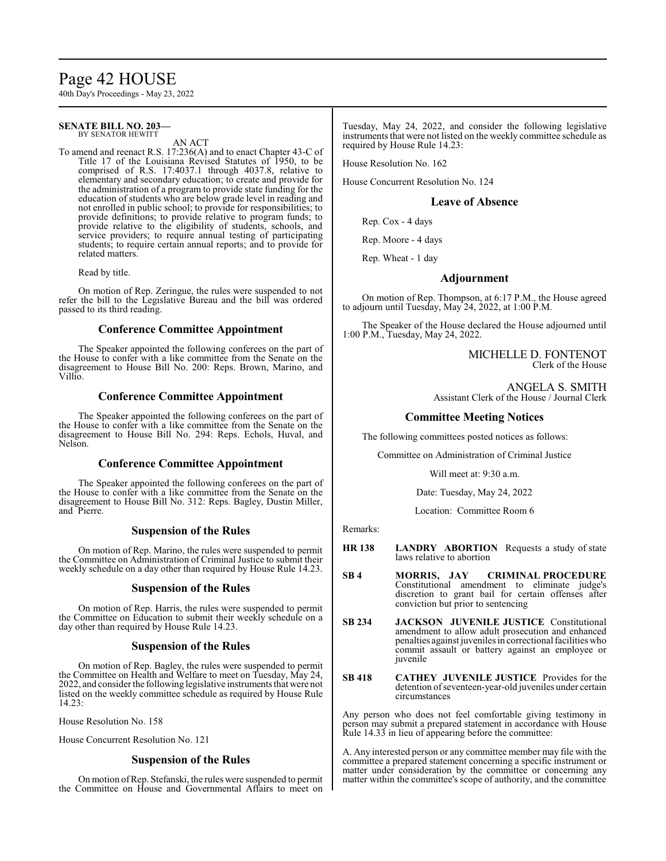# Page 42 HOUSE

40th Day's Proceedings - May 23, 2022

#### **SENATE BILL NO. 203—** BY SENATOR HEWITT

AN ACT

To amend and reenact R.S. 17:236(A) and to enact Chapter 43-C of Title 17 of the Louisiana Revised Statutes of 1950, to be comprised of R.S. 17:4037.1 through 4037.8, relative to elementary and secondary education; to create and provide for the administration of a program to provide state funding for the education of students who are below grade level in reading and not enrolled in public school; to provide for responsibilities; to provide definitions; to provide relative to program funds; to provide relative to the eligibility of students, schools, and service providers; to require annual testing of participating students; to require certain annual reports; and to provide for related matters.

Read by title.

On motion of Rep. Zeringue, the rules were suspended to not refer the bill to the Legislative Bureau and the bill was ordered passed to its third reading.

# **Conference Committee Appointment**

The Speaker appointed the following conferees on the part of the House to confer with a like committee from the Senate on the disagreement to House Bill No. 200: Reps. Brown, Marino, and Villio.

# **Conference Committee Appointment**

The Speaker appointed the following conferees on the part of the House to confer with a like committee from the Senate on the disagreement to House Bill No. 294: Reps. Echols, Huval, and Nelson.

# **Conference Committee Appointment**

The Speaker appointed the following conferees on the part of the House to confer with a like committee from the Senate on the disagreement to House Bill No. 312: Reps. Bagley, Dustin Miller, and Pierre.

### **Suspension of the Rules**

On motion of Rep. Marino, the rules were suspended to permit the Committee on Administration of Criminal Justice to submit their weekly schedule on a day other than required by House Rule 14.23.

#### **Suspension of the Rules**

On motion of Rep. Harris, the rules were suspended to permit the Committee on Education to submit their weekly schedule on a day other than required by House Rule 14.23.

### **Suspension of the Rules**

On motion of Rep. Bagley, the rules were suspended to permit the Committee on Health and Welfare to meet on Tuesday, May 24, 2022, and consider the following legislative instruments that were not listed on the weekly committee schedule as required by House Rule  $14.23:$ 

House Resolution No. 158

House Concurrent Resolution No. 121

# **Suspension of the Rules**

On motion ofRep. Stefanski, the rules were suspended to permit the Committee on House and Governmental Affairs to meet on

Tuesday, May 24, 2022, and consider the following legislative instruments that were not listed on the weekly committee schedule as required by House Rule 14.23:

House Resolution No. 162

House Concurrent Resolution No. 124

# **Leave of Absence**

Rep. Cox - 4 days

Rep. Moore - 4 days

Rep. Wheat - 1 day

# **Adjournment**

On motion of Rep. Thompson, at 6:17 P.M., the House agreed to adjourn until Tuesday, May 24, 2022, at  $1:00$  P.M.

The Speaker of the House declared the House adjourned until 1:00 P.M., Tuesday, May 24, 2022.

> MICHELLE D. FONTENOT Clerk of the House

ANGELA S. SMITH Assistant Clerk of the House / Journal Clerk

# **Committee Meeting Notices**

The following committees posted notices as follows:

Committee on Administration of Criminal Justice

Will meet at: 9:30 a.m.

Date: Tuesday, May 24, 2022

Location: Committee Room 6

Remarks:

- **HR 138 LANDRY ABORTION** Requests a study of state laws relative to abortion
- **SB 4 MORRIS, JAY CRIMINAL PROCEDURE**  Constitutional amendment to eliminate judge's discretion to grant bail for certain offenses after conviction but prior to sentencing
- **SB 234 JACKSON JUVENILE JUSTICE** Constitutional amendment to allow adult prosecution and enhanced penalties against juveniles in correctional facilities who commit assault or battery against an employee or juvenile
- **SB 418 CATHEY JUVENILE JUSTICE** Provides for the detention of seventeen-year-old juveniles under certain circumstances

Any person who does not feel comfortable giving testimony in person may submit a prepared statement in accordance with House Rule 14.33 in lieu of appearing before the committee:

A. Any interested person or any committee member may file with the committee a prepared statement concerning a specific instrument or matter under consideration by the committee or concerning any matter within the committee's scope of authority, and the committee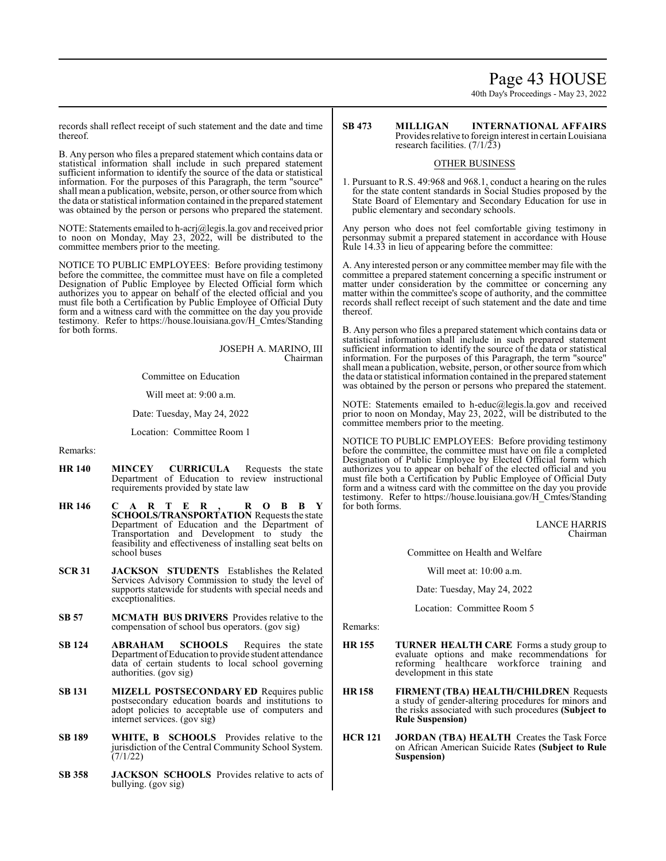# Page 43 HOUSE

40th Day's Proceedings - May 23, 2022

records shall reflect receipt of such statement and the date and time thereof.

B. Any person who files a prepared statement which contains data or statistical information shall include in such prepared statement sufficient information to identify the source of the data or statistical information. For the purposes of this Paragraph, the term "source" shall mean a publication, website, person, or other source from which the data or statistical information contained in the prepared statement was obtained by the person or persons who prepared the statement.

NOTE: Statements emailed to h-acrj@legis.la.gov and received prior to noon on Monday, May 23, 2022, will be distributed to the committee members prior to the meeting.

NOTICE TO PUBLIC EMPLOYEES: Before providing testimony before the committee, the committee must have on file a completed Designation of Public Employee by Elected Official form which authorizes you to appear on behalf of the elected official and you must file both a Certification by Public Employee of Official Duty form and a witness card with the committee on the day you provide testimony. Refer to https://house.louisiana.gov/H\_Cmtes/Standing for both forms.

> JOSEPH A. MARINO, III Chairman

Committee on Education

Will meet at: 9:00 a.m.

Date: Tuesday, May 24, 2022

Location: Committee Room 1

Remarks:

- **HR 140 MINCEY CURRICULA** Requests the state Department of Education to review instructional requirements provided by state law
- **HR 146 C A R T E R , R O B B Y SCHOOLS/TRANSPORTATION** Requests the state Department of Education and the Department of Transportation and Development to study the feasibility and effectiveness of installing seat belts on school buses
- **SCR 31 JACKSON STUDENTS** Establishes the Related Services Advisory Commission to study the level of supports statewide for students with special needs and exceptionalities.
- **SB 57 MCMATH BUS DRIVERS** Provides relative to the compensation of school bus operators. (gov sig)
- **SB 124 ABRAHAM SCHOOLS** Requires the state Department of Education to provide student attendance data of certain students to local school governing authorities. (gov sig)
- **SB 131 MIZELL POSTSECONDARY ED** Requires public postsecondary education boards and institutions to adopt policies to acceptable use of computers and internet services. (gov sig)
- **SB 189 WHITE, B SCHOOLS** Provides relative to the jurisdiction of the Central Community School System. (7/1/22)
- **SB 358 JACKSON SCHOOLS** Provides relative to acts of bullying. (gov sig)

#### **SB 473 MILLIGAN INTERNATIONAL AFFAIRS**  Provides relative to foreign interest in certainLouisiana research facilities.  $(7/1/23)$

### OTHER BUSINESS

1. Pursuant to R.S. 49:968 and 968.1, conduct a hearing on the rules for the state content standards in Social Studies proposed by the State Board of Elementary and Secondary Education for use in public elementary and secondary schools.

Any person who does not feel comfortable giving testimony in personmay submit a prepared statement in accordance with House Rule 14.33 in lieu of appearing before the committee:

A. Any interested person or any committee member may file with the committee a prepared statement concerning a specific instrument or matter under consideration by the committee or concerning any matter within the committee's scope of authority, and the committee records shall reflect receipt of such statement and the date and time thereof.

B. Any person who files a prepared statement which contains data or statistical information shall include in such prepared statement sufficient information to identify the source of the data or statistical information. For the purposes of this Paragraph, the term "source" shall mean a publication, website, person, or other source fromwhich the data or statistical information contained in the prepared statement was obtained by the person or persons who prepared the statement.

NOTE: Statements emailed to h-educ@legis.la.gov and received prior to noon on Monday, May 23, 2022, will be distributed to the committee members prior to the meeting.

NOTICE TO PUBLIC EMPLOYEES: Before providing testimony before the committee, the committee must have on file a completed Designation of Public Employee by Elected Official form which authorizes you to appear on behalf of the elected official and you must file both a Certification by Public Employee of Official Duty form and a witness card with the committee on the day you provide testimony. Refer to https://house.louisiana.gov/H\_Cmtes/Standing for both forms.

> LANCE HARRIS Chairman

Committee on Health and Welfare

Will meet at: 10:00 a.m.

Date: Tuesday, May 24, 2022

Location: Committee Room 5

Remarks:

- **HR 155 TURNER HEALTH CARE** Forms a study group to evaluate options and make recommendations for reforming healthcare workforce training and development in this state
- **HR 158 FIRMENT (TBA) HEALTH/CHILDREN** Requests a study of gender-altering procedures for minors and the risks associated with such procedures **(Subject to Rule Suspension)**
- **HCR 121 JORDAN (TBA) HEALTH** Creates the Task Force on African American Suicide Rates **(Subject to Rule Suspension)**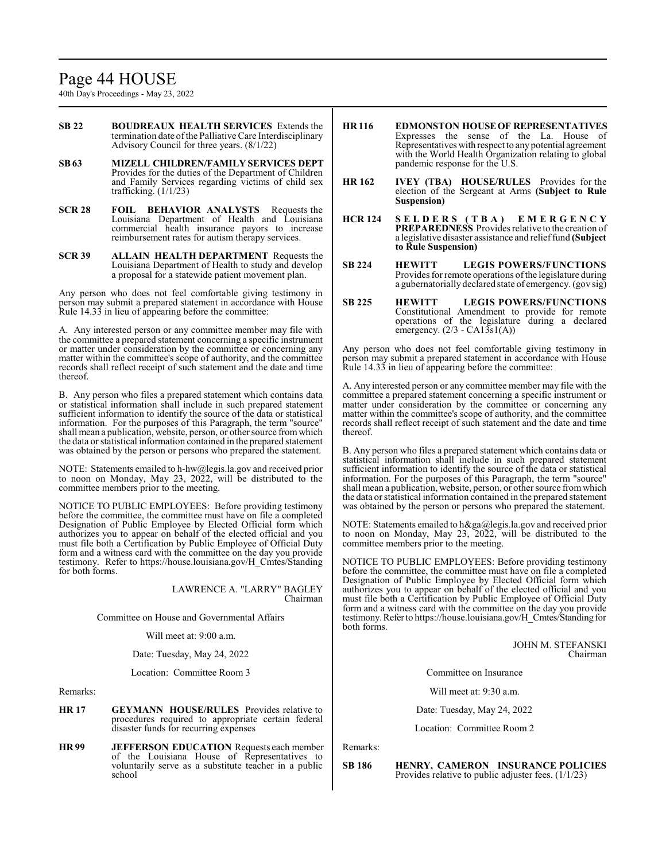# Page 44 HOUSE

40th Day's Proceedings - May 23, 2022

- **SB 22 BOUDREAUX HEALTH SERVICES** Extends the termination date ofthe Palliative Care Interdisciplinary Advisory Council for three years. (8/1/22)
- **SB63 MIZELL CHILDREN/FAMILY SERVICES DEPT**  Provides for the duties of the Department of Children and Family Services regarding victims of child sex trafficking. (1/1/23)
- **SCR 28 FOIL BEHAVIOR ANALYSTS** Requests the Louisiana Department of Health and Louisiana commercial health insurance payors to increase reimbursement rates for autism therapy services.
- **SCR 39 ALLAIN HEALTH DEPARTMENT** Requests the Louisiana Department of Health to study and develop a proposal for a statewide patient movement plan.

Any person who does not feel comfortable giving testimony in person may submit a prepared statement in accordance with House Rule 14.33 in lieu of appearing before the committee:

A. Any interested person or any committee member may file with the committee a prepared statement concerning a specific instrument or matter under consideration by the committee or concerning any matter within the committee's scope of authority, and the committee records shall reflect receipt of such statement and the date and time thereof.

B. Any person who files a prepared statement which contains data or statistical information shall include in such prepared statement sufficient information to identify the source of the data or statistical information. For the purposes of this Paragraph, the term "source" shall mean a publication, website, person, or other source fromwhich the data or statistical information contained in the prepared statement was obtained by the person or persons who prepared the statement.

NOTE: Statements emailed to h-hw@legis.la.gov and received prior to noon on Monday, May 23, 2022, will be distributed to the committee members prior to the meeting.

NOTICE TO PUBLIC EMPLOYEES: Before providing testimony before the committee, the committee must have on file a completed Designation of Public Employee by Elected Official form which authorizes you to appear on behalf of the elected official and you must file both a Certification by Public Employee of Official Duty form and a witness card with the committee on the day you provide testimony. Refer to https://house.louisiana.gov/H\_Cmtes/Standing for both forms.

> LAWRENCE A. "LARRY" BAGLEY Chairman

Committee on House and Governmental Affairs

Will meet at: 9:00 a.m.

Date: Tuesday, May 24, 2022

Location: Committee Room 3

Remarks:

- **HR 17 GEYMANN HOUSE/RULES** Provides relative to procedures required to appropriate certain federal disaster funds for recurring expenses
- **HR 99 JEFFERSON EDUCATION** Requests each member of the Louisiana House of Representatives to voluntarily serve as a substitute teacher in a public school
- **HR 116 EDMONSTON HOUSEOF REPRESENTATIVES**  Expresses the sense of the La. House of Representatives with respect to any potential agreement with the World Health Organization relating to global pandemic response for the U.S.
- **HR 162 IVEY (TBA) HOUSE/RULES** Provides for the election of the Sergeant at Arms **(Subject to Rule Suspension)**
- **HCR 124 S E L D E R S ( T B A ) E M E R G E N C Y PREPAREDNESS** Provides relative to the creation of a legislative disaster assistance and relieffund **(Subject to Rule Suspension)**
- **SB 224 HEWITT LEGIS POWERS/FUNCTIONS**  Provides for remote operations of the legislature during a gubernatorially declared state of emergency. (gov sig)
- **SB 225 HEWITT LEGIS POWERS/FUNCTIONS**  Constitutional Amendment to provide for remote operations of the legislature during a declared emergency.  $(2/3 - CA1\overline{3}sl(A))$

Any person who does not feel comfortable giving testimony in person may submit a prepared statement in accordance with House Rule 14.33 in lieu of appearing before the committee:

A. Any interested person or any committee member may file with the committee a prepared statement concerning a specific instrument or matter under consideration by the committee or concerning any matter within the committee's scope of authority, and the committee records shall reflect receipt of such statement and the date and time thereof.

B. Any person who files a prepared statement which contains data or statistical information shall include in such prepared statement sufficient information to identify the source of the data or statistical information. For the purposes of this Paragraph, the term "source" shall mean a publication, website, person, or other source fromwhich the data or statistical information contained in the prepared statement was obtained by the person or persons who prepared the statement.

NOTE: Statements emailed to h&ga@legis.la.gov and received prior to noon on Monday, May 23, 2022, will be distributed to the committee members prior to the meeting.

NOTICE TO PUBLIC EMPLOYEES: Before providing testimony before the committee, the committee must have on file a completed Designation of Public Employee by Elected Official form which authorizes you to appear on behalf of the elected official and you must file both a Certification by Public Employee of Official Duty form and a witness card with the committee on the day you provide testimony. Refer to https://house.louisiana.gov/H\_Cmtes/Standing for both forms.

> JOHN M. STEFANSKI Chairman

Committee on Insurance

Will meet at: 9:30 a.m.

Date: Tuesday, May 24, 2022

Location: Committee Room 2

Remarks:

**SB 186 HENRY, CAMERON INSURANCE POLICIES**  Provides relative to public adjuster fees. (1/1/23)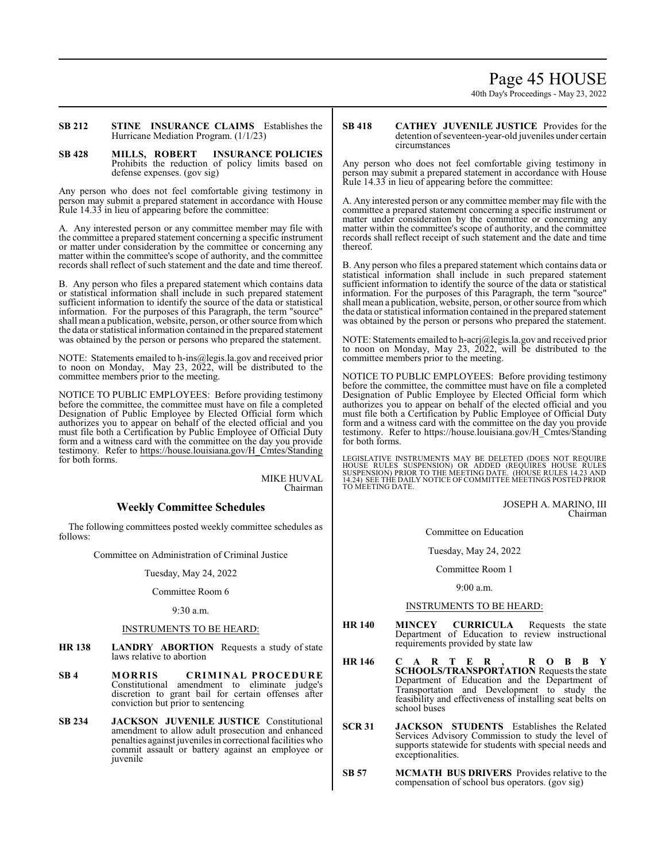# Page 45 HOUSE

40th Day's Proceedings - May 23, 2022

**SB 212 STINE INSURANCE CLAIMS** Establishes the Hurricane Mediation Program. (1/1/23)

**SB 428 MILLS, ROBERT INSURANCE POLICIES**  Prohibits the reduction of policy limits based on defense expenses. (gov sig)

Any person who does not feel comfortable giving testimony in person may submit a prepared statement in accordance with House Rule 14.33 in lieu of appearing before the committee:

A. Any interested person or any committee member may file with the committee a prepared statement concerning a specific instrument or matter under consideration by the committee or concerning any matter within the committee's scope of authority, and the committee records shall reflect of such statement and the date and time thereof.

B. Any person who files a prepared statement which contains data or statistical information shall include in such prepared statement sufficient information to identify the source of the data or statistical information. For the purposes of this Paragraph, the term "source" shall mean a publication, website, person, or other source fromwhich the data or statistical information contained in the prepared statement was obtained by the person or persons who prepared the statement.

NOTE: Statements emailed to h-ins@legis.la.gov and received prior to noon on Monday, May 23, 2022, will be distributed to the committee members prior to the meeting.

NOTICE TO PUBLIC EMPLOYEES: Before providing testimony before the committee, the committee must have on file a completed Designation of Public Employee by Elected Official form which authorizes you to appear on behalf of the elected official and you must file both a Certification by Public Employee of Official Duty form and a witness card with the committee on the day you provide testimony. Refer to https://house.louisiana.gov/H\_Cmtes/Standing for both forms.

> MIKE HUVAL Chairman

# **Weekly Committee Schedules**

The following committees posted weekly committee schedules as follows:

Committee on Administration of Criminal Justice

#### Tuesday, May 24, 2022

Committee Room 6

# 9:30 a.m.

# INSTRUMENTS TO BE HEARD:

- **HR 138 LANDRY ABORTION** Requests a study of state laws relative to abortion
- **SB 4 MORRIS CRIMINAL PROCEDURE** Constitutional amendment to eliminate judge's discretion to grant bail for certain offenses after conviction but prior to sentencing
- **SB 234 JACKSON JUVENILE JUSTICE** Constitutional amendment to allow adult prosecution and enhanced penalties against juveniles in correctional facilities who commit assault or battery against an employee or iuvenile

### **SB 418 CATHEY JUVENILE JUSTICE** Provides for the detention of seventeen-year-old juveniles under certain circumstances

Any person who does not feel comfortable giving testimony in person may submit a prepared statement in accordance with House Rule 14.33 in lieu of appearing before the committee:

A. Any interested person or any committee member may file with the committee a prepared statement concerning a specific instrument or matter under consideration by the committee or concerning any matter within the committee's scope of authority, and the committee records shall reflect receipt of such statement and the date and time thereof.

B. Any person who files a prepared statement which contains data or statistical information shall include in such prepared statement sufficient information to identify the source of the data or statistical information. For the purposes of this Paragraph, the term "source" shall mean a publication, website, person, or other source fromwhich the data or statistical information contained in the prepared statement was obtained by the person or persons who prepared the statement.

NOTE: Statements emailed to h-acrj@legis.la.gov and received prior to noon on Monday, May 23, 2022, will be distributed to the committee members prior to the meeting.

NOTICE TO PUBLIC EMPLOYEES: Before providing testimony before the committee, the committee must have on file a completed Designation of Public Employee by Elected Official form which authorizes you to appear on behalf of the elected official and you must file both a Certification by Public Employee of Official Duty form and a witness card with the committee on the day you provide testimony. Refer to https://house.louisiana.gov/H\_Cmtes/Standing for both forms.

LEGISLATIVE INSTRUMENTS MAY BE DELETED (DOES NOT REQUIRE<br>HOUSE RULES SUSPENSION) OR ADDED (REQUIRES HOUSE RULES<br>SUSPENSION) PRIOR TO THE MEETING DATE. (HOUSE RULES 14.23 AND<br>14.24) SEE THE DAILY NOTICE OF COMMITTEE MEETING

JOSEPH A. MARINO, III Chairman

Committee on Education

Tuesday, May 24, 2022

Committee Room 1

9:00 a.m.

# INSTRUMENTS TO BE HEARD:

- **HR 140 MINCEY CURRICULA** Requests the state Department of Education to review instructional requirements provided by state law
- **HR 146 C A R T E R , R O B B Y SCHOOLS/TRANSPORTATION** Requests the state Department of Education and the Department of Transportation and Development to study the feasibility and effectiveness of installing seat belts on school buses
- **SCR 31 JACKSON STUDENTS** Establishes the Related Services Advisory Commission to study the level of supports statewide for students with special needs and exceptionalities.
- **SB 57 MCMATH BUS DRIVERS** Provides relative to the compensation of school bus operators. (gov sig)